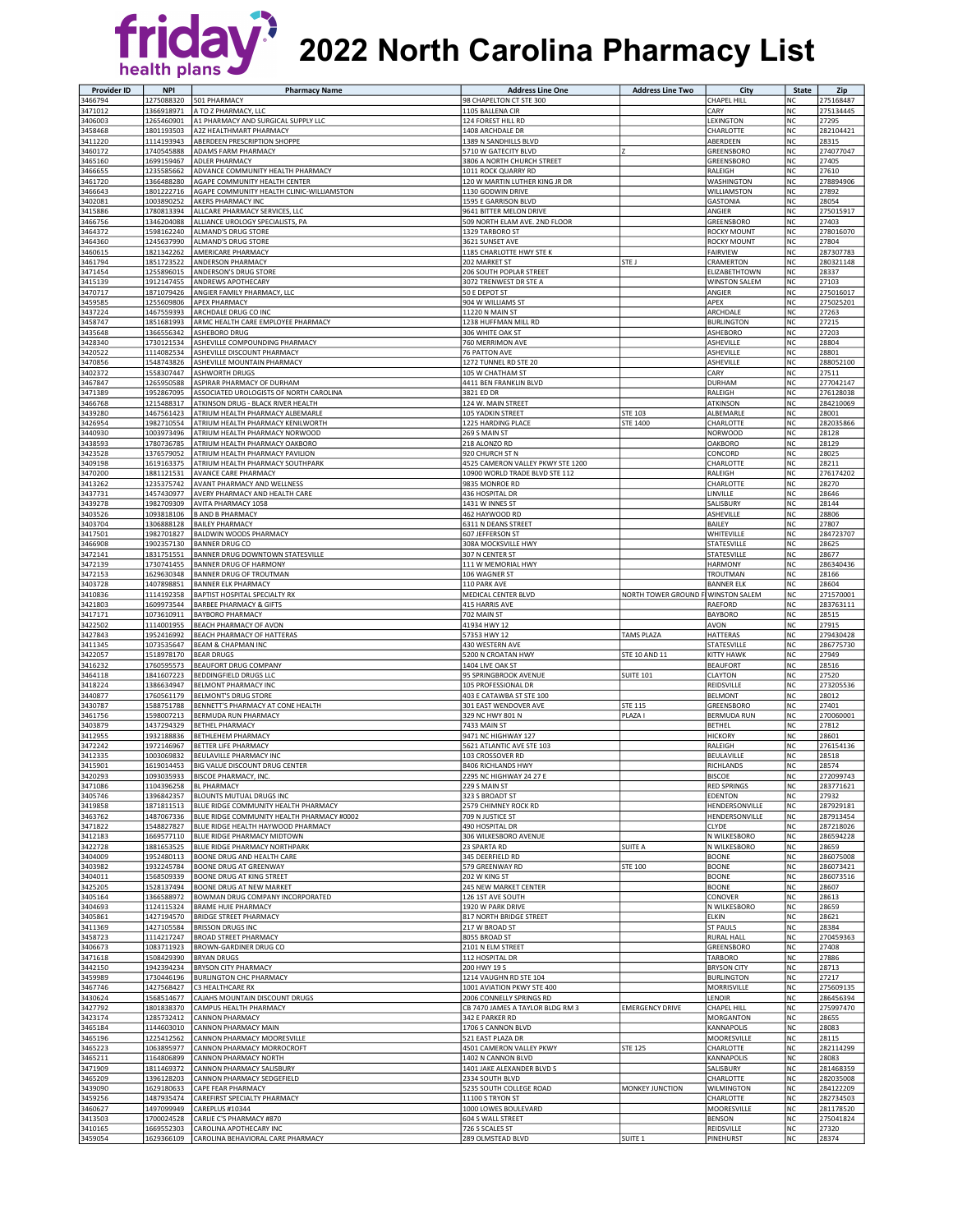

## **2022 North Carolina Pharmacy List** health plans

| <b>Provider ID</b> | <b>NPI</b>               | <b>Pharmacy Name</b>                                                   | <b>Address Line One</b>                           | <b>Address Line Two</b> | City                                    | <b>State</b>    | Zip                    |
|--------------------|--------------------------|------------------------------------------------------------------------|---------------------------------------------------|-------------------------|-----------------------------------------|-----------------|------------------------|
| 3466794            | 1275088320               | 501 PHARMACY                                                           | 98 CHAPELTON CT STE 300                           |                         | CHAPEL HILL                             | NC              | 275168487              |
| 3471012            | 1366918971               | A TO Z PHARMACY, LLC                                                   | 1105 BALLENA CIR                                  |                         | CARY                                    | <b>NC</b>       | 275134445              |
| 3406003            | 1265460901               | A1 PHARMACY AND SURGICAL SUPPLY LLC<br>A2Z HEALTHMART PHARMACY         | 124 FOREST HILL RD                                |                         | LEXINGTON                               | <b>NC</b>       | 27295                  |
| 3458468<br>3411220 | 1801193503<br>1114193943 | ABERDEEN PRESCRIPTION SHOPPE                                           | 1408 ARCHDALE DR<br>1389 N SANDHILLS BLVD         |                         | CHARLOTTE<br>ABERDEEN                   | NC<br><b>NC</b> | 282104421<br>28315     |
| 3460172            | 1740545888               | ADAMS FARM PHARMACY                                                    | 5710 W GATECITY BLVD                              |                         | GREENSBORO                              | <b>NC</b>       | 274077047              |
| 3465160            | 1699159467               | ADLER PHARMACY                                                         | 3806 A NORTH CHURCH STREET                        |                         | GREENSBORO                              | NC              | 27405                  |
| 3466655            | 1235585662               | ADVANCE COMMUNITY HEALTH PHARMACY                                      | 1011 ROCK QUARRY RD                               |                         | RALEIGH                                 | NC              | 27610                  |
| 3461720            | 1366488280               | AGAPE COMMUNITY HEALTH CENTER                                          | 120 W MARTIN LUTHER KING JR DR                    |                         | WASHINGTON                              | <b>NC</b>       | 278894906              |
| 3466643<br>3402081 | 1801222716<br>1003890252 | AGAPE COMMUNITY HEALTH CLINIC-WILLIAMSTON<br>AKERS PHARMACY INC        | 1130 GODWIN DRIVE<br>1595 E GARRISON BLVD         |                         | WILLIAMSTON<br><b>GASTONIA</b>          | NC<br>NC        | 27892<br>28054         |
| 3415886            | 1780813394               | ALLCARE PHARMACY SERVICES, LLC                                         | 9641 BITTER MELON DRIVE                           |                         | ANGIER                                  | <b>NC</b>       | 275015917              |
| 3466756            | 1346204088               | ALLIANCE UROLOGY SPECIALISTS, PA                                       | 509 NORTH ELAM AVE. 2ND FLOOR                     |                         | GREENSBORO                              | NC              | 27403                  |
| 3464372            | 1598162240               | ALMAND'S DRUG STORE                                                    | 1329 TARBORO ST                                   |                         | ROCKY MOUNT                             | <b>NC</b>       | 278016070              |
| 3464360            | 1245637990               | <b>ALMAND'S DRUG STORE</b>                                             | 3621 SUNSET AVE                                   |                         | <b>ROCKY MOUNT</b>                      | <b>NC</b>       | 27804                  |
| 3460615            | 1821342262               | AMERICARE PHARMACY                                                     | 1185 CHARLOTTE HWY STE K                          |                         | <b>FAIRVIEW</b>                         | <b>NC</b>       | 287307783              |
| 3461794<br>3471454 | 1851723522<br>1255896015 | ANDERSON PHARMACY<br>ANDERSON'S DRUG STORE                             | 202 MARKET ST<br>206 SOUTH POPLAR STREET          | STE J                   | CRAMERTON<br>ELIZABETHTOWN              | NC<br><b>NC</b> | 280321148<br>28337     |
| 3415139            | 1912147455               | ANDREWS APOTHECARY                                                     | 3072 TRENWEST DR STE A                            |                         | <b>WINSTON SALEM</b>                    | <b>NC</b>       | 27103                  |
| 3470717            | 1871079426               | ANGIER FAMILY PHARMACY, LLC                                            | 50 E DEPOT ST                                     |                         | ANGIER                                  | <b>NC</b>       | 275016017              |
| 3459585            | 1255609806               | APEX PHARMACY                                                          | 904 W WILLIAMS ST                                 |                         | APEX                                    | <b>NC</b>       | 275025201              |
| 3437224            | 1467559393               | ARCHDALE DRUG CO INC                                                   | 11220 N MAIN ST                                   |                         | ARCHDALE                                | <b>NC</b>       | 27263                  |
| 3458747            | 1851681993               | ARMC HEALTH CARE EMPLOYEE PHARMACY                                     | 1238 HUFFMAN MILL RD                              |                         | <b>BURLINGTON</b>                       | NC              | 27215<br>27203         |
| 3435648<br>3428340 | 1366556342<br>1730121534 | <b>ASHEBORO DRUG</b><br>ASHEVILLE COMPOUNDING PHARMACY                 | 306 WHITE OAK ST<br>760 MERRIMON AVE              |                         | ASHEBORO<br>ASHEVILLE                   | NC<br><b>NC</b> | 28804                  |
| 3420522            | 1114082534               | ASHEVILLE DISCOUNT PHARMACY                                            | 76 PATTON AVE                                     |                         | ASHEVILLE                               | NC              | 28801                  |
| 3470856            | 1548743826               | ASHEVILLE MOUNTAIN PHARMACY                                            | 1272 TUNNEL RD STE 20                             |                         | ASHEVILLE                               | <b>NC</b>       | 288052100              |
| 3402372            | 1558307447               | <b>ASHWORTH DRUGS</b>                                                  | 105 W CHATHAM ST                                  |                         | CARY                                    | <b>NC</b>       | 27511                  |
| 3467847            | 1265950588               | ASPIRAR PHARMACY OF DURHAM                                             | 4411 BEN FRANKLIN BLVD                            |                         | <b>DURHAM</b>                           | NC              | 277042147              |
| 3471389            | 1952867095               | ASSOCIATED UROLOGISTS OF NORTH CAROLINA                                | 3821 ED DR                                        |                         | RALEIGH                                 | <b>NC</b>       | 276128038              |
| 3466768<br>3439280 | 1215488317<br>1467561423 | ATKINSON DRUG - BLACK RIVER HEALTH<br>ATRIUM HEALTH PHARMACY ALBEMARLE | 124 W. MAIN STREET<br>105 YADKIN STREET           | <b>STE 103</b>          | <b>ATKINSON</b><br>ALBEMARLE            | <b>NC</b><br>NC | 284210069<br>28001     |
| 3426954            | 1982710554               | ATRIUM HEALTH PHARMACY KENILWORTH                                      | 1225 HARDING PLACE                                | STE 1400                | CHARLOTTE                               | NC              | 282035866              |
| 3440930            | 1003973496               | ATRIUM HEALTH PHARMACY NORWOOD                                         | 269 S MAIN ST                                     |                         | <b>NORWOOD</b>                          | <b>NC</b>       | 28128                  |
| 3438593            | 1780736785               | ATRIUM HEALTH PHARMACY OAKBORO                                         | 218 ALONZO RD                                     |                         | <b>OAKBORO</b>                          | <b>NC</b>       | 28129                  |
| 3423528            | 1376579052               | ATRIUM HEALTH PHARMACY PAVILION                                        | 920 CHURCH ST N                                   |                         | CONCORD                                 | NC              | 28025                  |
| 3409198            | 1619163375               | ATRIUM HEALTH PHARMACY SOUTHPARK                                       | 4525 CAMERON VALLEY PKWY STE 1200                 |                         | CHARLOTTE                               | NC              | 28211                  |
| 3470200<br>3413262 | 1881121531<br>1235375742 | AVANCE CARE PHARMACY<br>AVANT PHARMACY AND WELLNESS                    | 10900 WORLD TRADE BLVD STE 112<br>9835 MONROE RD  |                         | RALEIGH<br>CHARLOTTE                    | NC<br><b>NC</b> | 276174202<br>28270     |
| 3437731            | 1457430977               | AVERY PHARMACY AND HEALTH CARE                                         | 436 HOSPITAL DR                                   |                         | LINVILLE                                | <b>NC</b>       | 28646                  |
| 3439278            | 1982709309               | AVITA PHARMACY 1058                                                    | 1431 W INNES ST                                   |                         | SALISBURY                               | <b>NC</b>       | 28144                  |
| 3403526            | 1093818106               | <b>B AND B PHARMACY</b>                                                | 462 HAYWOOD RD                                    |                         | ASHEVILLE                               | NC              | 28806                  |
| 3403704            | 1306888128               | <b>BAILEY PHARMACY</b>                                                 | 6311 N DEANS STREET                               |                         | BAILEY                                  | <b>NC</b>       | 27807                  |
| 3417501            | 1982701827               | BALDWIN WOODS PHARMACY                                                 | 607 JEFFERSON ST                                  |                         | WHITEVILLE                              | NC              | 284723707              |
| 3466908            | 1902357130               | <b>BANNER DRUG CO</b>                                                  | 308A MOCKSVILLE HWY                               |                         | STATESVILLE                             | NC              | 28625                  |
| 3472141<br>3472139 | 1831751551<br>1730741455 | BANNER DRUG DOWNTOWN STATESVILLE<br>BANNER DRUG OF HARMONY             | 307 N CENTER ST<br>111 W MEMORIAL HWY             |                         | STATESVILLE<br><b>HARMONY</b>           | NC<br>NC        | 28677<br>286340436     |
| 3472153            | 1629630348               | BANNER DRUG OF TROUTMAN                                                | 106 WAGNER ST                                     |                         | TROUTMAN                                | NC              | 28166                  |
| 3403728            | 1407898851               | <b>BANNER ELK PHARMACY</b>                                             | 110 PARK AVE                                      |                         | <b>BANNER ELK</b>                       | <b>NC</b>       | 28604                  |
| 3410836            | 1114192358               | BAPTIST HOSPITAL SPECIALTY RX                                          | MEDICAL CENTER BLVD                               | NORTH TOWER GROUND      | <b>WINSTON SALEM</b>                    | <b>NC</b>       | 271570001              |
| 3421803            | 1609973544               | <b>BARBEE PHARMACY &amp; GIFTS</b>                                     | 415 HARRIS AVE                                    |                         | RAEFORD                                 | NC              | 283763111              |
| 3417171            | 1073610911               | BAYBORO PHARMACY                                                       | 702 MAIN ST                                       |                         | <b>BAYBORO</b>                          | NC              | 28515                  |
| 3422502<br>3427843 | 1114001955<br>1952416992 | BEACH PHARMACY OF AVON<br>BEACH PHARMACY OF HATTERAS                   | 41934 HWY 12<br>57353 HWY 12                      | <b>TAMS PLAZA</b>       | AVON<br>HATTERAS                        | <b>NC</b><br>NC | 27915<br>279430428     |
| 3411345            | 1073535647               | <b>BEAM &amp; CHAPMAN INC</b>                                          | 430 WESTERN AVE                                   |                         | STATESVILLE                             | NC              | 286775730              |
| 3422057            | 1518978170               | <b>BEAR DRUGS</b>                                                      | 5200 N CROATAN HWY                                | STE 10 AND 11           | <b>KITTY HAWK</b>                       | <b>NC</b>       | 27949                  |
| 3416232            | 1760595573               | BEAUFORT DRUG COMPANY                                                  | 1404 LIVE OAK ST                                  |                         | <b>BEAUFORT</b>                         | NC              | 28516                  |
| 3464118            | 1841607223               | BEDDINGFIELD DRUGS LLC                                                 | 95 SPRINGBROOK AVENUE                             | <b>SUITE 101</b>        | <b>CLAYTON</b>                          | NC              | 27520                  |
| 3418224            | 1386634947               | BELMONT PHARMACY INC                                                   | 105 PROFESSIONAL DR                               |                         | REIDSVILLE                              | <b>NC</b>       | 273205536              |
| 3440877<br>3430787 | 1760561179<br>1588751788 | BELMONT'S DRUG STORE<br>BENNETT'S PHARMACY AT CONE HEALTH              | 403 E CATAWBA ST STE 100<br>301 EAST WENDOVER AVE | <b>STE 115</b>          | <b>BELMONT</b><br>GREENSBORO            | NC<br>NC        | 28012<br>27401         |
| 3461756            | 1598007213               | BERMUDA RUN PHARMACY                                                   | 329 NC HWY 801 N                                  | PLAZA I                 | <b>BERMUDA RUN</b>                      | NC              | 270060001              |
| 3403879            | 1437294329               | BETHEL PHARMACY                                                        | 7433 MAIN ST                                      |                         | <b>BETHEL</b>                           | NC              | 27812                  |
| 3412955            | 1932188836               | BETHLEHEM PHARMACY                                                     | 9471 NC HIGHWAY 127                               |                         | <b>HICKORY</b>                          | <b>NC</b>       | 28601                  |
| 3472242            | 1972146967               | BETTER LIFE PHARMACY                                                   | 5621 ATLANTIC AVE STE 103                         |                         | RALEIGH                                 | <b>NC</b>       | 276154136              |
| 3412335            | 1003069832               | BEULAVILLE PHARMACY INC                                                | 103 CROSSOVER RD                                  |                         | BEULAVILLE                              | <b>NC</b>       | 28518                  |
| 3415901<br>3420293 | 1619014453<br>1093035933 | BIG VALUE DISCOUNT DRUG CENTER<br><b>BISCOE PHARMACY, INC.</b>         | 8406 RICHLANDS HWY<br>2295 NC HIGHWAY 24 27 E     |                         | <b>RICHLANDS</b><br><b>BISCOE</b>       | NC<br>NC        | 28574<br>272099743     |
| 3471086            | 1104396258               | <b>BL PHARMACY</b>                                                     | 229 S MAIN ST                                     |                         | <b>RED SPRINGS</b>                      | NC              | 283771621              |
| 3405746            | 1396842357               | <b>BLOUNTS MUTUAL DRUGS INC</b>                                        | 323 S BROADT ST                                   |                         | EDENTON                                 | <b>NC</b>       | 27932                  |
| 3419858            | 1871811513               | BLUE RIDGE COMMUNITY HEALTH PHARMACY                                   | 2579 CHIMNEY ROCK RD                              |                         | HENDERSONVILLE                          | NC              | 287929181              |
| 3463762            | 1487067336               | BLUE RIDGE COMMUNITY HEALTH PHARMACY #0002                             | 709 N JUSTICE ST                                  |                         | HENDERSONVILLE                          | NC              | 287913454              |
| 3471822<br>3412183 | 1548827827<br>1669577110 | BLUE RIDGE HEALTH HAYWOOD PHARMACY<br>BLUE RIDGE PHARMACY MIDTOWN      | 490 HOSPITAL DR<br>306 WILKESBORO AVENUE          |                         | CLYDE<br>N WILKESBORO                   | NC<br>NC        | 287218026<br>286594228 |
| 3422728            | 1881653525               | BLUE RIDGE PHARMACY NORTHPARK                                          | 23 SPARTA RD                                      | SUITE A                 | N WILKESBORO                            | <b>NC</b>       | 28659                  |
| 3404009            | 1952480113               | <b>BOONE DRUG AND HEALTH CARE</b>                                      | 345 DEERFIELD RD                                  |                         | <b>BOONE</b>                            | NC              | 286075008              |
| 3403982            | 1932245784               | <b>BOONE DRUG AT GREENWAY</b>                                          | 579 GREENWAY RD                                   | STE 100                 | <b>BOONE</b>                            | NC              | 286073421              |
| 3404011            | 1568509339               | <b>BOONE DRUG AT KING STREET</b>                                       | 202 W KING ST                                     |                         | <b>BOONE</b>                            | <b>NC</b>       | 286073516              |
| 3425205            | 1528137494               | <b>BOONE DRUG AT NEW MARKET</b>                                        | 245 NEW MARKET CENTER                             |                         | <b>BOONE</b>                            | NC              | 28607                  |
| 3405164<br>3404693 | 1366588972<br>1124115324 | BOWMAN DRUG COMPANY INCORPORATED<br><b>BRAME HUIE PHARMACY</b>         | 126 1ST AVE SOUTH<br>1920 W PARK DRIVE            |                         | CONOVER<br>N WILKESBORO                 | NC<br><b>NC</b> | 28613<br>28659         |
| 3405861            | 1427194570               | <b>BRIDGE STREET PHARMACY</b>                                          | 817 NORTH BRIDGE STREET                           |                         | ELKIN                                   | NC              | 28621                  |
| 3411369            | 1427105584               | <b>BRISSON DRUGS INC</b>                                               | 217 W BROAD ST                                    |                         | <b>ST PAULS</b>                         | NC              | 28384                  |
| 3458723            | 1114217247               | <b>BROAD STREET PHARMACY</b>                                           | 8055 BROAD ST                                     |                         | <b>RURAL HALL</b>                       | <b>NC</b>       | 270459363              |
| 3406673            | 1083711923               | BROWN-GARDINER DRUG CO                                                 | 2101 N ELM STREET                                 |                         | GREENSBORO                              | NC              | 27408                  |
| 3471618            | 1508429390               | <b>BRYAN DRUGS</b><br><b>BRYSON CITY PHARMACY</b>                      | 112 HOSPITAL DR                                   |                         | TARBORO                                 | NC              | 27886<br>28713         |
| 3442150<br>3459989 | 1942394234<br>1730446196 | <b>BURLINGTON CHC PHARMACY</b>                                         | 200 HWY 19 S<br>1214 VAUGHN RD STE 104            |                         | <b>BRYSON CITY</b><br><b>BURLINGTON</b> | NC<br>NC        | 27217                  |
| 3467746            | 1427568427               | C3 HEALTHCARE RX                                                       | 1001 AVIATION PKWY STE 400                        |                         | MORRISVILLE                             | <b>NC</b>       | 275609135              |
| 3430624            | 1568514677               | CAJAHS MOUNTAIN DISCOUNT DRUGS                                         | 2006 CONNELLY SPRINGS RD                          |                         | LENOIR                                  | <b>NC</b>       | 286456394              |
| 3427792            | 1801838370               | CAMPUS HEALTH PHARMACY                                                 | CB 7470 JAMES A TAYLOR BLDG RM 3                  | <b>EMERGENCY DRIVE</b>  | <b>CHAPEL HILL</b>                      | <b>NC</b>       | 275997470              |
| 3423174            | 1285732412               | <b>CANNON PHARMACY</b>                                                 | 342 E PARKER RD                                   |                         | MORGANTON                               | <b>NC</b>       | 28655                  |
| 3465184            | 1144603010               | CANNON PHARMACY MAIN                                                   | 1706 S CANNON BLVD                                |                         | KANNAPOLIS                              | <b>NC</b>       | 28083                  |
| 3465196<br>3465223 | 1225412562<br>1063895977 | CANNON PHARMACY MOORESVILLE<br>CANNON PHARMACY MORROCROFT              | 521 EAST PLAZA DR<br>4501 CAMERON VALLEY PKWY     | <b>STE 125</b>          | MOORESVILLE<br>CHARLOTTE                | NC<br><b>NC</b> | 28115<br>282114299     |
| 3465211            | 1164806899               | CANNON PHARMACY NORTH                                                  | 1402 N CANNON BLVD                                |                         | KANNAPOLIS                              | <b>NC</b>       | 28083                  |
| 3471909            | 1811469372               | CANNON PHARMACY SALISBURY                                              | 1401 JAKE ALEXANDER BLVD S                        |                         | SALISBURY                               | NC              | 281468359              |
| 3465209            | 1396128203               | CANNON PHARMACY SEDGEFIELD                                             | 2334 SOUTH BLVD                                   |                         | CHARLOTTE                               | NC              | 282035008              |
| 3439090            | 1629180633               | CAPE FEAR PHARMACY                                                     | 5235 SOUTH COLLEGE ROAD                           | MONKEY JUNCTION         | WILMINGTON                              | <b>NC</b>       | 284122209              |
| 3459256            | 1487935474               | CAREFIRST SPECIALTY PHARMACY                                           | 11100 S TRYON ST                                  |                         | CHARLOTTE                               | <b>NC</b>       | 282734503              |
| 3460627<br>3413503 | 1497099949<br>1700024528 | CAREPLUS #10344<br>CARLIE C'S PHARMACY #870                            | 1000 LOWES BOULEVARD<br>604 S WALL STREET         |                         | MOORESVILLE<br><b>BENSON</b>            | NC<br>NC        | 281178520<br>275041824 |
| 3410165            | 1669552303               | CAROLINA APOTHECARY INC                                                | 726 S SCALES ST                                   |                         | REIDSVILLE                              | NC              | 27320                  |
| 3459054            | 1629366109               | CAROLINA BEHAVIORAL CARE PHARMACY                                      | 289 OLMSTEAD BLVD                                 | SUITE <sub>1</sub>      | PINEHURST                               | <b>NC</b>       | 28374                  |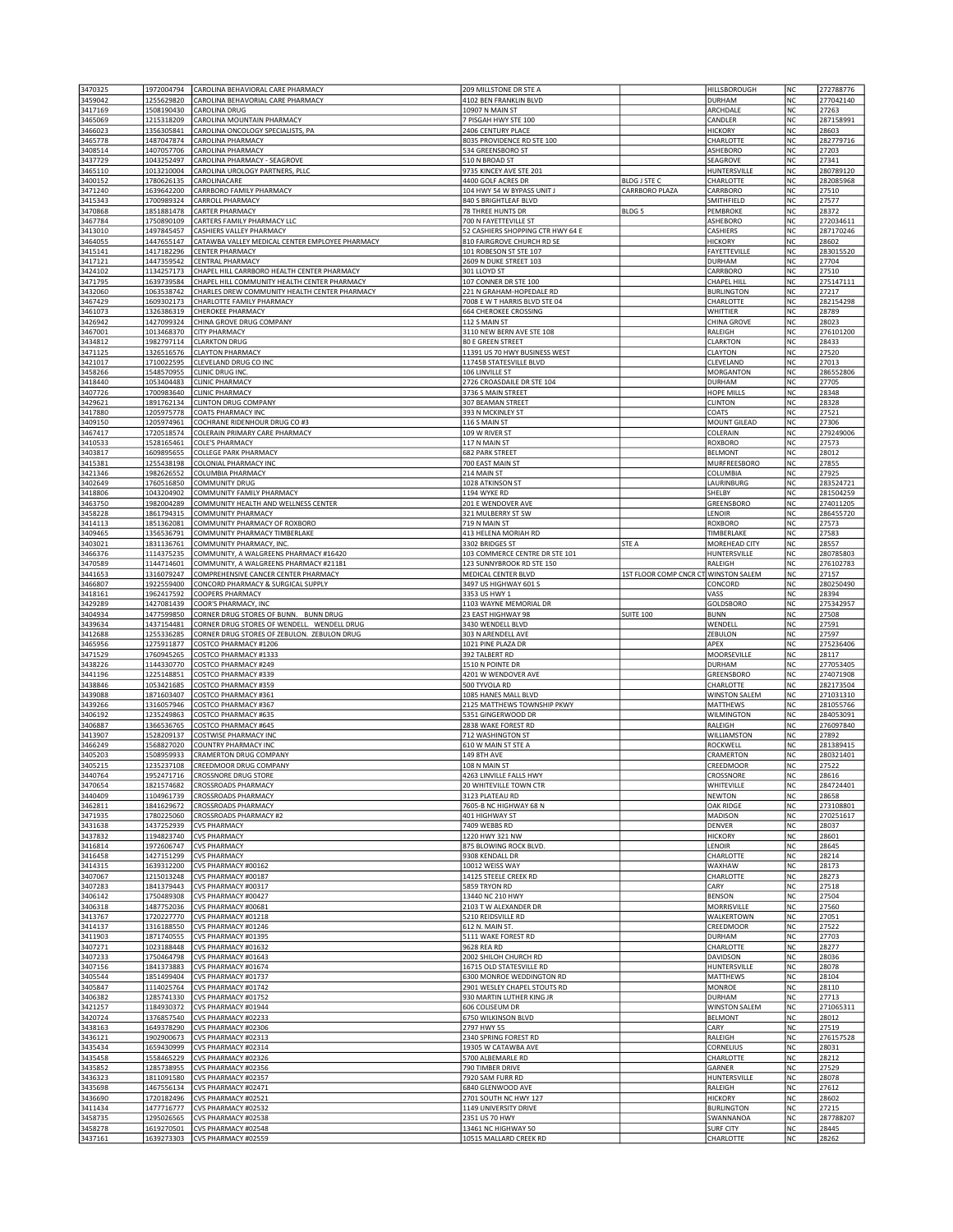| 3470325            | 1972004794               | CAROLINA BEHAVIORAL CARE PHARMACY                                                             | 209 MILLSTONE DR STE A                                          |                                      | HILLSBOROUGH                            | NC              | 272788776              |
|--------------------|--------------------------|-----------------------------------------------------------------------------------------------|-----------------------------------------------------------------|--------------------------------------|-----------------------------------------|-----------------|------------------------|
| 3459042            | 1255629820               | CAROLINA BEHAVORIAL CARE PHARMACY                                                             | 4102 BEN FRANKLIN BLVD                                          |                                      | <b>DURHAM</b>                           | NC              | 277042140              |
| 3417169<br>3465069 | 1508190430<br>1215318209 | CAROLINA DRUG<br>CAROLINA MOUNTAIN PHARMACY                                                   | 10907 N MAIN ST<br>7 PISGAH HWY STE 100                         |                                      | ARCHDALE<br>CANDLER                     | NC<br>NC        | 27263<br>287158991     |
| 3466023            | 1356305841               | CAROLINA ONCOLOGY SPECIALISTS, PA                                                             | 2406 CENTURY PLACE                                              |                                      | <b>HICKORY</b>                          | NC              | 28603                  |
| 3465778            | 1487047874               | CAROLINA PHARMACY                                                                             | 8035 PROVIDENCE RD STE 100                                      |                                      | CHARLOTTE                               | <b>NC</b>       | 282779716              |
| 3408514            | 1407057706               | CAROLINA PHARMACY                                                                             | 534 GREENSBORO ST                                               |                                      | ASHEBORO                                | NC              | 27203                  |
| 3437729            | 1043252497               | CAROLINA PHARMACY - SEAGROVE                                                                  | 510 N BROAD ST                                                  |                                      | SEAGROVE                                | NC<br>NC        | 27341                  |
| 3465110<br>3400152 | 1013210004<br>1780626135 | CAROLINA UROLOGY PARTNERS, PLLC<br>CAROLINACARE                                               | 9735 KINCEY AVE STE 201<br>4400 GOLF ACRES DR                   | <b>BLDG J STE C</b>                  | HUNTERSVILLE<br>CHARLOTTE               | NC              | 280789120<br>282085968 |
| 3471240            | 1639642200               | CARRBORO FAMILY PHARMACY                                                                      | 104 HWY 54 W BYPASS UNIT J                                      | CARRBORO PLAZA                       | CARRBORO                                | NC              | 27510                  |
| 3415343            | 1700989324               | CARROLL PHARMACY                                                                              | 840 S BRIGHTLEAF BLVD                                           |                                      | SMITHFIELD                              | NC              | 27577                  |
| 3470868            | 1851881478               | CARTER PHARMACY                                                                               | 78 THREE HUNTS DR                                               | BLDG <sub>5</sub>                    | PEMBROKE                                | <b>NC</b>       | 28372                  |
| 3467784            | 1750890109               | CARTERS FAMILY PHARMACY LLC                                                                   | 700 N FAYETTEVILLE ST                                           |                                      | ASHEBORO                                | NC<br>NC        | 272034611              |
| 3413010<br>3464055 | 1497845457<br>1447655147 | CASHIERS VALLEY PHARMACY<br>CATAWBA VALLEY MEDICAL CENTER EMPLOYEE PHARMACY                   | 52 CASHIERS SHOPPING CTR HWY 64 E<br>810 FAIRGROVE CHURCH RD SE |                                      | CASHIERS<br><b>HICKORY</b>              | NC              | 287170246<br>28602     |
| 3415141            | 1417182296               | CENTER PHARMACY                                                                               | 101 ROBESON ST STE 107                                          |                                      | FAYETTEVILLE                            | NC              | 283015520              |
| 3417121            | 1447359542               | CENTRAL PHARMACY                                                                              | 2609 N DUKE STREET 103                                          |                                      | <b>DURHAM</b>                           | NC              | 27704                  |
| 3424102            | 1134257173               | CHAPEL HILL CARRBORO HEALTH CENTER PHARMACY                                                   | 301 LLOYD ST                                                    |                                      | CARRBORO                                | <b>NC</b>       | 27510                  |
| 3471795<br>3432060 | 1639739584<br>1063538742 | CHAPEL HILL COMMUNITY HEALTH CENTER PHARMACY<br>CHARLES DREW COMMUNITY HEALTH CENTER PHARMACY | 107 CONNER DR STE 100<br>221 N GRAHAM-HOPEDALE RD               |                                      | <b>CHAPEL HILL</b><br><b>BURLINGTON</b> | <b>NC</b><br>NC | 275147111<br>27217     |
| 3467429            | 1609302173               | CHARLOTTE FAMILY PHARMACY                                                                     | 7008 E W T HARRIS BLVD STE 04                                   |                                      | CHARLOTTE                               | NC              | 282154298              |
| 3461073            | 1326386319               | CHEROKEE PHARMACY                                                                             | <b>664 CHEROKEE CROSSING</b>                                    |                                      | WHITTIER                                | NC              | 28789                  |
| 3426942            | 1427099324               | CHINA GROVE DRUG COMPANY                                                                      | 112 S MAIN ST                                                   |                                      | <b>CHINA GROVE</b>                      | NC              | 28023                  |
| 3467001<br>3434812 | 1013468370<br>1982797114 | <b>CITY PHARMACY</b>                                                                          | 3110 NEW BERN AVE STE 108                                       |                                      | RALEIGH                                 | <b>NC</b><br>NC | 276101200<br>28433     |
| 3471125            | 1326516576               | <b>CLARKTON DRUG</b><br><b>CLAYTON PHARMACY</b>                                               | <b>80 E GREEN STREET</b><br>11391 US 70 HWY BUSINESS WEST       |                                      | <b>CLARKTON</b><br><b>CLAYTON</b>       | NC              | 27520                  |
| 3421017            | 1710022595               | CLEVELAND DRUG CO INC                                                                         | 11745B STATESVILLE BLVD                                         |                                      | CLEVELAND                               | NC              | 27013                  |
| 3458266            | 1548570955               | CLINIC DRUG INC.                                                                              | 106 LINVILLE ST                                                 |                                      | <b>MORGANTON</b>                        | NC              | 286552806              |
| 3418440            | 1053404483               | CLINIC PHARMACY                                                                               | 2726 CROASDAILE DR STE 104                                      |                                      | <b>DURHAM</b>                           | NC              | 27705                  |
| 3407726<br>3429621 | 1700983640<br>1891762134 | CLINIC PHARMACY<br>CLINTON DRUG COMPANY                                                       | 3736 S MAIN STREET<br>307 BEAMAN STREET                         |                                      | HOPE MILLS<br><b>CLINTON</b>            | <b>NC</b><br>NC | 28348<br>28328         |
| 3417880            | 1205975778               | COATS PHARMACY INC                                                                            | 393 N MCKINLEY ST                                               |                                      | <b>COATS</b>                            | NC              | 27521                  |
| 3409150            | 1205974961               | COCHRANE RIDENHOUR DRUG CO #3                                                                 | 116 S MAIN ST                                                   |                                      | MOUNT GILEAD                            | NC              | 27306                  |
| 3467417            | 1720518574               | COLERAIN PRIMARY CARE PHARMACY                                                                | 109 W RIVER ST                                                  |                                      | COLERAIN                                | NC              | 279249006              |
| 3410533<br>3403817 | 1528165461<br>1609895655 | COLE'S PHARMACY<br>COLLEGE PARK PHARMACY                                                      | 117 N MAIN ST<br><b>682 PARK STREET</b>                         |                                      | <b>ROXBORO</b><br><b>BELMONT</b>        | NC<br>NC        | 27573<br>28012         |
| 3415381            | 1255438198               | COLONIAL PHARMACY INC                                                                         | 700 EAST MAIN ST                                                |                                      | MURFREESBORO                            | NC              | 27855                  |
| 3421346            | 1982626552               | COLUMBIA PHARMACY                                                                             | 214 MAIN ST                                                     |                                      | COLUMBIA                                | NC              | 27925                  |
| 3402649            | 1760516850               | COMMUNITY DRUG                                                                                | 1028 ATKINSON ST                                                |                                      | LAURINBURG                              | NC              | 283524721              |
| 3418806            | 1043204902               | COMMUNITY FAMILY PHARMACY                                                                     | 1194 WYKE RD                                                    |                                      | SHELBY                                  | NC              | 281504259              |
| 3463750<br>3458228 | 1982004289<br>1861794315 | COMMUNITY HEALTH AND WELLNESS CENTER<br>COMMUNITY PHARMACY                                    | 201 E WENDOVER AVE<br>321 MULBERRY ST SW                        |                                      | GREENSBORO<br>LENOIR                    | NC<br>NC        | 274011205<br>286455720 |
| 3414113            | 1851362081               | COMMUNITY PHARMACY OF ROXBORO                                                                 | 719 N MAIN ST                                                   |                                      | <b>ROXBORO</b>                          | <b>NC</b>       | 27573                  |
| 3409465            | 1356536791               | COMMUNITY PHARMACY TIMBERLAKE                                                                 | 413 HELENA MORIAH RD                                            |                                      | TIMBERLAKE                              | NC              | 27583                  |
| 3403021            | 1831136761               | COMMUNITY PHARMACY, INC                                                                       | 3302 BRIDGES ST                                                 | STE A                                | MOREHEAD CITY                           | NC              | 28557                  |
| 3466376<br>3470589 | 1114375235<br>1144714601 | COMMUNITY, A WALGREENS PHARMACY #16420<br>COMMUNITY, A WALGREENS PHARMACY #21181              | 103 COMMERCE CENTRE DR STE 101<br>123 SUNNYBROOK RD STE 150     |                                      | HUNTERSVILLE<br>RALEIGH                 | NC<br>NC        | 280785803<br>276102783 |
| 3441653            | 1316079247               | COMPREHENSIVE CANCER CENTER PHARMACY                                                          | MEDICAL CENTER BLVD                                             | 1ST FLOOR COMP CNCR CT WINSTON SALEM |                                         | NC              | 27157                  |
| 3466807            | 1922559400               | CONCORD PHARMACY & SURGICAL SUPPLY                                                            | 3497 US HIGHWAY 601 S                                           |                                      | CONCORD                                 | NC              | 280250490              |
| 3418161            | 1962417592               | COOPERS PHARMACY                                                                              | 3353 US HWY 1                                                   |                                      | VASS                                    | NC              | 28394                  |
| 3429289            | 1427081439<br>1477599850 | COOR'S PHARMACY, INC<br>CORNER DRUG STORES OF BUNN. BUNN DRUG                                 | 1103 WAYNE MEMORIAL DR<br>23 EAST HIGHWAY 98                    | <b>SUITE 100</b>                     | <b>GOLDSBORO</b><br><b>BUNN</b>         | NC<br>NC        | 275342957<br>27508     |
| 3404934            |                          |                                                                                               |                                                                 |                                      |                                         |                 |                        |
|                    |                          |                                                                                               |                                                                 |                                      |                                         |                 |                        |
| 3439634<br>3412688 | 1437154481<br>1255336285 | CORNER DRUG STORES OF WENDELL. WENDELL DRUG<br>CORNER DRUG STORES OF ZEBULON. ZEBULON DRUG    | 3430 WENDELL BLVD<br>303 N ARENDELL AVE                         |                                      | WENDELL<br>ZEBULON                      | NC<br>NC        | 27591<br>27597         |
| 3465956            | 1275911877               | COSTCO PHARMACY #1206                                                                         | 1021 PINE PLAZA DR                                              |                                      | APEX                                    | <b>NC</b>       | 275236406              |
| 3471529            | 1760945265               | COSTCO PHARMACY #1333                                                                         | 392 TALBERT RD                                                  |                                      | MOORSEVILLE                             | <b>NC</b>       | 28117                  |
| 3438226            | 1144330770               | COSTCO PHARMACY #249                                                                          | 1510 N POINTE DR                                                |                                      | <b>DURHAM</b>                           | NC              | 277053405              |
| 3441196<br>3438846 | 1225148851<br>1053421685 | COSTCO PHARMACY #339<br>COSTCO PHARMACY #359                                                  | 4201 W WENDOVER AVE<br>500 TYVOLA RD                            |                                      | GREENSBORO<br>CHARLOTTE                 | NC<br>NC        | 274071908<br>282173504 |
| 3439088            | 1871603407               | COSTCO PHARMACY #361                                                                          | 1085 HANES MALL BLVD                                            |                                      | <b>WINSTON SALEM</b>                    | NC              | 271031310              |
| 3439266            | 1316057946               | COSTCO PHARMACY #367                                                                          | 2125 MATTHEWS TOWNSHIP PKWY                                     |                                      | <b>MATTHEWS</b>                         | NC              | 281055766              |
| 3406192            | 1235249863               | COSTCO PHARMACY #635                                                                          | 5351 GINGERWOOD DR                                              |                                      | <b>WILMINGTON</b>                       | NC              | 284053091              |
| 3406887<br>3413907 | 1366536765<br>1528209137 | COSTCO PHARMACY #645<br><b>COSTWISE PHARMACY INC</b>                                          | 2838 WAKE FOREST RD<br>712 WASHINGTON ST                        |                                      | RALEIGH                                 | NC<br>NC        | 276097840<br>27892     |
| 3466249            | 1568827020               | COUNTRY PHARMACY INC                                                                          | 610 W MAIN ST STE A                                             |                                      | WILLIAMSTON<br>ROCKWELL                 | NC              | 281389415              |
| 3405203            | 1508959933               | CRAMERTON DRUG COMPANY                                                                        | <b>149 8TH AVE</b>                                              |                                      | CRAMERTON                               | NC              | 280321401              |
| 3405215            | 1235237108               | CREEDMOOR DRUG COMPANY                                                                        | 108 N MAIN ST                                                   |                                      | CREEDMOOR                               | NC              | 27522                  |
| 3440764<br>3470654 | 1952471716<br>1821574682 | <b>CROSSNORE DRUG STORE</b><br><b>CROSSROADS PHARMACY</b>                                     | 4263 LINVILLE FALLS HWY<br><b>20 WHITEVILLE TOWN CTR</b>        |                                      | CROSSNORE<br>WHITEVILLE                 | NC<br>ΝC        | 28616<br>284724401     |
| 3440409            | 1104961739               | <b>CROSSROADS PHARMACY</b>                                                                    | 3123 PLATEAU RD                                                 |                                      | <b>NEWTON</b>                           | NC              | 28658                  |
| 3462811            | 1841629672               | CROSSROADS PHARMACY                                                                           | 7605-B NC HIGHWAY 68 N                                          |                                      | <b>OAK RIDGE</b>                        | NC              | 273108801              |
| 3471935            | 1780225060               | CROSSROADS PHARMACY #2                                                                        | 401 HIGHWAY ST                                                  |                                      | <b>MADISON</b>                          | NC              | 270251617              |
| 3431638<br>3437832 | 1437252939<br>1194823740 | <b>CVS PHARMACY</b><br><b>CVS PHARMACY</b>                                                    | 7409 WEBBS RD<br>1220 HWY 321 NW                                |                                      | <b>DENVER</b><br><b>HICKORY</b>         | NC<br>NC        | 28037<br>28601         |
| 3416814            | 1972606747               | <b>CVS PHARMACY</b>                                                                           | 875 BLOWING ROCK BLVD.                                          |                                      | LENOIR                                  | NC              | 28645                  |
| 3416458            | 1427151299               | <b>CVS PHARMACY</b>                                                                           | 9308 KENDALL DR                                                 |                                      | CHARLOTTE                               | NC              | 28214                  |
| 3414315            | 1639312200               | CVS PHARMACY #00162                                                                           | 10012 WEISS WAY                                                 |                                      | WAXHAW                                  | NC              | 28173                  |
| 3407067            | 1215013248               | CVS PHARMACY #00187                                                                           | 14125 STEELE CREEK RD                                           |                                      | CHARLOTTE                               | NC              | 28273                  |
| 3407283<br>3406142 | 1841379443<br>1750489308 | CVS PHARMACY #00317<br>CVS PHARMACY #00427                                                    | 5859 TRYON RD<br>13440 NC 210 HWY                               |                                      | CARY<br><b>BENSON</b>                   | NC<br>NC        | 27518<br>27504         |
| 3406318            | 1487752036               | CVS PHARMACY #00681                                                                           | 2103 T W ALEXANDER DR                                           |                                      | MORRISVILLE                             | <b>NC</b>       | 27560                  |
| 3413767            | 1720227770               | CVS PHARMACY #01218                                                                           | 5210 REIDSVILLE RD                                              |                                      | WALKERTOWN                              | NC              | 27051                  |
| 3414137            | 1316188550               | CVS PHARMACY #01246                                                                           | 612 N. MAIN ST.                                                 |                                      | CREEDMOOR                               | NC              | 27522                  |
| 3411903<br>3407271 | 1871740555<br>1023188448 | CVS PHARMACY #01395<br>CVS PHARMACY #01632                                                    | 5111 WAKE FOREST RD<br>9628 REA RD                              |                                      | <b>DURHAM</b><br>CHARLOTTE              | NC<br>NC        | 27703<br>28277         |
| 3407233            | 1750464798               | CVS PHARMACY #01643                                                                           | 2002 SHILOH CHURCH RD                                           |                                      | DAVIDSON                                | NC              | 28036                  |
| 3407156            | 1841373883               | CVS PHARMACY #01674                                                                           | 16715 OLD STATESVILLE RD                                        |                                      | HUNTERSVILLE                            | NC              | 28078                  |
| 3405544            | 1851499404               | CVS PHARMACY #01737                                                                           | 6300 MONROE WEDDINGTON RD                                       |                                      | <b>MATTHEWS</b>                         | NC              | 28104                  |
| 3405847<br>3406382 | 1114025764<br>1285741330 | CVS PHARMACY #01742<br>CVS PHARMACY #01752                                                    | 2901 WESLEY CHAPEL STOUTS RD<br>930 MARTIN LUTHER KING JR       |                                      | <b>MONROE</b><br><b>DURHAM</b>          | NC<br>NC        | 28110<br>27713         |
| 3421257            | 1184930372               | CVS PHARMACY #01944                                                                           | 606 COLISEUM DR                                                 |                                      | <b>WINSTON SALEM</b>                    | NC              | 271065311              |
| 3420724            | 1376857540               | CVS PHARMACY #02233                                                                           | 6750 WILKINSON BLVD                                             |                                      | <b>BELMONT</b>                          | NC              | 28012                  |
| 3438163            | 1649378290               | CVS PHARMACY #02306                                                                           | 2797 HWY 55                                                     |                                      | CARY                                    | <b>NC</b>       | 27519                  |
| 3436121            | 1902900673<br>1659430999 | CVS PHARMACY #02313<br>CVS PHARMACY #02314                                                    | 2340 SPRING FOREST RD<br>19305 W CATAWBA AVE                    |                                      | RALEIGH<br><b>CORNELIUS</b>             | NC<br>NC        | 276157528<br>28031     |
| 3435434<br>3435458 | 1558465229               | CVS PHARMACY #02326                                                                           | 5700 ALBEMARLE RD                                               |                                      | CHARLOTTE                               | NC              | 28212                  |
| 3435852            | 1285738955               | CVS PHARMACY #02356                                                                           | 790 TIMBER DRIVE                                                |                                      | GARNER                                  | NC              | 27529                  |
| 3436323            | 1811091580               | CVS PHARMACY #02357                                                                           | 7920 SAM FURR RD                                                |                                      | <b>HUNTERSVILLE</b>                     | NC              | 28078                  |
| 3435698            | 1467556134               | CVS PHARMACY #02471                                                                           | 6840 GLENWOOD AVE                                               |                                      | RALEIGH                                 | NC              | 27612                  |
| 3436690<br>3411434 | 1720182496<br>1477716777 | CVS PHARMACY #02521<br>CVS PHARMACY #02532                                                    | 2701 SOUTH NC HWY 127<br>1149 UNIVERSITY DRIVE                  |                                      | <b>HICKORY</b><br><b>BURLINGTON</b>     | NC<br>NC        | 28602<br>27215         |
| 3458735            | 1295026565               | CVS PHARMACY #02538                                                                           | 2351 US 70 HWY                                                  |                                      | SWANNANOA                               | NC              | 287788207              |
| 3458278<br>3437161 | 1619270501<br>1639273303 | CVS PHARMACY #02548<br>CVS PHARMACY #02559                                                    | 13461 NC HIGHWAY 50<br>10515 MALLARD CREEK RD                   |                                      | <b>SURF CITY</b><br>CHARLOTTE           | NC<br>NC        | 28445<br>28262         |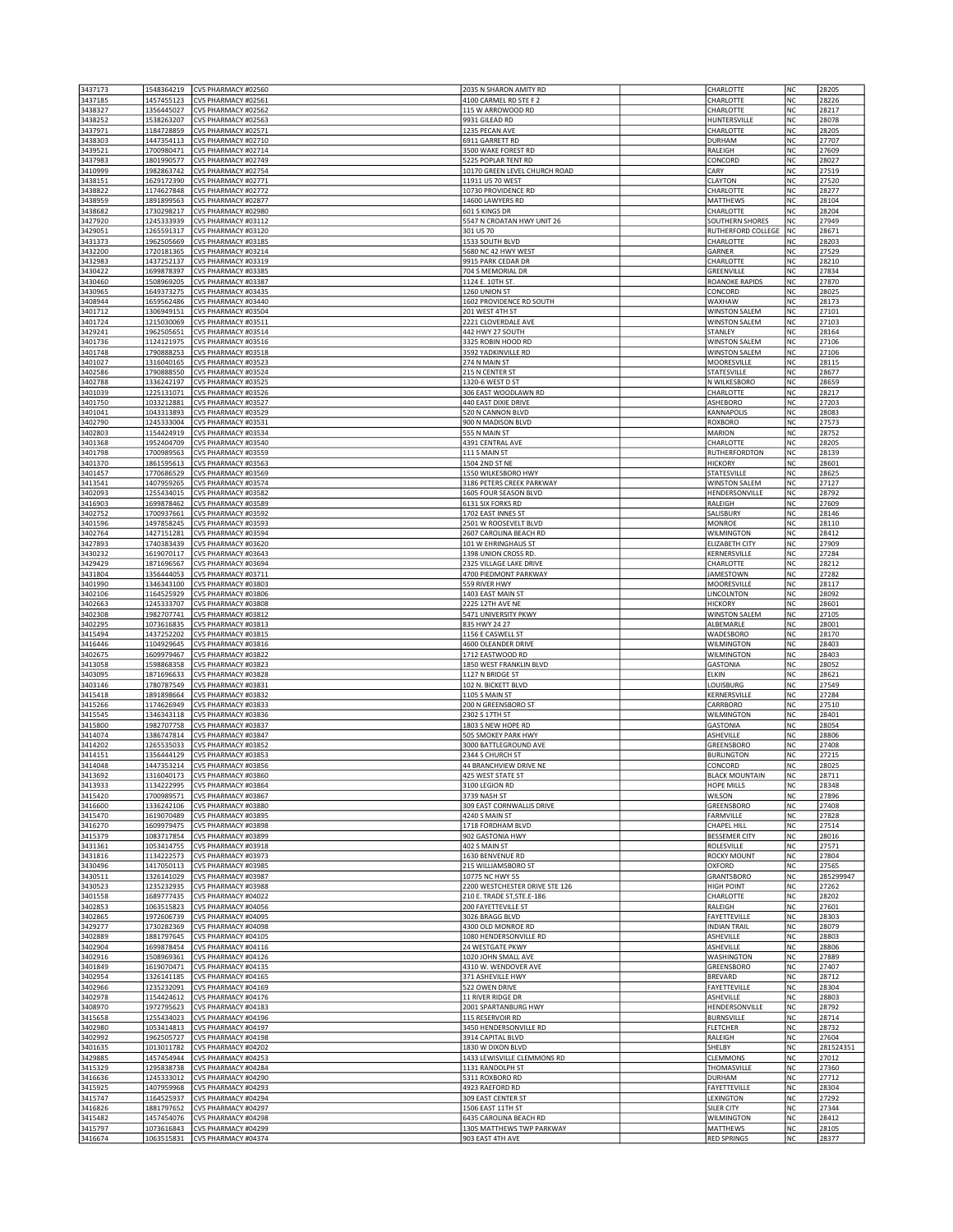| 3437173            | 1548364219               | CVS PHARMACY #02560                        | 2035 N SHARON AMITY RD                      | CHARLOTTE                                    | NC        | 28205          |
|--------------------|--------------------------|--------------------------------------------|---------------------------------------------|----------------------------------------------|-----------|----------------|
| 3437185            | 1457455123               | CVS PHARMACY #02561                        | 4100 CARMEL RD STE F 2                      | CHARLOTTE                                    | NC        | 28226          |
| 3438327            | 1356445027               | CVS PHARMACY #02562                        | 115 W ARROWOOD RD                           | CHARLOTTE                                    | NC        | 28217          |
| 3438252            | 1538263207               | CVS PHARMACY #02563                        | 9931 GILEAD RD                              | HUNTERSVILLE                                 | <b>NC</b> | 28078          |
| 3437971            | 1184728859               | CVS PHARMACY #02571                        | 1235 PECAN AVE                              | CHARLOTTE                                    | NC        | 28205          |
| 3438303            | 1447354113               | CVS PHARMACY #02710                        | 6911 GARRETT RD                             | DURHAM                                       | NC        | 27707          |
| 3439521            | 1700980471               | CVS PHARMACY #02714                        | 3500 WAKE FOREST RD                         | RALEIGH                                      | NC        | 27609          |
| 3437983            | 1801990577               | CVS PHARMACY #02749                        | 5225 POPLAR TENT RD                         | CONCORD                                      | NC        | 28027          |
| 3410999            | 1982863742               | CVS PHARMACY #02754                        | 10170 GREEN LEVEL CHURCH ROAD               | CARY                                         | NC        | 27519          |
| 3438151<br>3438822 | 1629172390<br>1174627848 | CVS PHARMACY #02771<br>CVS PHARMACY #02772 | 11911 US 70 WEST<br>10730 PROVIDENCE RD     | CLAYTON<br>CHARLOTTE                         | NC<br>NC  | 27520<br>28277 |
| 3438959            | 1891899563               | CVS PHARMACY #02877                        | 14600 LAWYERS RD                            | <b>MATTHEWS</b>                              | NC        | 28104          |
| 3438682            | 1730298217               | CVS PHARMACY #02980                        | 601 S KINGS DR                              | CHARLOTTE                                    | NC        | 28204          |
| 3427920            | 1245333939               | CVS PHARMACY #03112                        | 5547 N CROATAN HWY UNIT 26                  | SOUTHERN SHORES                              | NC        | 27949          |
| 3429051            | 1265591317               | CVS PHARMACY #03120                        | 301 US 70                                   | RUTHERFORD COLLEGE                           | NC        | 28671          |
| 3431373            | 1962505669               | CVS PHARMACY #03185                        | 1533 SOUTH BLVD                             | CHARLOTTE                                    | <b>NC</b> | 28203          |
| 3432200            | 1720181365               | CVS PHARMACY #03214                        | 5680 NC 42 HWY WEST                         | GARNER                                       | NC        | 27529          |
| 3432983            | 1437252137               | CVS PHARMACY #03319                        | 9915 PARK CEDAR DR                          | CHARLOTTE                                    | NC        | 28210          |
| 3430422            | 1699878397               | CVS PHARMACY #03385                        | 704 S MEMORIAL DR                           | GREENVILLE                                   | NC        | 27834          |
| 3430460            | 1508969205               | CVS PHARMACY #03387                        | 1124 E. 10TH ST.                            | <b>ROANOKE RAPIDS</b>                        | NC        | 27870          |
| 3430965            | 1649373275               | CVS PHARMACY #03435                        | 1260 UNION ST                               | CONCORD                                      | NC        | 28025          |
| 3408944<br>3401712 | 1659562486               | CVS PHARMACY #03440<br>CVS PHARMACY #03504 | 1602 PROVIDENCE RD SOUTH                    | WAXHAW                                       | NC<br>NC  | 28173<br>27101 |
| 3401724            | 1306949151<br>1215030069 | CVS PHARMACY #03511                        | 201 WEST 4TH ST<br>2221 CLOVERDALE AVE      | <b>WINSTON SALEM</b><br><b>WINSTON SALEM</b> | NC        | 27103          |
| 3429241            | 1962505651               | CVS PHARMACY #03514                        | 442 HWY 27 SOUTH                            | STANLEY                                      | NC        | 28164          |
| 3401736            | 1124121975               | CVS PHARMACY #03516                        | 3325 ROBIN HOOD RD                          | <b>WINSTON SALEM</b>                         | NC        | 27106          |
| 3401748            | 1790888253               | CVS PHARMACY #03518                        | 3592 YADKINVILLE RD                         | <b>WINSTON SALEM</b>                         | NC        | 27106          |
| 3401027            | 1316040165               | CVS PHARMACY #03523                        | 274 N MAIN ST                               | MOORESVILLE                                  | NC        | 28115          |
| 3402586            | 1790888550               | CVS PHARMACY #03524                        | 215 N CENTER ST                             | STATESVILLE                                  | NC        | 28677          |
| 3402788            | 1336242197               | CVS PHARMACY #03525                        | 1320-6 WEST D ST                            | N WILKESBORO                                 | NC        | 28659          |
| 3401039            | 1225131071               | CVS PHARMACY #03526                        | 306 EAST WOODLAWN RD                        | CHARLOTTE                                    | NC        | 28217          |
| 3401750            | 1033212881               | CVS PHARMACY #03527                        | 440 EAST DIXIE DRIVE                        | ASHEBORO                                     | NC        | 27203          |
| 3401041            | 1043313893               | CVS PHARMACY #03529                        | 520 N CANNON BLVD                           | KANNAPOLIS                                   | NC        | 28083          |
| 3402790            | 1245333004               | CVS PHARMACY #03531                        | 900 N MADISON BLVD                          | ROXBORO                                      | NC        | 27573          |
| 3402803            | 1154424919               | CVS PHARMACY #03534                        | 555 N MAIN ST                               | MARION                                       | NC        | 28752          |
| 3401368<br>3401798 | 1952404709<br>1700989563 | CVS PHARMACY #03540<br>CVS PHARMACY #03559 | 4391 CENTRAL AVE<br>111 S MAIN ST           | CHARLOTTE<br>RUTHERFORDTON                   | NC<br>NC  | 28205<br>28139 |
| 3401370            | 1861595613               | CVS PHARMACY #03563                        | 1504 2ND ST NE                              | <b>HICKORY</b>                               | NC        | 28601          |
| 3401457            | 1770686529               | CVS PHARMACY #03569                        | 1550 WILKESBORO HWY                         | STATESVILLE                                  | NC        | 28625          |
| 3413541            | 1407959265               | CVS PHARMACY #03574                        | 3186 PETERS CREEK PARKWAY                   | <b>WINSTON SALEM</b>                         | NC        | 27127          |
| 3402093            | 1255434015               | CVS PHARMACY #03582                        | 1605 FOUR SEASON BLVD                       | HENDERSONVILLE                               | NC        | 28792          |
| 3416903            | 1699878462               | CVS PHARMACY #03589                        | 6131 SIX FORKS RD                           | RALEIGH                                      | NC        | 27609          |
| 3402752            | 1700937661               | CVS PHARMACY #03592                        | 1702 EAST INNES ST                          | SALISBURY                                    | NC        | 28146          |
| 3401596            | 1497858245               | CVS PHARMACY #03593                        | 2501 W ROOSEVELT BLVD                       | <b>MONROE</b>                                | NC        | 28110          |
| 3402764            | 1427151281               | CVS PHARMACY #03594                        | 2607 CAROLINA BEACH RD                      | WILMINGTON                                   | NC        | 28412          |
| 3427893            | 1740383439               | CVS PHARMACY #03620                        | 101 W EHRINGHAUS ST                         | ELIZABETH CITY                               | NC        | 27909          |
| 3430232            | 1619070117               | CVS PHARMACY #03643                        | 1398 UNION CROSS RD.                        | KERNERSVILLE                                 | NC        | 27284          |
| 3429429            | 1871696567               | CVS PHARMACY #03694                        | 2325 VILLAGE LAKE DRIVE                     | CHARLOTTE                                    | NC        | 28212          |
| 3431804<br>3401990 | 1356444053<br>1346343100 | CVS PHARMACY #03711<br>CVS PHARMACY #03803 | 4700 PIEDMONT PARKWAY<br>559 RIVER HWY      | <b>JAMESTOWN</b><br><b>MOORESVILLE</b>       | NC<br>NC  | 27282<br>28117 |
| 3402106            | 1164525929               | CVS PHARMACY #03806                        | 1403 EAST MAIN ST                           | LINCOLNTON                                   | NC        | 28092          |
| 3402663            | 1245333707               | CVS PHARMACY #03808                        | 2225 12TH AVE NE                            | <b>HICKORY</b>                               | NC        | 28601          |
| 3402308            | 1982707741               | CVS PHARMACY #03812                        | 5471 UNIVERSITY PKWY                        | <b>WINSTON SALEM</b>                         | NC        | 27105          |
| 3402295            | 1073616835               | CVS PHARMACY #03813                        | 835 HWY 24 27                               | ALBEMARLE                                    | NC        | 28001          |
| 3415494            | 1437252202               | CVS PHARMACY #03815                        | 1156 E CASWELL ST                           | WADESBORO                                    | NC        | 28170          |
| 3416446            | 1104929645               | CVS PHARMACY #03816                        | 4600 OLEANDER DRIVE                         | <b>WILMINGTON</b>                            | NC        | 28403          |
| 3402675            | 1609979467               | CVS PHARMACY #03822                        | 1712 EASTWOOD RD                            | <b>WILMINGTON</b>                            | NC        | 28403          |
| 3413058            | 1598868358               | CVS PHARMACY #03823                        | 1850 WEST FRANKLIN BLVD                     | <b>GASTONIA</b>                              | NC        | 28052          |
| 3403095            | 1871696633               | CVS PHARMACY #03828                        | 1127 N BRIDGE ST                            | ELKIN                                        | NC        | 28621          |
| 3403146            | 1780787549               | CVS PHARMACY #03831                        | 102 N. BICKETT BLVD                         | LOUISBURG                                    | NC        | 27549          |
| 3415418            | 1891898664               | CVS PHARMACY #03832                        | 1105 S MAIN ST                              | KERNERSVILLE                                 | NC        | 27284          |
| 3415266<br>3415545 | 1174626949<br>1346343118 | CVS PHARMACY #03833<br>CVS PHARMACY #03836 | 200 N GREENSBORO ST<br>2302 S 17TH ST       | CARRBORO<br>WILMINGTON                       | NC<br>NC  | 27510<br>28401 |
| 3415800            | 1982707758               | CVS PHARMACY #03837                        | 1803 S NEW HOPE RD                          | <b>GASTONIA</b>                              | NC        | 28054          |
| 3414074            | 1386747814               | CVS PHARMACY #03847                        | 505 SMOKEY PARK HWY                         | ASHEVILLE                                    | NC        | 28806          |
| 3414202            | 1265535033               | CVS PHARMACY #03852                        | 3000 BATTLEGROUND AVE                       | GREENSBORO                                   | NC        | 27408          |
| 3414151            | 1356444129               | CVS PHARMACY #03853                        | 2344 S CHURCH ST                            | <b>BURLINGTON</b>                            | <b>NC</b> | 27215          |
| 3414048            | 1447353214               | CVS PHARMACY #03856                        | 44 BRANCHVIEW DRIVE NE                      | CONCORD                                      | NC        | 28025          |
| 3413692            | 1316040173               | CVS PHARMACY #03860                        | 425 WEST STATE ST                           | <b>BLACK MOUNTAIN</b>                        | NC        | 28711          |
| 3413933            | 1134222995               | CVS PHARMACY #03864                        | 3100 LEGION RD                              | <b>HOPE MILLS</b>                            | NC        | 28348          |
| 3415420            | 1700989571               | CVS PHARMACY #03867                        | 3739 NASH ST                                | WILSON                                       | NC        | 27896          |
| 3416600            | 1336242106               | CVS PHARMACY #03880                        | 309 EAST CORNWALLIS DRIVE                   | GREENSBORO                                   | NC        | 27408          |
| 3415470            | 1619070489               | CVS PHARMACY #03895                        | 4240 S MAIN ST                              | FARMVILLE                                    | NC        | 27828          |
| 3416270<br>3415379 | 1609979475<br>1083717854 | CVS PHARMACY #03898<br>CVS PHARMACY #03899 | 1718 FORDHAM BLVD<br>902 GASTONIA HWY       | CHAPEL HILL<br><b>BESSEMER CITY</b>          | NC<br>NC  | 27514<br>28016 |
| 3431361            | 1053414755               | CVS PHARMACY #03918                        | 402 S MAIN ST                               | ROLESVILLE                                   | NC        | 27571          |
| 3431816            | 1134222573               | CVS PHARMACY #03973                        | 1630 BENVENUE RD                            | ROCKY MOUNT                                  | NC        | 27804          |
| 3430496            |                          |                                            |                                             |                                              | NC        | 27565          |
| 3430511            | 1417050113               | CVS PHARMACY #03985                        | 215 WILLIAMSBORO ST                         | <b>OXFORD</b>                                |           |                |
| 3430523            | 1326141029               | CVS PHARMACY #03987                        | 10775 NC HWY 55                             | GRANTSBORO                                   | NC        | 285299947      |
|                    | 1235232935               | CVS PHARMACY #03988                        | 2200 WESTCHESTER DRIVE STE 126              | HIGH POINT                                   | NC        | 27262          |
| 3401558            | 1689777435               | CVS PHARMACY #04022                        | 210 E. TRADE ST, STE.E-186                  | CHARLOTTE                                    | NC        | 28202          |
| 3402853            | 1063515823               | CVS PHARMACY #04056                        | 200 FAYETTEVILLE ST                         | RALEIGH                                      | NC        | 27601          |
| 3402865            | 1972606739               | CVS PHARMACY #04095                        | 3026 BRAGG BLVD                             | FAYETTEVILLE                                 | NC        | 28303          |
| 3429277            | 1730282369               | CVS PHARMACY #04098                        | 4300 OLD MONROE RD                          | <b>INDIAN TRAIL</b>                          | NC        | 28079          |
| 3402889            | 1881797645               | CVS PHARMACY #04105                        | 1080 HENDERSONVILLE RD                      | ASHEVILLE                                    | NC        | 28803          |
| 3402904            | 1699878454               | CVS PHARMACY #04116                        | 24 WESTGATE PKWY                            | ASHEVILLE                                    | NC        | 28806          |
| 3402916            | 1508969361               | CVS PHARMACY #04126                        | 1020 JOHN SMALL AVE                         | WASHINGTON                                   | NC        | 27889          |
| 3401849            | 1619070471               | CVS PHARMACY #04135                        | 4310 W. WENDOVER AVE                        | GREENSBORO                                   | NC        | 27407          |
| 3402954<br>3402966 | 1326141185<br>1235232091 | CVS PHARMACY #04165<br>CVS PHARMACY #04169 | 371 ASHEVILLE HWY<br>522 OWEN DRIVE         | <b>BREVARD</b><br>FAYETTEVILLE               | NC<br>NC  | 28712<br>28304 |
| 3402978            | 1154424612               | CVS PHARMACY #04176                        | 11 RIVER RIDGE DR                           | ASHEVILLE                                    | NC        | 28803          |
| 3408970            | 1972795623               | CVS PHARMACY #04183                        | 2001 SPARTANBURG HWY                        | HENDERSONVILLE                               | NC        | 28792          |
| 3415658            | 1255434023               | CVS PHARMACY #04196                        | 115 RESERVOIR RD                            | <b>BURNSVILLE</b>                            | NC        | 28714          |
| 3402980            | 1053414813               | CVS PHARMACY #04197                        | 3450 HENDERSONVILLE RD                      | <b>FLETCHER</b>                              | NC        | 28732          |
| 3402992            | 1962505727               | CVS PHARMACY #04198                        | 3914 CAPITAL BLVD                           | RALEIGH                                      | NC        | 27604          |
| 3401635            | 1013011782               | CVS PHARMACY #04202                        | 1830 W DIXON BLVD                           | SHELBY                                       | NC        | 281524351      |
| 3429885            | 1457454944               | CVS PHARMACY #04253                        | 1433 LEWISVILLE CLEMMONS RD                 | CLEMMONS                                     | NC        | 27012          |
| 3415329            | 1295838738               | CVS PHARMACY #04284                        | 1131 RANDOLPH ST                            | THOMASVILLE                                  | NC        | 27360          |
| 3416636            | 1245333012               | CVS PHARMACY #04290                        | 5311 ROXBORO RD                             | <b>DURHAM</b>                                | NC        | 27712          |
| 3415925            | 1407959968               | CVS PHARMACY #04293                        | 4923 RAEFORD RD                             | <b>FAYETTEVILLE</b>                          | NC        | 28304          |
| 3415747            | 1164525937               | CVS PHARMACY #04294                        | 309 EAST CENTER ST                          | LEXINGTON                                    | NC        | 27292          |
| 3416826<br>3415482 | 1881797652<br>1457454076 | CVS PHARMACY #04297<br>CVS PHARMACY #04298 | 1506 EAST 11TH ST<br>6435 CAROLINA BEACH RD | <b>SILER CITY</b><br>WILMINGTON              | NC<br>NC  | 27344<br>28412 |
| 3415797            | 1073616843               | CVS PHARMACY #04299                        | 1305 MATTHEWS TWP PARKWAY                   | <b>MATTHEWS</b><br><b>RED SPRINGS</b>        | NC<br>NC  | 28105          |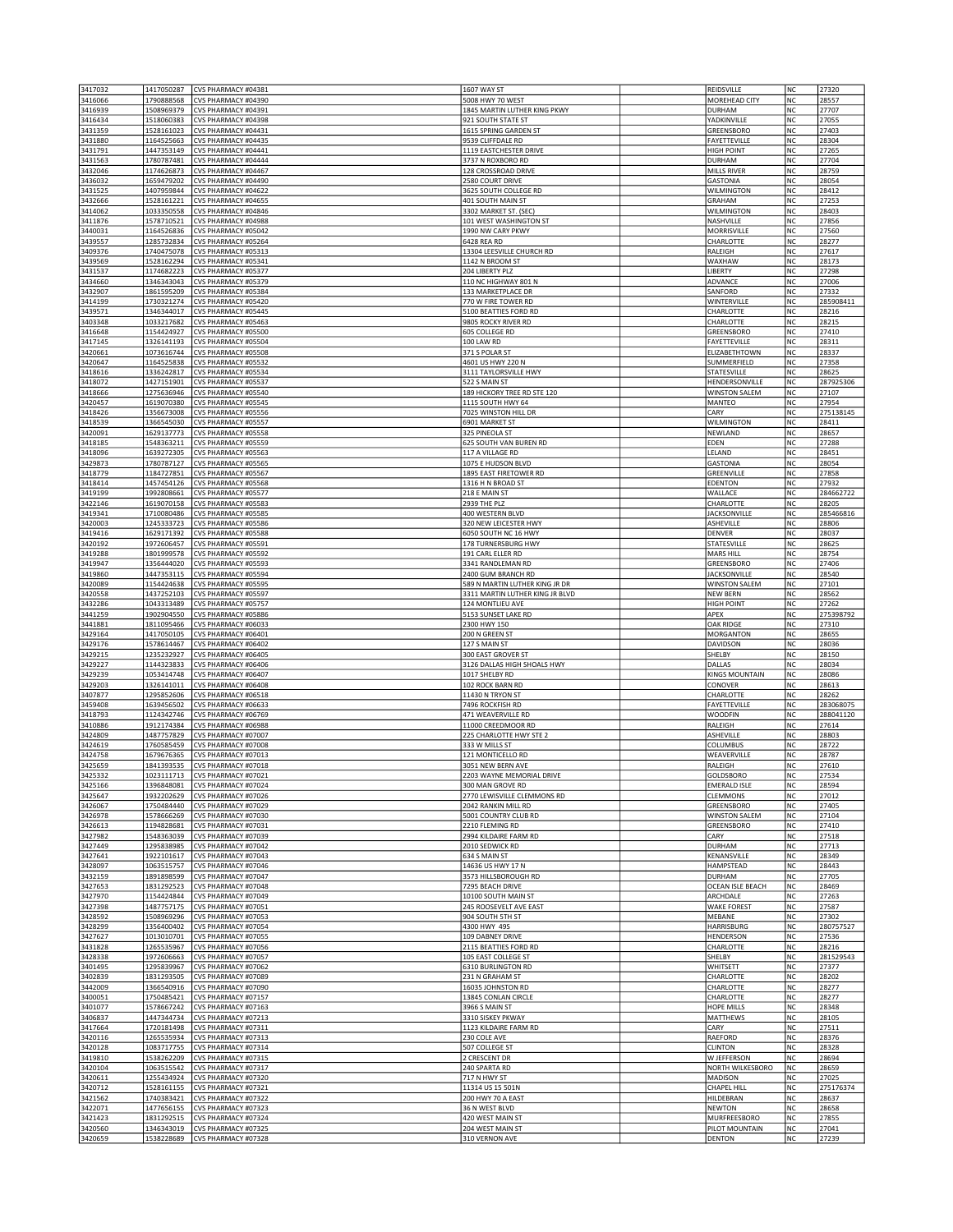| 3417032            | 1417050287               | CVS PHARMACY #04381                        | 1607 WAY ST                                 | REIDSVILLE                       | NC              | 27320              |
|--------------------|--------------------------|--------------------------------------------|---------------------------------------------|----------------------------------|-----------------|--------------------|
| 3416066            | 1790888568               | CVS PHARMACY #04390                        | 5008 HWY 70 WEST                            | MOREHEAD CITY                    | NC              | 28557              |
| 3416939            | 1508969379               | CVS PHARMACY #04391                        | 1845 MARTIN LUTHER KING PKWY                | DURHAM                           | NC              | 27707              |
| 3416434            | 1518060383               | CVS PHARMACY #04398                        | 921 SOUTH STATE ST                          | YADKINVILLE                      | <b>NC</b>       | 27055              |
| 3431359            | 1528161023               | CVS PHARMACY #04431                        | 1615 SPRING GARDEN ST                       | GREENSBORO                       | <b>NC</b>       | 27403              |
| 3431880            | 1164525663               | CVS PHARMACY #04435                        | 9539 CLIFFDALE RD                           | FAYETTEVILLE                     | NC              | 28304              |
| 3431791            | 1447353149               | CVS PHARMACY #04441                        | 1119 EASTCHESTER DRIVE                      | <b>HIGH POINT</b>                | NC              | 27265              |
| 3431563            | 1780787481               | CVS PHARMACY #04444                        | 3737 N ROXBORO RD                           | <b>DURHAM</b>                    | NC              | 27704              |
| 3432046            | 1174626873               | CVS PHARMACY #04467<br>CVS PHARMACY #04490 | 128 CROSSROAD DRIVE                         | MILLS RIVER                      | NC              | 28759              |
| 3436032<br>3431525 | 1659479202<br>1407959844 | CVS PHARMACY #04622                        | 2580 COURT DRIVE<br>3625 SOUTH COLLEGE RD   | <b>GASTONIA</b><br>WILMINGTON    | NC<br><b>NC</b> | 28054<br>28412     |
| 3432666            | 1528161221               | CVS PHARMACY #04655                        | 401 SOUTH MAIN ST                           | <b>GRAHAM</b>                    | NC              | 27253              |
| 3414062            | 1033350558               | CVS PHARMACY #04846                        | 3302 MARKET ST. (SEC)                       | <b>WILMINGTON</b>                | NC              | 28403              |
| 3411876            | 1578710521               | CVS PHARMACY #04988                        | 101 WEST WASHINGTON ST                      | NASHVILLE                        | NC              | 27856              |
| 3440031            | 1164526836               | CVS PHARMACY #05042                        | 1990 NW CARY PKWY                           | MORRISVILLE                      | NC              | 27560              |
| 3439557            | 1285732834               | CVS PHARMACY #05264                        | 6428 REA RD                                 | CHARLOTTE                        | NC              | 28277              |
| 3409376            | 1740475078               | CVS PHARMACY #05313                        | 13304 LEESVILLE CHURCH RD                   | RALEIGH                          | <b>NC</b>       | 27617              |
| 3439569            | 1528162294               | CVS PHARMACY #05341                        | 1142 N BROOM ST                             | WAXHAW                           | NC              | 28173              |
| 3431537            | 1174682223               | CVS PHARMACY #05377                        | 204 LIBERTY PLZ                             | LIBERTY                          | NC              | 27298              |
| 3434660            | 1346343043               | CVS PHARMACY #05379                        | 110 NC HIGHWAY 801 N                        | ADVANCE                          | NC              | 27006              |
| 3432907            | 1861595209               | CVS PHARMACY #05384                        | 133 MARKETPLACE DR                          | SANFORD                          | NC              | 27332              |
| 3414199            | 1730321274               | CVS PHARMACY #05420                        | 770 W FIRE TOWER RD                         | WINTERVILLE                      | NC              | 285908411          |
| 3439571            | 1346344017               | CVS PHARMACY #05445                        | 5100 BEATTIES FORD RD                       | CHARLOTTE                        | NC              | 28216              |
| 3403348<br>3416648 | 1033217682<br>1154424927 | CVS PHARMACY #05463<br>CVS PHARMACY #05500 | 9805 ROCKY RIVER RD<br>605 COLLEGE RD       | CHARLOTTE<br>GREENSBORO          | <b>NC</b><br>NC | 28215<br>27410     |
| 3417145            | 1326141193               | CVS PHARMACY #05504                        | 100 LAW RD                                  | <b>FAYETTEVILLE</b>              | NC              | 28311              |
| 3420661            | 1073616744               | CVS PHARMACY #05508                        | 371 S POLAR ST                              | ELIZABETHTOWN                    | NC              | 28337              |
| 3420647            | 1164525838               | CVS PHARMACY #05532                        | 4601 US HWY 220 N                           | SUMMERFIELD                      | NC              | 27358              |
| 3418616            | 1336242817               | CVS PHARMACY #05534                        | 3111 TAYLORSVILLE HWY                       | STATESVILLE                      | <b>NC</b>       | 28625              |
| 3418072            | 1427151901               | CVS PHARMACY #05537                        | 522 S MAIN ST                               | HENDERSONVILLE                   | <b>NC</b>       | 287925306          |
| 3418666            | 1275636946               | CVS PHARMACY #05540                        | 189 HICKORY TREE RD STE 120                 | <b>WINSTON SALEM</b>             | NC              | 27107              |
| 3420457            | 1619070380               | CVS PHARMACY #05545                        | 1115 SOUTH HWY 64                           | MANTEO                           | NC              | 27954              |
| 3418426            | 1356673008               | CVS PHARMACY #05556                        | 7025 WINSTON HILL DR                        | CARY                             | NC              | 275138145          |
| 3418539            | 1366545030               | CVS PHARMACY #05557                        | 6901 MARKET ST                              | WILMINGTON                       | NC              | 28411              |
| 3420091            | 1629137773               | CVS PHARMACY #05558                        | 325 PINEOLA ST                              | NEWLAND                          | NC              | 28657              |
| 3418185            | 1548363211               | CVS PHARMACY #05559                        | 625 SOUTH VAN BUREN RD                      | EDEN                             | NC              | 27288              |
| 3418096            | 1639272305               | CVS PHARMACY #05563                        | 117 A VILLAGE RD                            | LELAND                           | NC              | 28451              |
| 3429873            | 1780787127               | CVS PHARMACY #05565                        | 1075 E HUDSON BLVD                          | <b>GASTONIA</b>                  | NC              | 28054              |
| 3418779<br>3418414 | 1184727851<br>1457454126 | CVS PHARMACY #05567<br>CVS PHARMACY #05568 | 1895 EAST FIRETOWER RD                      | GREENVILLE<br>EDENTON            | NC<br>NC        | 27858<br>27932     |
| 3419199            | 1992808661               | CVS PHARMACY #05577                        | 1316 H N BROAD ST<br>218 E MAIN ST          | WALLACE                          | NC              | 284662722          |
| 3422146            | 1619070158               | CVS PHARMACY #05583                        | 2939 THE PLZ                                | CHARLOTTE                        | <b>NC</b>       | 28205              |
| 3419341            | 1710080486               | CVS PHARMACY #05585                        | 400 WESTERN BLVD                            | <b>JACKSONVILLE</b>              | <b>NC</b>       | 285466816          |
| 3420003            | 1245333723               | CVS PHARMACY #05586                        | 320 NEW LEICESTER HWY                       | ASHEVILLE                        | NC              | 28806              |
| 3419416            | 1629171392               | CVS PHARMACY #05588                        | 6050 SOUTH NC 16 HWY                        | <b>DENVER</b>                    | NC              | 28037              |
| 3420192            | 1972606457               | CVS PHARMACY #05591                        | 178 TURNERSBURG HWY                         | STATESVILLE                      | NC              | 28625              |
| 3419288            | 1801999578               | CVS PHARMACY #05592                        | 191 CARL ELLER RD                           | MARS HILL                        | NC              | 28754              |
| 3419947            | 1356444020               | CVS PHARMACY #05593                        | 3341 RANDLEMAN RD                           | GREENSBORO                       | NC              | 27406              |
| 3419860            | 1447353115               | CVS PHARMACY #05594                        | 2400 GUM BRANCH RD                          | <b>JACKSONVILLE</b>              | <b>NC</b>       | 28540              |
| 3420089            | 1154424638               | CVS PHARMACY #05595                        | 589 N MARTIN LUTHER KING JR DR              | <b>WINSTON SALEM</b>             | NC              | 27101              |
| 3420558            | 1437252103               | CVS PHARMACY #05597                        | 3311 MARTIN LUTHER KING JR BLVD             | <b>NEW BERN</b>                  | NC              | 28562              |
| 3432286            | 1043313489               | CVS PHARMACY #05757                        | 124 MONTLIEU AVE                            | <b>HIGH POINT</b>                | NC              | 27262              |
|                    |                          |                                            |                                             |                                  |                 |                    |
| 3441259            | 1902904550               | CVS PHARMACY #05886                        | 5153 SUNSET LAKE RD                         | APEX                             | NC              | 275398792          |
| 3441881            | 1811095466               | CVS PHARMACY #06033                        | 2300 HWY 150                                | OAK RIDGE                        | NC              | 27310              |
| 3429164            | 1417050105               | CVS PHARMACY #06401                        | 200 N GREEN ST                              | MORGANTON                        | <b>NC</b>       | 28655              |
| 3429176            | 1578614467               | CVS PHARMACY #06402                        | 127 S MAIN ST                               | DAVIDSON                         | NC              | 28036              |
| 3429215            | 1235232927               | CVS PHARMACY #06405                        | 300 EAST GROVER ST                          | SHELBY                           | NC              | 28150              |
| 3429227            | 1144323833               | CVS PHARMACY #06406                        | 3126 DALLAS HIGH SHOALS HWY                 | DALLAS                           | <b>NC</b>       | 28034              |
| 3429239            | 1053414748               | CVS PHARMACY #06407<br>CVS PHARMACY #06408 | 1017 SHELBY RD                              | <b>KINGS MOUNTAIN</b><br>CONOVER | NC<br>NC        | 28086<br>28613     |
| 3429203<br>3407877 | 1326141011               | CVS PHARMACY #06518                        | 102 ROCK BARN RD<br>11430 N TRYON ST        | CHARLOTTE                        | <b>NC</b>       | 28262              |
| 3459408            | 1295852606<br>1639456502 | CVS PHARMACY #06633                        | 7496 ROCKFISH RD                            | FAYETTEVILLE                     | NC              | 283068075          |
| 3418793            | 1124342746               | CVS PHARMACY #06769                        | 471 WEAVERVILLE RD                          | <b>WOODFIN</b>                   | NC              | 288041120          |
| 3410886            | 1912174384               | CVS PHARMACY #06988                        | 11000 CREEDMOOR RD                          | RALEIGH                          | NC              | 27614              |
| 3424809            | 1487757829               | CVS PHARMACY #07007                        | 225 CHARLOTTE HWY STE 2                     | ASHEVILLE                        | NC              | 28803              |
| 3424619            | 1760585459               | CVS PHARMACY #07008                        | 333 W MILLS ST                              | COLUMBUS                         | NC              | 28722              |
| 3424758            | 1679676365               | CVS PHARMACY #07013                        | 121 MONTICELLO RD                           | WEAVERVILLE                      | N <sub>C</sub>  | 28787              |
| 3425659            | 1841393535               | CVS PHARMACY #07018                        | 3051 NEW BERN AVE                           | RALEIGH                          | <b>NC</b>       | 27610              |
| 3425332            | 1023111713               | CVS PHARMACY #07021                        | 2203 WAYNE MEMORIAL DRIVE                   | GOLDSBORO                        | NC              | 27534              |
| 3425166            | 1396848081               | CVS PHARMACY #07024                        | 300 MAN GROVE RD                            | <b>EMERALD ISLE</b>              | NC              | 28594              |
| 3425647            | 1932202629               | CVS PHARMACY #07026                        | 2770 LEWISVILLE CLEMMONS RD                 | CLEMMONS<br>GREENSBORO           | NC<br>NC        | 27012              |
| 3426067<br>3426978 | 1750484440<br>1578666269 | CVS PHARMACY #07029<br>CVS PHARMACY #07030 | 2042 RANKIN MILL RD<br>5001 COUNTRY CLUB RD | <b>WINSTON SALEM</b>             | NC              | 27405<br>27104     |
| 3426613            | 1194828681               | CVS PHARMACY #07031                        | 2210 FLEMING RD                             | GREENSBORO                       | <b>NC</b>       | 27410              |
| 3427982            | 1548363039               | CVS PHARMACY #07039                        | 2994 KILDAIRE FARM RD                       | CARY                             | NC              | 27518              |
| 3427449            | 1295838985               | CVS PHARMACY #07042                        | 2010 SEDWICK RD                             | <b>DURHAM</b>                    | NC              | 27713              |
| 3427641            | 1922101617               | CVS PHARMACY #07043                        | 634 S MAIN ST                               | KENANSVILLE                      | NC              | 28349              |
| 3428097            | 1063515757               | CVS PHARMACY #07046                        | 14636 US HWY 17 N                           | HAMPSTEAD                        | NC              | 28443              |
| 3432159            | 1891898599               | CVS PHARMACY #07047                        | 3573 HILLSBOROUGH RD                        | <b>DURHAM</b>                    | NC              | 27705              |
| 3427653            | 1831292523               | CVS PHARMACY #07048                        | 7295 BEACH DRIVE                            | OCEAN ISLE BEACH                 | <b>NC</b>       | 28469              |
| 3427970            | 1154424844               | CVS PHARMACY #07049                        | 10100 SOUTH MAIN ST                         | ARCHDALE                         | NC              | 27263              |
| 3427398            | 1487757175               | CVS PHARMACY #07051                        | 245 ROOSEVELT AVE EAST                      | <b>WAKE FOREST</b>               | NC              | 27587              |
| 3428592            | 1508969296               | CVS PHARMACY #07053                        | 904 SOUTH 5TH ST                            | MEBANE                           | NC              | 27302              |
| 3428299            | 1356400402               | CVS PHARMACY #07054<br>CVS PHARMACY #07055 | 4300 HWY 49S                                | HARRISBURG                       | NC              | 280757527          |
| 3427627            | 1013010701               | CVS PHARMACY #07056                        | 109 DABNEY DRIVE<br>2115 BEATTIES FORD RD   | HENDERSON<br>CHARLOTTE           | NC<br>NC        | 27536<br>28216     |
| 3431828<br>3428338 | 1265535967<br>1972606663 | CVS PHARMACY #07057                        | 105 EAST COLLEGE ST                         | SHELBY                           | NC              | 281529543          |
| 3401495            | 1295839967               | CVS PHARMACY #07062                        | 6310 BURLINGTON RD                          | WHITSETT                         | NC              | 27377              |
| 3402839            | 1831293505               | CVS PHARMACY #07089                        | 231 N GRAHAM ST                             | CHARLOTTE                        | NC              | 28202              |
| 3442009            | 1366540916               | CVS PHARMACY #07090                        | 16035 JOHNSTON RD                           | CHARLOTTE                        | NC              | 28277              |
| 3400051            | 1750485421               | CVS PHARMACY #07157                        | 13845 CONLAN CIRCLE                         | CHARLOTTE                        | NC              | 28277              |
| 3401077            | 1578667242               | CVS PHARMACY #07163                        | 3966 S MAIN ST                              | HOPE MILLS                       | <b>NC</b>       | 28348              |
| 3406837            | 1447344734               | CVS PHARMACY #07213                        | 3310 SISKEY PKWAY                           | MATTHEWS                         | NC              | 28105              |
| 3417664            | 1720181498               | CVS PHARMACY #07311                        | 1123 KILDAIRE FARM RD                       | CARY                             | NC              | 27511              |
| 3420116            | 1265535934               | CVS PHARMACY #07313                        | 230 COLE AVE                                | RAEFORD                          | NC              | 28376              |
| 3420128            | 1083717755               | CVS PHARMACY #07314                        | 507 COLLEGE ST                              | <b>CLINTON</b>                   | NC              | 28328              |
| 3419810            | 1538262209               | CVS PHARMACY #07315                        | 2 CRESCENT DR                               | W JEFFERSON                      | NC              | 28694              |
| 3420104            | 1063515542               | CVS PHARMACY #07317                        | 240 SPARTA RD                               | NORTH WILKESBORO                 | NC              | 28659              |
| 3420611            | 1255434924               | CVS PHARMACY #07320                        | 717 N HWY ST                                | MADISON                          | NC              | 27025              |
| 3420712            | 1528161155<br>1740383421 | CVS PHARMACY #07321<br>CVS PHARMACY #07322 | 11314 US 15 501N<br>200 HWY 70 A EAST       | CHAPEL HILL<br>HILDEBRAN         | NC<br>NC        | 275176374<br>28637 |
| 3421562<br>3422071 | 1477656155               | CVS PHARMACY #07323                        | 36 N WEST BLVD                              | <b>NEWTON</b>                    | NC              | 28658              |
| 3421423            | 1831292515               | CVS PHARMACY #07324                        | 420 WEST MAIN ST                            | MURFREESBORO                     | NC              | 27855              |
| 3420560<br>3420659 | 1346343019               | CVS PHARMACY #07325                        | 204 WEST MAIN ST                            | PILOT MOUNTAIN<br><b>DENTON</b>  | NC<br>NC        | 27041<br>27239     |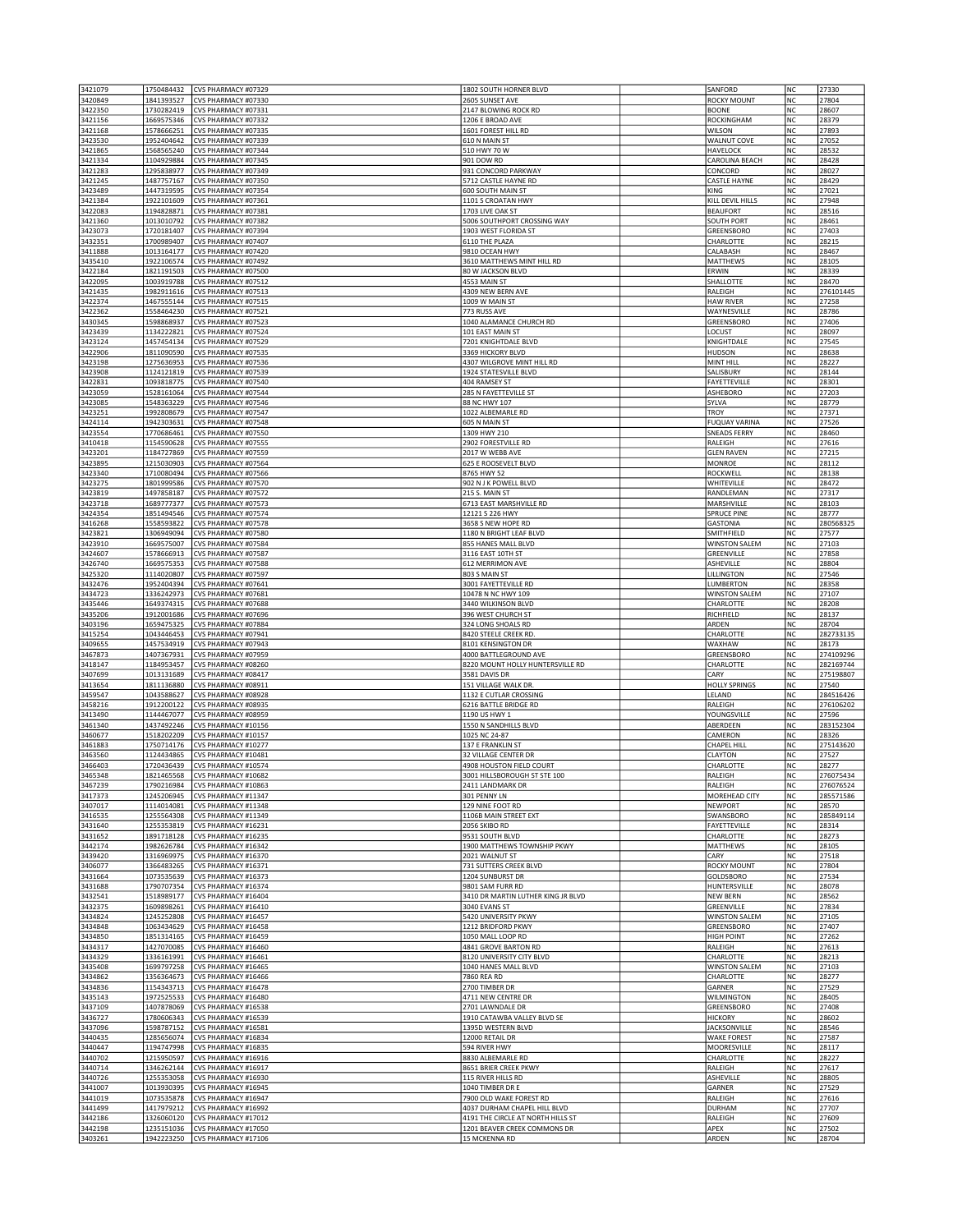| 3421079            | 1750484432               | CVS PHARMACY #07329                        | 1802 SOUTH HORNER BLVD                                            | SANFORD                           | NC              | 27330              |
|--------------------|--------------------------|--------------------------------------------|-------------------------------------------------------------------|-----------------------------------|-----------------|--------------------|
| 3420849            | 1841393527               | CVS PHARMACY #07330                        | 2605 SUNSET AVE                                                   | <b>ROCKY MOUNT</b>                | NC              | 27804              |
| 3422350            | 1730282419               | CVS PHARMACY #07331                        | 2147 BLOWING ROCK RD                                              | <b>BOONE</b>                      | NC              | 28607              |
| 3421156            | 1669575346               | CVS PHARMACY #07332                        | 1206 E BROAD AVE                                                  | ROCKINGHAM                        | <b>NC</b>       | 28379              |
| 3421168<br>3423530 | 1578666251<br>1952404642 | CVS PHARMACY #07335<br>CVS PHARMACY #07339 | 1601 FOREST HILL RD<br>610 N MAIN ST                              | WILSON<br><b>WALNUT COVE</b>      | <b>NC</b><br>NC | 27893<br>27052     |
| 3421865            | 1568565240               | CVS PHARMACY #07344                        | 510 HWY 70 W                                                      | <b>HAVELOCK</b>                   | NC              | 28532              |
| 3421334            | 1104929884               | CVS PHARMACY #07345                        | 901 DOW RD                                                        | CAROLINA BEACH                    | NC              | 28428              |
| 3421283            | 1295838977               | CVS PHARMACY #07349                        | 931 CONCORD PARKWAY                                               | CONCORD                           | NC              | 28027              |
| 3421245            | 1487757167               | CVS PHARMACY #07350                        | 5712 CASTLE HAYNE RD                                              | <b>CASTLE HAYNE</b>               | NC              | 28429              |
| 3423489            | 1447319595               | CVS PHARMACY #07354                        | 600 SOUTH MAIN ST                                                 | KING                              | <b>NC</b>       | 27021              |
| 3421384            | 1922101609               | CVS PHARMACY #07361                        | 1101 S CROATAN HWY                                                | KILL DEVIL HILLS                  | NC              | 27948              |
| 3422083            | 1194828871               | CVS PHARMACY #07381                        | 1703 LIVE OAK ST                                                  | <b>BEAUFORT</b>                   | NC              | 28516              |
| 3421360            | 1013010792               | CVS PHARMACY #07382                        | 5006 SOUTHPORT CROSSING WAY                                       | <b>SOUTH PORT</b>                 | NC              | 28461              |
| 3423073<br>3432351 | 1720181407<br>1700989407 | CVS PHARMACY #07394<br>CVS PHARMACY #07407 | 1903 WEST FLORIDA ST<br>6110 THE PLAZA                            | GREENSBORO<br>CHARLOTTE           | NC<br>NC        | 27403<br>28215     |
| 3411888            | 1013164177               | CVS PHARMACY #07420                        | 9810 OCEAN HWY                                                    | CALABASH                          | <b>NC</b>       | 28467              |
| 3435410            | 1922106574               | CVS PHARMACY #07492                        | 3610 MATTHEWS MINT HILL RD                                        | MATTHEWS                          | <b>NC</b>       | 28105              |
| 3422184            | 1821191503               | CVS PHARMACY #07500                        | 80 W JACKSON BLVD                                                 | ERWIN                             | NC              | 28339              |
| 3422095            | 1003919788               | CVS PHARMACY #07512                        | 4553 MAIN ST                                                      | SHALLOTTE                         | NC              | 28470              |
| 3421435            | 1982911616               | CVS PHARMACY #07513                        | 4309 NEW BERN AVE                                                 | RALEIGH                           | NC              | 276101445          |
| 3422374            | 1467555144               | CVS PHARMACY #07515                        | 1009 W MAIN ST                                                    | <b>HAW RIVER</b>                  | NC              | 27258              |
| 3422362            | 1558464230               | CVS PHARMACY #07521                        | 773 RUSS AVE                                                      | WAYNESVILLE                       | NC              | 28786              |
| 3430345            | 1598868937               | CVS PHARMACY #07523                        | 1040 ALAMANCE CHURCH RD                                           | GREENSBORO                        | <b>NC</b>       | 27406              |
| 3423439            | 1134222821               | CVS PHARMACY #07524                        | 101 EAST MAIN ST                                                  | LOCUST                            | NC              | 28097              |
| 3423124<br>3422906 | 1457454134               | CVS PHARMACY #07529<br>CVS PHARMACY #07535 | 7201 KNIGHTDALE BLVD<br>3369 HICKORY BLVD                         | KNIGHTDALE                        | NC<br>NC        | 27545<br>28638     |
| 3423198            | 1811090590<br>1275636953 | CVS PHARMACY #07536                        | 4307 WILGROVE MINT HILL RD                                        | <b>HUDSON</b><br>MINT HILL        | NC              | 28227              |
| 3423908            | 1124121819               | CVS PHARMACY #07539                        | 1924 STATESVILLE BLVD                                             | SALISBURY                         | NC              | 28144              |
| 3422831            | 1093818775               | CVS PHARMACY #07540                        | 404 RAMSEY ST                                                     | FAYETTEVILLE                      | <b>NC</b>       | 28301              |
| 3423059            | 1528161064               | CVS PHARMACY #07544                        | 285 N FAYETTEVILLE ST                                             | ASHEBORO                          | <b>NC</b>       | 27203              |
| 3423085            | 1548363229               | CVS PHARMACY #07546                        | 88 NC HWY 107                                                     | SYLVA                             | NC              | 28779              |
| 3423251            | 1992808679               | CVS PHARMACY #07547                        | 1022 ALBEMARLE RD                                                 | <b>TROY</b>                       | NC              | 27371              |
| 3424114            | 1942303631               | CVS PHARMACY #07548                        | 605 N MAIN ST                                                     | <b>FUQUAY VARINA</b>              | NC              | 27526              |
| 3423554            | 1770686461               | CVS PHARMACY #07550                        | 1309 HWY 210                                                      | <b>SNEADS FERRY</b>               | NC              | 28460              |
| 3410418            | 1154590628               | CVS PHARMACY #07555                        | 2902 FORESTVILLE RD                                               | RALEIGH                           | <b>NC</b>       | 27616              |
| 3423201            | 1184727869               | CVS PHARMACY #07559                        | 2017 W WEBB AVE                                                   | <b>GLEN RAVEN</b>                 | NC              | 27215              |
| 3423895            | 1215030903               | CVS PHARMACY #07564                        | 625 E ROOSEVELT BLVD                                              | <b>MONROE</b>                     | NC              | 28112              |
| 3423340<br>3423275 | 1710080494<br>1801999586 | CVS PHARMACY #07566<br>CVS PHARMACY #07570 | 8765 HWY 52<br>902 N J K POWELL BLVD                              | ROCKWELI<br>WHITEVILLE            | NC<br>NC        | 28138<br>28472     |
| 3423819            | 1497858187               | CVS PHARMACY #07572                        | 215 S. MAIN ST                                                    | RANDLEMAN                         | NC              | 27317              |
| 3423718            | 1689777377               | CVS PHARMACY #07573                        | 6713 EAST MARSHVILLE RD                                           | MARSHVILLE                        | <b>NC</b>       | 28103              |
| 3424354            | 1851494546               | CVS PHARMACY #07574                        | 12121 S 226 HWY                                                   | <b>SPRUCE PINE</b>                | NC              | 28777              |
| 3416268            | 1558593822               | CVS PHARMACY #07578                        | 3658 S NEW HOPE RD                                                | <b>GASTONIA</b>                   | NC              | 280568325          |
| 3423821            | 1306949094               | CVS PHARMACY #07580                        | 1180 N BRIGHT LEAF BLVD                                           | SMITHFIELD                        | NC              | 27577              |
| 3423910            | 1669575007               | CVS PHARMACY #07584                        | 855 HANES MALL BLVD                                               | <b>WINSTON SALEM</b>              | NC              | 27103              |
| 3424607            | 1578666913               | CVS PHARMACY #07587                        | 3116 EAST 10TH ST                                                 | GREENVILLE                        | NC              | 27858              |
| 3426740            | 1669575353               | CVS PHARMACY #07588                        | 612 MERRIMON AVE                                                  | ASHEVILLE                         | NC              | 28804              |
| 3425320            | 1114020807               | CVS PHARMACY #07597                        | 803 S MAIN ST                                                     | LILLINGTON                        | <b>NC</b>       | 27546              |
| 3432476            | 1952404394               | CVS PHARMACY #07641                        | 3001 FAYETTEVILLE RD                                              | <b>LUMBERTON</b>                  | NC              | 28358              |
| 3434723            | 1336242973               | CVS PHARMACY #07681                        | 10478 N NC HWY 109                                                | <b>WINSTON SALEM</b>              | NC              | 27107              |
| 3435446            | 1649374315               | CVS PHARMACY #07688                        | 3440 WILKINSON BLVD                                               | CHARLOTTE                         | NC<br>NC        | 28208              |
| 3435206<br>3403196 | 1912001686<br>1659475325 | CVS PHARMACY #07696<br>CVS PHARMACY #07884 | 396 WEST CHURCH ST<br>324 LONG SHOALS RD                          | RICHFIELD<br>ARDEN                | NC              | 28137<br>28704     |
| 3415254            | 1043446453               | CVS PHARMACY #07941                        | 8420 STEELE CREEK RD                                              | CHARLOTTE                         | <b>NC</b>       | 282733135          |
| 3409655            | 1457534919               | CVS PHARMACY #07943                        | 8101 KENSINGTON DR                                                | WAXHAW                            | <b>NC</b>       | 28173              |
| 3467873            | 1407367931               | CVS PHARMACY #07959                        | 4000 BATTLEGROUND AVE                                             | GREENSBORO                        | NC              | 274109296          |
| 3418147            | 1184953457               | CVS PHARMACY #08260                        | 8220 MOUNT HOLLY HUNTERSVILLE RD                                  | CHARLOTTE                         | NC)             | 282169744          |
| 3407699            | 1013131689               | CVS PHARMACY #08417                        | 3581 DAVIS DR                                                     | CARY                              | NC              | 275198807          |
| 3413654            | 1811136880               | CVS PHARMACY #08911                        | 151 VILLAGE WALK DR.                                              | <b>HOLLY SPRINGS</b>              | NC              | 27540              |
| 3459547            | 1043588627               | CVS PHARMACY #08928                        | 1132 E CUTLAR CROSSING                                            | LELAND                            | <b>NC</b>       | 284516426          |
| 3458216            | 1912200122               | CVS PHARMACY #08935                        | 6216 BATTLE BRIDGE RD                                             | RALEIGH                           | NC              | 276106202          |
| 3413490            | 1144467077               | CVS PHARMACY #08959                        | 1190 US HWY 1                                                     | YOUNGSVILLE                       | NC              | 27596              |
| 3461340            | 1437492246               | CVS PHARMACY #10156                        | 1550 N SANDHILLS BLVD                                             | ABERDEEN                          | NC              | 283152304          |
| 3460677<br>3461883 | 1518202209<br>1750714176 | CVS PHARMACY #10157<br>CVS PHARMACY #10277 | 1025 NC 24-87<br>137 E FRANKLIN ST                                | CAMERON<br>CHAPEL HILL            | NC<br>NC        | 28326<br>275143620 |
| 3463560            | 1124434865               | CVS PHARMACY #10481                        | 32 VILLAGE CENTER DR                                              | CLAYTON                           | <b>NC</b>       | 27527              |
| 3466403            | 1720436439               | CVS PHARMACY #10574                        | 4908 HOUSTON FIELD COURT                                          | CHARLOTTE                         | <b>NC</b>       | 28277              |
| 3465348            | 1821465568               | CVS PHARMACY #10682                        | 3001 HILLSBOROUGH ST STE 100                                      | RALEIGH                           | NC              | 276075434          |
| 3467239            | 1790216984               | CVS PHARMACY #10863                        | 2411 LANDMARK DR                                                  | RALEIGH                           | NC              | 276076524          |
| 3417373            | 1245206945               | CVS PHARMACY #11347                        | 301 PENNY LN                                                      | MOREHEAD CITY                     | NC              | 285571586          |
| 3407017            | 1114014081               | CVS PHARMACY #11348                        | 129 NINE FOOT RD                                                  | <b>NEWPORT</b>                    | NC              | 28570              |
| 3416535            | 1255564308               | CVS PHARMACY #11349                        | 1106B MAIN STREET EXT                                             | SWANSBORO                         | NC              | 285849114          |
| 3431640            | 1255353819               | CVS PHARMACY #16231                        | 2056 SKIBO RD                                                     | FAYETTEVILLE                      | NC              | 28314              |
| 3431652            | 1891718128               | CVS PHARMACY #16235                        | 9531 SOUTH BLVD                                                   | CHARLOTTE                         | NC<br>NC        | 28273<br>28105     |
| 3442174<br>3439420 | 1982626784<br>1316969975 | CVS PHARMACY #16342<br>CVS PHARMACY #16370 | 1900 MATTHEWS TOWNSHIP PKWY<br>2021 WALNUT ST                     | <b>MATTHEWS</b><br>CARY           | NC              | 27518              |
| 3406077            | 1366483265               | CVS PHARMACY #16371                        | 731 SUTTERS CREEK BLVD                                            | <b>ROCKY MOUNT</b>                | NC              | 27804              |
| 3431664            | 1073535639               | CVS PHARMACY #16373                        | 1204 SUNBURST DR                                                  | GOLDSBORO                         | NC              | 27534              |
| 3431688            | 1790707354               | CVS PHARMACY #16374                        | 9801 SAM FURR RD                                                  | HUNTERSVILLE                      | <b>NC</b>       | 28078              |
| 3432541            | 1518989177               | CVS PHARMACY #16404                        | 3410 DR MARTIN LUTHER KING JR BLVD                                | <b>NEW BERN</b>                   | <b>NC</b>       | 28562              |
| 3432375            | 1609898261               | CVS PHARMACY #16410                        | 3040 EVANS ST                                                     | GREENVILLE                        | NC              | 27834              |
| 3434824            | 1245252808               | CVS PHARMACY #16457                        | 5420 UNIVERSITY PKWY                                              | <b>WINSTON SALEM</b>              | NC              | 27105              |
| 3434848            | 1063434629               | CVS PHARMACY #16458                        | 1212 BRIDFORD PKWY                                                | GREENSBORO                        | NC              | 27407              |
| 3434850            | 1851314165               | CVS PHARMACY #16459                        | 1050 MALL LOOP RD                                                 | <b>HIGH POINT</b>                 | NC              | 27262              |
| 3434317            | 1427070085               | CVS PHARMACY #16460                        | 4841 GROVE BARTON RD                                              | RALEIGH                           | NC              | 27613              |
| 3434329            | 1336161991               | CVS PHARMACY #16461                        | 8120 UNIVERSITY CITY BLVD<br>1040 HANES MALL BLVD                 | CHARLOTTE                         | NC              | 28213              |
| 3435408            | 1699797258<br>1356364673 | CVS PHARMACY #16465<br>CVS PHARMACY #16466 | 7860 REA RD                                                       | <b>WINSTON SALEM</b><br>CHARLOTTE | NC<br>NC        | 27103<br>28277     |
| 3434862<br>3434836 | 1154343713               | CVS PHARMACY #16478                        | 2700 TIMBER DR                                                    | GARNER                            | NC              | 27529              |
| 3435143            | 1972525533               | CVS PHARMACY #16480                        | 4711 NEW CENTRE DR                                                | <b>WILMINGTON</b>                 | NC              | 28405              |
| 3437109            | 1407878069               | CVS PHARMACY #16538                        | 2701 LAWNDALE DR                                                  | GREENSBORO                        | NC              | 27408              |
| 3436727            | 1780606343               | CVS PHARMACY #16539                        | 1910 CATAWBA VALLEY BLVD SE                                       | <b>HICKORY</b>                    | NC              | 28602              |
| 3437096            | 1598787152               | CVS PHARMACY #16581                        | 1395D WESTERN BLVD                                                | <b>JACKSONVILLE</b>               | NC              | 28546              |
| 3440435            | 1285656074               | CVS PHARMACY #16834                        | 12000 RETAIL DR                                                   | <b>WAKE FOREST</b>                | NC              | 27587              |
| 3440447            | 1194747998               | CVS PHARMACY #16835                        | 594 RIVER HWY                                                     | MOORESVILLE                       | NC              | 28117              |
| 3440702            | 1215950597               | CVS PHARMACY #16916                        | 8830 ALBEMARLE RD                                                 | CHARLOTTE                         | NC              | 28227              |
| 3440714            | 1346262144               | CVS PHARMACY #16917                        | 8651 BRIER CREEK PKWY                                             | RALEIGH                           | NC              | 27617              |
| 3440726            | 1255353058               | CVS PHARMACY #16930                        | 115 RIVER HILLS RD                                                | ASHEVILLE                         | NC              | 28805              |
| 3441007            | 1013930395               | CVS PHARMACY #16945                        | 1040 TIMBER DR E                                                  | GARNER                            | NC              | 27529              |
| 3441019            | 1073535878               | CVS PHARMACY #16947                        | 7900 OLD WAKE FOREST RD                                           | RALEIGH<br><b>DURHAM</b>          | NC<br>NC        | 27616<br>27707     |
| 3441499<br>3442186 | 1417979212<br>1326060120 | CVS PHARMACY #16992<br>CVS PHARMACY #17012 | 4037 DURHAM CHAPEL HILL BLVD<br>4191 THE CIRCLE AT NORTH HILLS ST | RALEIGH                           | NC              | 27609              |
| 3442198            | 1235151036               | CVS PHARMACY #17050                        | 1201 BEAVER CREEK COMMONS DR                                      | APEX                              | NC              | 27502              |
| 3403261            |                          | 1942223250 CVS PHARMACY #17106             | 15 MCKENNA RD                                                     | ARDEN                             | NC              | 28704              |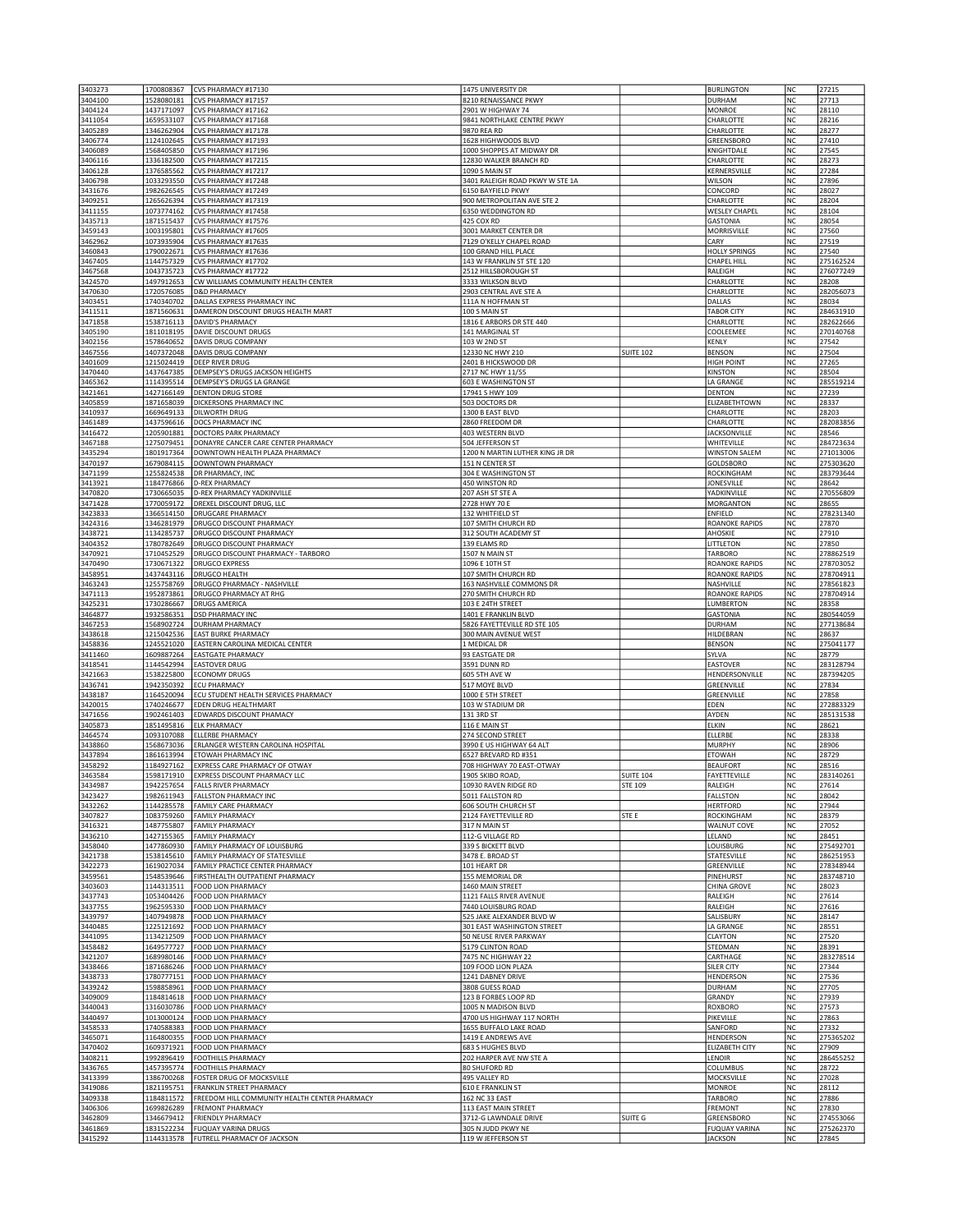| 3403273            | 1700808367               | CVS PHARMACY #17130                           | 1475 UNIVERSITY DR              |                  | <b>BURLINGTON</b>       | NC        | 27215     |
|--------------------|--------------------------|-----------------------------------------------|---------------------------------|------------------|-------------------------|-----------|-----------|
| 3404100            | 1528080181               | CVS PHARMACY #17157                           | 8210 RENAISSANCE PKWY           |                  | <b>DURHAM</b>           | NC        | 27713     |
| 3404124            | 1437171097               | CVS PHARMACY #17162                           | 2901 W HIGHWAY 74               |                  | MONROE                  | NC        | 28110     |
| 3411054            |                          | CVS PHARMACY #17168                           | 9841 NORTHLAKE CENTRE PKWY      |                  | CHARLOTTE               | <b>NC</b> | 28216     |
|                    | 1659533107<br>1346262904 | CVS PHARMACY #17178                           | 9870 REA RD                     |                  |                         | <b>NC</b> | 28277     |
| 3405289<br>3406774 | 1124102645               | CVS PHARMACY #17193                           | 1628 HIGHWOODS BLVD             |                  | CHARLOTTE<br>GREENSBORO | NC        | 27410     |
|                    |                          |                                               |                                 |                  |                         |           |           |
| 3406089            | 1568405850               | CVS PHARMACY #17196                           | 1000 SHOPPES AT MIDWAY DR       |                  | KNIGHTDALE              | NC        | 27545     |
| 3406116            | 1336182500               | CVS PHARMACY #17215                           | 12830 WALKER BRANCH RD          |                  | CHARLOTTE               | NC        | 28273     |
| 3406128            | 1376585562               | CVS PHARMACY #17217                           | 1090 S MAIN ST                  |                  | KERNERSVILLE            | NC        | 27284     |
| 3406798            | 1033293550               | CVS PHARMACY #17248                           | 3401 RALEIGH ROAD PKWY W STE 1A |                  | <b>WILSON</b>           | <b>NC</b> | 27896     |
| 3431676            | 1982626545               | CVS PHARMACY #17249                           | 6150 BAYFIELD PKWY              |                  | CONCORD                 | NC        | 28027     |
| 3409251            | 1265626394               | CVS PHARMACY #17319                           | 900 METROPOLITAN AVE STE 2      |                  | CHARLOTTE               | NC        | 28204     |
| 3411155            | 1073774162               | CVS PHARMACY #17458                           | 6350 WEDDINGTON RD              |                  | <b>WESLEY CHAPEL</b>    | NC        | 28104     |
| 3435713            | 1871515437               | CVS PHARMACY #17576                           | 425 COX RD                      |                  | <b>GASTONIA</b>         | NC        | 28054     |
| 3459143            | 1003195801               | CVS PHARMACY #17605                           | 3001 MARKET CENTER DR           |                  | MORRISVILLE             | NC        | 27560     |
| 3462962            | 1073935904               | CVS PHARMACY #17635                           | 7129 O'KELLY CHAPEL ROAD        |                  | CARY                    | NC        | 27519     |
| 3460843            | 1790022671               | CVS PHARMACY #17636                           | 100 GRAND HILL PLACE            |                  | <b>HOLLY SPRINGS</b>    | <b>NC</b> | 27540     |
| 3467405            | 1144757329               | CVS PHARMACY #17702                           | 143 W FRANKLIN ST STE 120       |                  | <b>CHAPEL HILL</b>      | NC        | 275162524 |
| 3467568            | 1043735723               | CVS PHARMACY #17722                           | 2512 HILLSBOROUGH ST            |                  | RALEIGH                 | NC        | 276077249 |
| 3424570            | 1497912653               | CW WILLIAMS COMMUNITY HEALTH CENTER           | 3333 WILKSON BLVD               |                  | CHARLOTTE               | NC        | 28208     |
| 3470630            | 1720576085               | <b>D&amp;D PHARMACY</b>                       | 2903 CENTRAL AVE STE A          |                  | CHARLOTTE               | NC        | 282056073 |
| 3403451            | 1740340702               | DALLAS EXPRESS PHARMACY INC                   | 111A N HOFFMAN ST               |                  | DALLAS                  | NC        | 28034     |
| 3411511            | 1871560631               | DAMERON DISCOUNT DRUGS HEALTH MART            | 100 S MAIN ST                   |                  | <b>TABOR CITY</b>       | NC        | 284631910 |
| 3471858            | 1538716113               | <b>DAVID'S PHARMACY</b>                       | 1816 E ARBORS DR STE 440        |                  | CHARLOTTE               | NC        | 282622666 |
|                    | 1811018195               | DAVIE DISCOUNT DRUGS                          | 141 MARGINAL ST                 |                  |                         |           |           |
| 3405190            |                          |                                               |                                 |                  | COOLEEMEE               | NC        | 270140768 |
| 3402156            | 1578640652               | DAVIS DRUG COMPANY                            | 103 W 2ND ST                    |                  | KENLY                   | NC        | 27542     |
| 3467556            | 1407372048               | DAVIS DRUG COMPANY                            | 12330 NC HWY 210                | <b>SUITE 102</b> | <b>BENSON</b>           | NC        | 27504     |
| 3401609            | 1215024419               | <b>DEEP RIVER DRUG</b>                        | 2401 B HICKSWOOD DR             |                  | HIGH POINT              | NC        | 27265     |
| 3470440            | 1437647385               | DEMPSEY'S DRUGS JACKSON HEIGHTS               | 2717 NC HWY 11/55               |                  | KINSTON                 | <b>NC</b> | 28504     |
| 3465362            | 1114395514               | DEMPSEY'S DRUGS LA GRANGE                     | <b>603 E WASHINGTON ST</b>      |                  | LA GRANGE               | <b>NC</b> | 285519214 |
| 3421461            | 1427166149               | <b>DENTON DRUG STORE</b>                      | 17941 S HWY 109                 |                  | <b>DENTON</b>           | NC        | 27239     |
| 3405859            | 1871658039               | DICKERSONS PHARMACY INC                       | 503 DOCTORS DR                  |                  | ELIZABETHTOWN           | NC        | 28337     |
| 3410937            | 1669649133               | <b>DILWORTH DRUG</b>                          | 1300 B EAST BLVD                |                  | CHARLOTTE               | NC        | 28203     |
| 3461489            | 1437596616               | <b>DOCS PHARMACY INC</b>                      | 2860 FREEDOM DR                 |                  | CHARLOTTE               | NC        | 282083856 |
| 3416472            | 1205901881               | <b>DOCTORS PARK PHARMACY</b>                  | 403 WESTERN BLVD                |                  | <b>JACKSONVILLE</b>     | NC        | 28546     |
| 3467188            | 1275079451               | DONAYRE CANCER CARE CENTER PHARMACY           | 504 JEFFERSON ST                |                  | WHITEVILLE              | NC        | 284723634 |
| 3435294            | 1801917364               | DOWNTOWN HEALTH PLAZA PHARMACY                | 1200 N MARTIN LUTHER KING JR DR |                  |                         | NC        | 271013006 |
|                    |                          |                                               |                                 |                  | <b>WINSTON SALEM</b>    |           |           |
| 3470197            | 1679084115               | DOWNTOWN PHARMACY                             | 151 N CENTER ST                 |                  | GOLDSBORO               | NC        | 275303620 |
| 3471199            | 1255824538               | DR PHARMACY, INC                              | 304 E WASHINGTON ST             |                  | ROCKINGHAM              | NC        | 283793644 |
| 3413921            | 1184776866               | <b>D-REX PHARMACY</b>                         | 450 WINSTON RD                  |                  | <b>JONESVILLE</b>       | NC        | 28642     |
| 3470820            | 1730665035               | D-REX PHARMACY YADKINVILLE                    | 207 ASH ST STE A                |                  | YADKINVILLE             | NC        | 270556809 |
| 3471428            | 1770059172               | DREXEL DISCOUNT DRUG, LLC                     | 2728 HWY 70 E                   |                  | <b>MORGANTON</b>        | <b>NC</b> | 28655     |
| 3423833            | 1366514150               | <b>DRUGCARE PHARMACY</b>                      | 132 WHITFIELD ST                |                  | <b>ENFIELD</b>          | NC        | 278231340 |
| 3424316            | 1346281979               | DRUGCO DISCOUNT PHARMACY                      | 107 SMITH CHURCH RD             |                  | <b>ROANOKE RAPIDS</b>   | NC        | 27870     |
| 3438721            | 1134285737               | DRUGCO DISCOUNT PHARMACY                      | 312 SOUTH ACADEMY ST            |                  | AHOSKIE                 | NC        | 27910     |
| 3404352            | 1780782649               | DRUGCO DISCOUNT PHARMACY                      | 139 ELAMS RD                    |                  | LITTLETON               | NC        | 27850     |
| 3470921            | 1710452529               | DRUGCO DISCOUNT PHARMACY - TARBORO            | 1507 N MAIN ST                  |                  | <b>TARBORO</b>          | NC        | 278862519 |
| 3470490            | 1730671322               | <b>DRUGCO EXPRESS</b>                         | 1096 E 10TH ST                  |                  | <b>ROANOKE RAPIDS</b>   | NC        | 278703052 |
| 3458951            | 1437443116               | <b>DRUGCO HEALTH</b>                          | 107 SMITH CHURCH RD             |                  | <b>ROANOKE RAPIDS</b>   | NC        | 278704911 |
|                    |                          |                                               |                                 |                  |                         |           |           |
| 3463243            | 1255758769               | <b>DRUGCO PHARMACY - NASHVILLE</b>            | 163 NASHVILLE COMMONS DR        |                  | NASHVILLE               | NC        | 278561823 |
| 3471113            | 1952873861               | DRUGCO PHARMACY AT RHG                        | 270 SMITH CHURCH RD             |                  | <b>ROANOKE RAPIDS</b>   | NC        | 278704914 |
| 3425231            | 1730286667               | <b>DRUGS AMERICA</b>                          | 103 E 24TH STREET               |                  | LUMBERTON               | NC        | 28358     |
| 3464877            | 1932586351               | <b>DSD PHARMACY INC</b>                       | 1401 E FRANKLIN BLVD            |                  | <b>GASTONIA</b>         | NC        | 280544059 |
| 3467253            | 1568902724               | <b>DURHAM PHARMACY</b>                        | 5826 FAYETTEVILLE RD STE 105    |                  | DURHAM                  | <b>NC</b> | 277138684 |
| 3438618            | 1215042536               | <b>EAST BURKE PHARMACY</b>                    | 300 MAIN AVENUE WEST            |                  | HILDEBRAN               | NC        | 28637     |
| 3458836            | 1245521020               | EASTERN CAROLINA MEDICAL CENTER               | 1 MEDICAL DR                    |                  | <b>BENSON</b>           | NC        | 275041177 |
| 3411460            | 1609887264               | <b>EASTGATE PHARMACY</b>                      | 93 EASTGATE DR                  |                  | SYLVA                   | NC        | 28779     |
| 3418541            | 1144542994               | <b>EASTOVER DRUG</b>                          | 3591 DUNN RD                    |                  | EASTOVER                | NC        | 283128794 |
| 3421663            | 1538225800               | <b>ECONOMY DRUGS</b>                          | <b>605 5TH AVE W</b>            |                  | HENDERSONVILLE          | NC        | 287394205 |
|                    | 1942350392               | <b>ECU PHARMACY</b>                           | 517 MOYE BLVD                   |                  | GREENVILLE              | <b>NC</b> | 27834     |
|                    |                          |                                               | 1000 E 5TH STREET               |                  |                         | NC        | 27858     |
| 3436741            |                          |                                               |                                 |                  |                         |           |           |
| 3438187            | 1164520094               | ECU STUDENT HEALTH SERVICES PHARMACY          |                                 |                  | GREENVILLE              |           |           |
| 3420015            | 1740246677               | EDEN DRUG HEALTHMART                          | 103 W STADIUM DR                |                  | EDEN                    | NC        | 272883329 |
| 3471656            | 1902461403               | EDWARDS DISCOUNT PHAMACY                      | 131 3RD ST                      |                  | AYDEN                   | NC        | 285131538 |
| 3405873            | 1851495816               | <b>ELK PHARMACY</b>                           | 116 E MAIN ST                   |                  | ELKIN                   | NC        | 28621     |
| 3464574            | 1093107088               | <b>ELLERBE PHARMACY</b>                       | 274 SECOND STREET               |                  | ELLERBE                 | NC        | 28338     |
| 3438860            | 1568673036               | ERLANGER WESTERN CAROLINA HOSPITAL            | 3990 E US HIGHWAY 64 ALT        |                  | <b>MURPHY</b>           | <b>NC</b> | 28906     |
| 3437894            | 1861613994               | ETOWAH PHARMACY INC                           | 6527 BREVARD RD #351            |                  | <b>ETOWAH</b>           | <b>NC</b> | 28729     |
| 3458292            | 1184927162               | EXPRESS CARE PHARMACY OF OTWAY                | 708 HIGHWAY 70 EAST-OTWAY       |                  | <b>BEAUFORT</b>         | <b>NC</b> | 28516     |
| 3463584            | 1598171910               | EXPRESS DISCOUNT PHARMACY LLC                 | 1905 SKIBO ROAD,                | <b>SUITE 104</b> | FAYETTEVILLE            | NC        | 283140261 |
| 3434987            | 1942257654               | <b>FALLS RIVER PHARMACY</b>                   | 10930 RAVEN RIDGE RD            | STE 109          | RALEIGH                 | NC        | 27614     |
| 3423427            | 1982611943               | <b>FALLSTON PHARMACY INC</b>                  | 5011 FALLSTON RD                |                  | <b>FALLSTON</b>         | NC        | 28042     |
| 3432262            | 1144285578               | <b>FAMILY CARE PHARMACY</b>                   | 606 SOUTH CHURCH ST             |                  | <b>HERTFORD</b>         | NC        | 27944     |
| 3407827            | 1083759260               | <b>FAMILY PHARMACY</b>                        | 2124 FAYETTEVILLE RD            | STE E            | ROCKINGHAM              | NC        | 28379     |
| 3416321            | 1487755807               | <b>FAMILY PHARMACY</b>                        | 317 N MAIN ST                   |                  | <b>WALNUT COVE</b>      | NC        | 27052     |
| 3436210            | 1427155365               | <b>FAMILY PHARMACY</b>                        | 112-G VILLAGE RD                |                  | LELAND                  | NC        | 28451     |
| 3458040            | 1477860930               | FAMILY PHARMACY OF LOUISBURG                  | 339 S BICKETT BLVD              |                  | LOUISBURG               | NC        | 275492701 |
| 3421738            | 1538145610               | FAMILY PHARMACY OF STATESVILLE                | 3478 E. BROAD ST                |                  | STATESVILLE             | NC        | 286251953 |
| 3422273            | 1619027034               | FAMILY PRACTICE CENTER PHARMACY               | 101 HEART DR                    |                  | GREENVILLE              | NC        | 278348944 |
| 3459561            | 1548539646               | FIRSTHEALTH OUTPATIENT PHARMACY               | 155 MEMORIAL DR                 |                  | PINEHURST               | <b>NC</b> | 283748710 |
| 3403603            | 1144313511               | <b>FOOD LION PHARMACY</b>                     | 1460 MAIN STREET                |                  | <b>CHINA GROVE</b>      | NC        | 28023     |
|                    |                          |                                               |                                 |                  |                         |           |           |
| 3437743            | 1053404426               | FOOD LION PHARMACY                            | 1121 FALLS RIVER AVENUE         |                  | RALEIGH                 | NC        | 27614     |
| 3437755            | 1962595330               | FOOD LION PHARMACY                            | 7440 LOUISBURG ROAD             |                  | RALEIGH                 | NC        | 27616     |
| 3439797            | 1407949878               | FOOD LION PHARMACY                            | 525 JAKE ALEXANDER BLVD W       |                  | SALISBURY               | NC        | 28147     |
| 3440485            | 1225121692               | <b>FOOD LION PHARMACY</b>                     | 301 EAST WASHINGTON STREET      |                  | LA GRANGE               | NC        | 28551     |
| 3441095            | 1134212509               | FOOD LION PHARMACY                            | 50 NEUSE RIVER PARKWAY          |                  | CLAYTON                 | NC        | 27520     |
| 3458482            | 1649577727               | <b>FOOD LION PHARMACY</b>                     | 5179 CLINTON ROAD               |                  | STEDMAN                 | NC        | 28391     |
| 3421207            | 1689980146               | FOOD LION PHARMACY                            | 7475 NC HIGHWAY 22              |                  | CARTHAGE                | NC        | 283278514 |
| 3438466            | 1871686246               | FOOD LION PHARMACY                            | 109 FOOD LION PLAZA             |                  | SILER CITY              | NC        | 27344     |
| 3438733            | 1780777151               | FOOD LION PHARMACY                            | 1241 DABNEY DRIVE               |                  | HENDERSON               | NC        | 27536     |
| 3439242            | 1598858961               | <b>FOOD LION PHARMACY</b>                     | 3808 GUESS ROAD                 |                  | <b>DURHAM</b>           | NC        | 27705     |
| 3409009            | 1184814618               | FOOD LION PHARMACY                            | 123 B FORBES LOOP RD            |                  | GRANDY                  | NC        | 27939     |
| 3440043            | 1316030786               | FOOD LION PHARMACY                            | 1005 N MADISON BLVD             |                  | <b>ROXBORO</b>          | <b>NC</b> | 27573     |
|                    |                          |                                               |                                 |                  | PIKEVILLE               |           |           |
| 3440497            | 1013000124               | FOOD LION PHARMACY                            | 4700 US HIGHWAY 117 NORTH       |                  |                         | NC        | 27863     |
| 3458533            | 1740588383               | <b>FOOD LION PHARMACY</b>                     | 1655 BUFFALO LAKE ROAD          |                  | SANFORD                 | NC        | 27332     |
| 3465071            | 1164800355               | FOOD LION PHARMACY                            | 1419 E ANDREWS AVE              |                  | HENDERSON               | NC        | 275365202 |
| 3470402            | 1609371921               | FOOD LION PHARMACY                            | 683 S HUGHES BLVD               |                  | ELIZABETH CITY          | NC        | 27909     |
| 3408211            | 1992896419               | <b>FOOTHILLS PHARMACY</b>                     | 202 HARPER AVE NW STE A         |                  | LENOIR                  | NC        | 286455252 |
| 3436765            | 1457395774               | <b>FOOTHILLS PHARMACY</b>                     | 80 SHUFORD RD                   |                  | COLUMBUS                | NC        | 28722     |
| 3413399            | 1386700268               | FOSTER DRUG OF MOCKSVILLE                     | 495 VALLEY RD                   |                  | MOCKSVILLE              | NC        | 27028     |
| 3419086            | 1821195751               | FRANKLIN STREET PHARMACY                      | <b>610 E FRANKLIN ST</b>        |                  | <b>MONROE</b>           | NC        | 28112     |
| 3409338            | 1184811572               | FREEDOM HILL COMMUNITY HEALTH CENTER PHARMACY | 162 NC 33 EAST                  |                  | TARBORO                 | NC        | 27886     |
| 3406306            | 1699826289               | <b>FREMONT PHARMACY</b>                       | 113 EAST MAIN STREET            |                  | <b>FREMONT</b>          | NC        | 27830     |
| 3462809            | 1346679412               | <b>FRIENDLY PHARMACY</b>                      | 3712-G LAWNDALE DRIVE           | SUITE G          | GREENSBORO              | NC        | 274553066 |
| 3461869            | 1831522234               | <b>FUQUAY VARINA DRUGS</b>                    | 305 N JUDD PKWY NE              |                  | <b>FUQUAY VARINA</b>    | <b>NC</b> | 275262370 |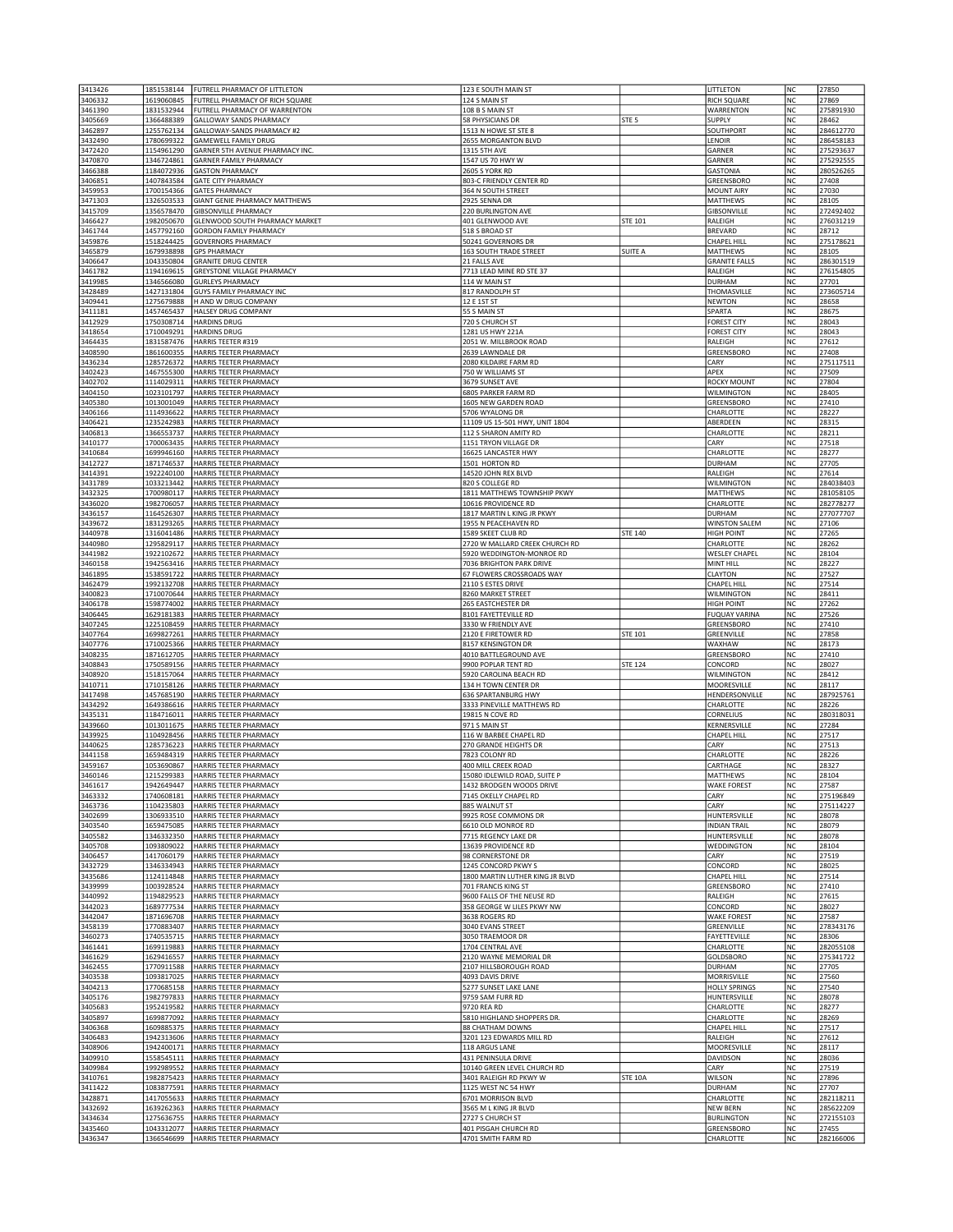| 3413426<br>3406332 | 1851538144<br>1619060845 | FUTRELL PHARMACY OF LITTLETON<br>FUTRELL PHARMACY OF RICH SQUARE | 123 E SOUTH MAIN ST<br>124 S MAIN ST                     |                  | LITTLETON<br><b>RICH SQUARE</b>           | NC<br>NC               | 27850<br>27869         |
|--------------------|--------------------------|------------------------------------------------------------------|----------------------------------------------------------|------------------|-------------------------------------------|------------------------|------------------------|
| 3461390            | 1831532944               | FUTRELL PHARMACY OF WARRENTON                                    | 108 B S MAIN ST                                          |                  | WARRENTON                                 | NC                     | 275891930              |
| 3405669            | 1366488389               | GALLOWAY SANDS PHARMACY                                          | 58 PHYSICIANS DR                                         | STE <sub>5</sub> | <b>SUPPLY</b>                             | NC                     | 28462                  |
| 3462897<br>3432490 | 1255762134<br>1780699322 | GALLOWAY-SANDS PHARMACY #2<br><b>GAMEWELL FAMILY DRUG</b>        | 1513 N HOWE ST STE 8<br>2655 MORGANTON BLVD              |                  | SOUTHPORT<br>LENOIR                       | NC<br><b>NC</b>        | 284612770<br>286458183 |
| 3472420            | 1154961290               | GARNER 5TH AVENUE PHARMACY INC.                                  | 1315 5TH AVE                                             |                  | GARNER                                    | NC                     | 275293637              |
| 3470870            | 1346724861               | <b>GARNER FAMILY PHARMACY</b>                                    | 1547 US 70 HWY W                                         |                  | GARNER                                    | NC<br>NC               | 275292555              |
| 3466388<br>3406851 | 1184072936<br>1407843584 | <b>GASTON PHARMACY</b><br><b>GATE CITY PHARMACY</b>              | 2605 S YORK RD<br>803-C FRIENDLY CENTER RD               |                  | <b>GASTONIA</b><br>GREENSBORO             | NC                     | 280526265<br>27408     |
| 3459953            | 1700154366               | <b>GATES PHARMACY</b>                                            | 364 N SOUTH STREET                                       |                  | <b>MOUNT AIRY</b>                         | NC                     | 27030                  |
| 3471303<br>3415709 | 1326503533<br>1356578470 | GIANT GENIE PHARMACY MATTHEWS<br><b>GIBSONVILLE PHARMACY</b>     | 2925 SENNA DR<br><b>220 BURLINGTON AVE</b>               |                  | <b>MATTHEWS</b><br><b>GIBSONVILLE</b>     | NC<br>NC               | 28105<br>272492402     |
| 3466427            | 1982050670               | GLENWOOD SOUTH PHARMACY MARKET                                   | 401 GLENWOOD AVE                                         | STE 101          | RALEIGH                                   | NC                     | 276031219              |
| 3461744            | 1457792160               | GORDON FAMILY PHARMACY                                           | 518 S BROAD ST                                           |                  | <b>BREVARD</b>                            | NC                     | 28712                  |
| 3459876<br>3465879 | 1518244425<br>1679938898 | <b>GOVERNORS PHARMACY</b><br><b>GPS PHARMACY</b>                 | 50241 GOVERNORS DR<br>163 SOUTH TRADE STREET             | SUITE A          | <b>CHAPEL HILL</b><br>MATTHEWS            | NC<br>NC               | 275178621<br>28105     |
| 3406647            | 1043350804               | <b>GRANITE DRUG CENTER</b>                                       | 21 FALLS AVE                                             |                  | <b>GRANITE FALLS</b>                      | <b>NC</b>              | 286301519              |
| 3461782<br>3419985 | 1194169615<br>1346566080 | GREYSTONE VILLAGE PHARMACY<br><b>GURLEYS PHARMACY</b>            | 7713 LEAD MINE RD STE 37<br>114 W MAIN ST                |                  | RALEIGH<br><b>DURHAM</b>                  | NC<br>NC               | 276154805<br>27701     |
| 3428489            | 1427131804               | <b>GUYS FAMILY PHARMACY INC</b>                                  | 817 RANDOLPH ST                                          |                  | THOMASVILLE                               | NC                     | 273605714              |
| 3409441            | 1275679888               | H AND W DRUG COMPANY                                             | 12 E 1ST ST                                              |                  | <b>NEWTON</b>                             | NC                     | 28658                  |
| 3411181<br>3412929 | 1457465437<br>1750308714 | HALSEY DRUG COMPANY<br><b>HARDINS DRUG</b>                       | 55 S MAIN ST<br>720 S CHURCH ST                          |                  | SPARTA<br><b>FOREST CITY</b>              | NC<br><b>NC</b>        | 28675<br>28043         |
| 3418654            | 1710049291               | <b>HARDINS DRUG</b>                                              | 1281 US HWY 221A                                         |                  | <b>FOREST CITY</b>                        | NC                     | 28043                  |
| 3464435<br>3408590 | 1831587476<br>1861600355 | <b>HARRIS TEETER #319</b><br>HARRIS TEETER PHARMACY              | 2051 W. MILLBROOK ROAD<br>2639 LAWNDALE DR               |                  | RALEIGH<br>GREENSBORO                     | NC<br>NC               | 27612<br>27408         |
| 3436234            | 1285726372               | HARRIS TEETER PHARMACY                                           | 2080 KILDAIRE FARM RD                                    |                  | CARY                                      | NC                     | 275117511              |
| 3402423            | 1467555300               | HARRIS TEETER PHARMACY                                           | 750 W WILLIAMS ST                                        |                  | APEX                                      | NC                     | 27509                  |
| 3402702<br>3404150 | 1114029311<br>1023101797 | HARRIS TEETER PHARMACY<br>HARRIS TEETER PHARMACY                 | 3679 SUNSET AVE<br>6805 PARKER FARM RD                   |                  | <b>ROCKY MOUNT</b><br><b>WILMINGTON</b>   | NC<br><b>NC</b>        | 27804<br>28405         |
| 3405380            | 1013001049               | HARRIS TEETER PHARMACY                                           | 1605 NEW GARDEN ROAD                                     |                  | GREENSBORO                                | NC                     | 27410                  |
| 3406166            | 1114936622               | HARRIS TEETER PHARMACY                                           | 5706 WYALONG DR<br>11109 US 15-501 HWY, UNIT 1804        |                  | CHARLOTTE                                 | NC<br>NC               | 28227<br>28315         |
| 3406421<br>3406813 | 1235242983<br>1366553737 | HARRIS TEETER PHARMACY<br>HARRIS TEETER PHARMACY                 | 112 S SHARON AMITY RD                                    |                  | ABERDEEN<br>CHARLOTTE                     | NC                     | 28211                  |
| 3410177            | 1700063435               | HARRIS TEETER PHARMACY                                           | 1151 TRYON VILLAGE DR                                    |                  | CARY                                      | NC                     | 27518                  |
| 3410684<br>3412727 | 1699946160<br>1871746537 | HARRIS TEETER PHARMACY<br>HARRIS TEETER PHARMACY                 | 16625 LANCASTER HWY<br>1501 HORTON RD                    |                  | CHARLOTTE<br><b>DURHAM</b>                | NC<br>NC               | 28277<br>27705         |
| 3414391            | 1922240100               | HARRIS TEETER PHARMACY                                           | 14520 JOHN REX BLVD                                      |                  | RALEIGH                                   | NC                     | 27614                  |
| 3431789            | 1033213442               | HARRIS TEETER PHARMACY                                           | 820 S COLLEGE RD                                         |                  | WILMINGTON                                | NC                     | 284038403<br>281058105 |
| 3432325<br>3436020 | 1700980117<br>1982706057 | HARRIS TEETER PHARMACY<br>HARRIS TEETER PHARMACY                 | 1811 MATTHEWS TOWNSHIP PKWY<br>10616 PROVIDENCE RD       |                  | MATTHEWS<br>CHARLOTTE                     | NC<br>NC               | 282778277              |
| 3436157            | 1164526307               | HARRIS TEETER PHARMACY                                           | 1817 MARTIN L KING JR PKWY                               |                  | <b>DURHAM</b>                             | <b>NC</b>              | 277077707              |
| 3439672<br>3440978 | 1831293265<br>1316041486 | HARRIS TEETER PHARMACY<br><b>HARRIS TEETER PHARMACY</b>          | 1955 N PEACEHAVEN RD<br>1589 SKEET CLUB RD               | <b>STE 140</b>   | <b>WINSTON SALEM</b><br><b>HIGH POINT</b> | <b>NC</b><br>NC        | 27106<br>27265         |
| 3440980            | 1295829117               | HARRIS TEETER PHARMACY                                           | 2720 W MALLARD CREEK CHURCH RD                           |                  | <b>CHARLOTTE</b>                          | NC                     | 28262                  |
| 3441982            | 1922102672               | HARRIS TEETER PHARMACY                                           | 5920 WEDDINGTON-MONROE RD                                |                  | <b>WESLEY CHAPEL</b>                      | NC                     | 28104                  |
| 3460158<br>3461895 | 1942563416<br>1538591722 | HARRIS TEETER PHARMACY<br>HARRIS TEETER PHARMACY                 | 7036 BRIGHTON PARK DRIVE<br>67 FLOWERS CROSSROADS WAY    |                  | MINT HILL<br>CLAYTON                      | NC<br>NC               | 28227<br>27527         |
| 3462479            | 1992132708               | HARRIS TEETER PHARMACY                                           | 2110 S ESTES DRIVE                                       |                  | <b>CHAPEL HILL</b>                        | NC                     | 27514                  |
| 3400823<br>3406178 | 1710070644<br>1598774002 | HARRIS TEETER PHARMACY<br>HARRIS TEETER PHARMACY                 | 8260 MARKET STREET<br>265 EASTCHESTER DR                 |                  | WILMINGTON<br><b>HIGH POINT</b>           | NC<br>NC               | 28411<br>27262         |
| 3406445            | 1629181383               | HARRIS TEETER PHARMACY                                           | 8101 FAYETTEVILLE RD                                     |                  | <b>FUQUAY VARINA</b>                      | NC                     | 27526                  |
| 3407245            | 1225108459               | HARRIS TEETER PHARMACY                                           | 3330 W FRIENDLY AVE                                      |                  | GREENSBORO                                | NC                     | 27410                  |
| 3407764<br>3407776 | 1699827261<br>1710025366 | HARRIS TEETER PHARMACY<br>HARRIS TEETER PHARMACY                 | 2120 E FIRETOWER RD<br>8157 KENSINGTON DR                | <b>STE 101</b>   | GREENVILLE<br>WAXHAW                      | <b>NC</b><br><b>NC</b> | 27858<br>28173         |
| 3408235            | 1871612705               | HARRIS TEETER PHARMACY                                           | 4010 BATTLEGROUND AVE                                    |                  | GREENSBORO                                | NC                     | 27410                  |
| 3408843            | 1750589156               | HARRIS TEETER PHARMACY                                           | 9900 POPLAR TENT RD                                      | <b>STE 124</b>   | CONCORD                                   | NC<br>NC               | 28027<br>28412         |
| 3408920<br>3410711 | 1518157064<br>1710158126 | HARRIS TEETER PHARMACY<br>HARRIS TEETER PHARMACY                 | 5920 CAROLINA BEACH RD<br>134 H TOWN CENTER DR           |                  | <b>WILMINGTON</b><br>MOORESVILLE          | NC                     | 28117                  |
| 3417498            | 1457685190               | <b>HARRIS TEETER PHARMACY</b>                                    | 636 SPARTANBURG HWY                                      |                  | HENDERSONVILLE                            | NC                     | 287925761              |
| 3434292<br>3435131 | 1649386616<br>1184716011 | <b>HARRIS TEETER PHARMACY</b><br>HARRIS TEETER PHARMACY          | 3333 PINEVILLE MATTHEWS RD<br>19815 N COVE RD            |                  | CHARLOTTE<br>CORNELIUS                    | NC<br>NC               | 28226<br>280318031     |
| 3439660            | 1013011675               | HARRIS TEETER PHARMACY                                           | 971 S MAIN ST                                            |                  | KERNERSVILLE                              | NC                     | 27284                  |
| 3439925            | 1104928456               | HARRIS TEETER PHARMACY<br>HARRIS TEETER PHARMACY                 | 116 W BARBEE CHAPEL RD                                   |                  | <b>CHAPEL HILL</b>                        | NC                     | 27517                  |
| 3440625<br>3441158 | 1285736223<br>1659484319 | HARRIS TEETER PHARMACY                                           | 270 GRANDE HEIGHTS DR<br>7823 COLONY RD                  |                  | CARY<br>CHARLOTTE                         | NC<br><b>NC</b>        | 27513<br>28226         |
| 3459167            | 1053690867               | HARRIS TEETER PHARMACY                                           | 400 MILL CREEK ROAD                                      |                  | CARTHAGE                                  | N <sub>C</sub>         | 28327                  |
| 3460146<br>3461617 | 1215299383               | HARRIS TEETER PHARMACY<br>1942649447  HARRIS TEETER PHARMACY     | 15080 IDLEWILD ROAD, SUITE P<br>1432 BRODGEN WOODS DRIVE |                  | <b>MATTHEWS</b><br><b>WAKE FOREST</b>     | NC<br>NC               | 28104<br>27587         |
| 3463332            | 1740608181               | HARRIS TEETER PHARMACY                                           | 7145 OKELLY CHAPEL RD                                    |                  | CARY                                      | NC                     | 275196849              |
| 3463736            | 1104235803               | HARRIS TEETER PHARMACY                                           | 885 WALNUT ST                                            |                  | CARY                                      | NC                     | 275114227              |
| 3402699<br>3403540 | 1306933510<br>1659475085 | HARRIS TEETER PHARMACY<br>HARRIS TEETER PHARMACY                 | 9925 ROSE COMMONS DR<br>6610 OLD MONROE RD               |                  | HUNTERSVILLE<br><b>INDIAN TRAIL</b>       | NC<br>NC               | 28078<br>28079         |
| 3405582            | 1346332350               | HARRIS TEETER PHARMACY                                           | 7715 REGENCY LAKE DR                                     |                  | HUNTERSVILLE                              | NC                     | 28078                  |
| 3405708<br>3406457 | 1093809022<br>1417060179 | HARRIS TEETER PHARMACY<br><b>HARRIS TEETER PHARMACY</b>          | 13639 PROVIDENCE RD<br>98 CORNERSTONE DR                 |                  | <b>WEDDINGTON</b><br>CARY                 | NC<br>NC               | 28104<br>27519         |
| 3432729            | 1346334943               | HARRIS TEETER PHARMACY                                           | 1245 CONCORD PKWY S                                      |                  | CONCORD                                   | NC                     | 28025                  |
| 3435686<br>3439999 | 1124114848<br>1003928524 | HARRIS TEETER PHARMACY<br>HARRIS TEETER PHARMACY                 | 1800 MARTIN LUTHER KING JR BLVD                          |                  | <b>CHAPEL HILL</b><br>GREENSBORO          | NC                     | 27514                  |
| 3440992            | 1194829523               | HARRIS TEETER PHARMACY                                           | 701 FRANCIS KING ST<br>9600 FALLS OF THE NEUSE RD        |                  | RALEIGH                                   | NC<br><b>NC</b>        | 27410<br>27615         |
| 3442023            | 1689777534               | HARRIS TEETER PHARMACY                                           | 358 GEORGE W LILES PKWY NW                               |                  | CONCORD                                   | NC                     | 28027                  |
| 3442047<br>3458139 | 1871696708<br>1770883407 | HARRIS TEETER PHARMACY<br>HARRIS TEETER PHARMACY                 | 3638 ROGERS RD<br>3040 EVANS STREET                      |                  | <b>WAKE FOREST</b><br>GREENVILLE          | NC<br>NC               | 27587<br>278343176     |
| 3460273            | 1740535715               | HARRIS TEETER PHARMACY                                           | 3050 TRAEMOOR DR                                         |                  | FAYETTEVILLE                              | NC                     | 28306                  |
| 3461441            | 1699119883               | HARRIS TEETER PHARMACY<br>HARRIS TEETER PHARMACY                 | 1704 CENTRAL AVE                                         |                  | CHARLOTTE                                 | NC                     | 282055108              |
| 3461629<br>3462455 | 1629416557<br>1770911588 | HARRIS TEETER PHARMACY                                           | 2120 WAYNE MEMORIAL DR<br>2107 HILLSBOROUGH ROAD         |                  | <b>GOLDSBORO</b><br><b>DURHAM</b>         | NC<br>NC               | 275341722<br>27705     |
| 3403538            | 1093817025               | HARRIS TEETER PHARMACY                                           | 4093 DAVIS DRIVE                                         |                  | <b>MORRISVILLE</b>                        | NC                     | 27560                  |
| 3404213<br>3405176 | 1770685158<br>1982797833 | HARRIS TEETER PHARMACY<br>HARRIS TEETER PHARMACY                 | 5277 SUNSET LAKE LANE<br>9759 SAM FURR RD                |                  | <b>HOLLY SPRINGS</b><br>HUNTERSVILLE      | NC<br>NC               | 27540<br>28078         |
| 3405683            | 1952419582               | HARRIS TEETER PHARMACY                                           | 9720 REA RD                                              |                  | CHARLOTTE                                 | NC                     | 28277                  |
| 3405897            | 1699877092               | HARRIS TEETER PHARMACY                                           | 5810 HIGHLAND SHOPPERS DR.                               |                  | CHARLOTTE                                 | <b>NC</b>              | 28269                  |
| 3406368<br>3406483 | 1609885375               | HARRIS TEETER PHARMACY<br>HARRIS TEETER PHARMACY                 | 88 CHATHAM DOWNS<br>3201 123 EDWARDS MILL RD             |                  | <b>CHAPEL HILL</b><br>RALEIGH             | NC<br>NC               | 27517<br>27612         |
|                    | 1942313606               |                                                                  | 118 ARGUS LANE                                           |                  | MOORESVILLE                               | NC                     | 28117                  |
| 3408906            | 1942400171               | HARRIS TEETER PHARMACY                                           |                                                          |                  |                                           |                        |                        |
| 3409910            | 1558545111               | HARRIS TEETER PHARMACY                                           | 431 PENINSULA DRIVE                                      |                  | DAVIDSON                                  | NC                     | 28036                  |
| 3409984<br>3410761 | 1992989552<br>1982875423 | HARRIS TEETER PHARMACY<br>HARRIS TEETER PHARMACY                 | 10140 GREEN LEVEL CHURCH RD<br>3401 RALEIGH RD PKWY W    | <b>STE 10A</b>   | CARY<br>WILSON                            | NC<br>NC               | 27519<br>27896         |
| 3411422            | 1083877591               | HARRIS TEETER PHARMACY                                           | 1125 WEST NC 54 HWY                                      |                  | <b>DURHAM</b>                             | NC                     | 27707                  |
| 3428871<br>3432692 | 1417055633<br>1639262363 | HARRIS TEETER PHARMACY<br>HARRIS TEETER PHARMACY                 | 6701 MORRISON BLVD<br>3565 M L KING JR BLVD              |                  | CHARLOTTE<br><b>NEW BERN</b>              | NC<br>NC               | 282118211<br>285622209 |
| 3434634<br>3435460 | 1275636755<br>1043312077 | HARRIS TEETER PHARMACY<br>HARRIS TEETER PHARMACY                 | 2727 S CHURCH ST<br>401 PISGAH CHURCH RD                 |                  | <b>BURLINGTON</b><br>GREENSBORO           | NC<br>NC               | 272155103<br>27455     |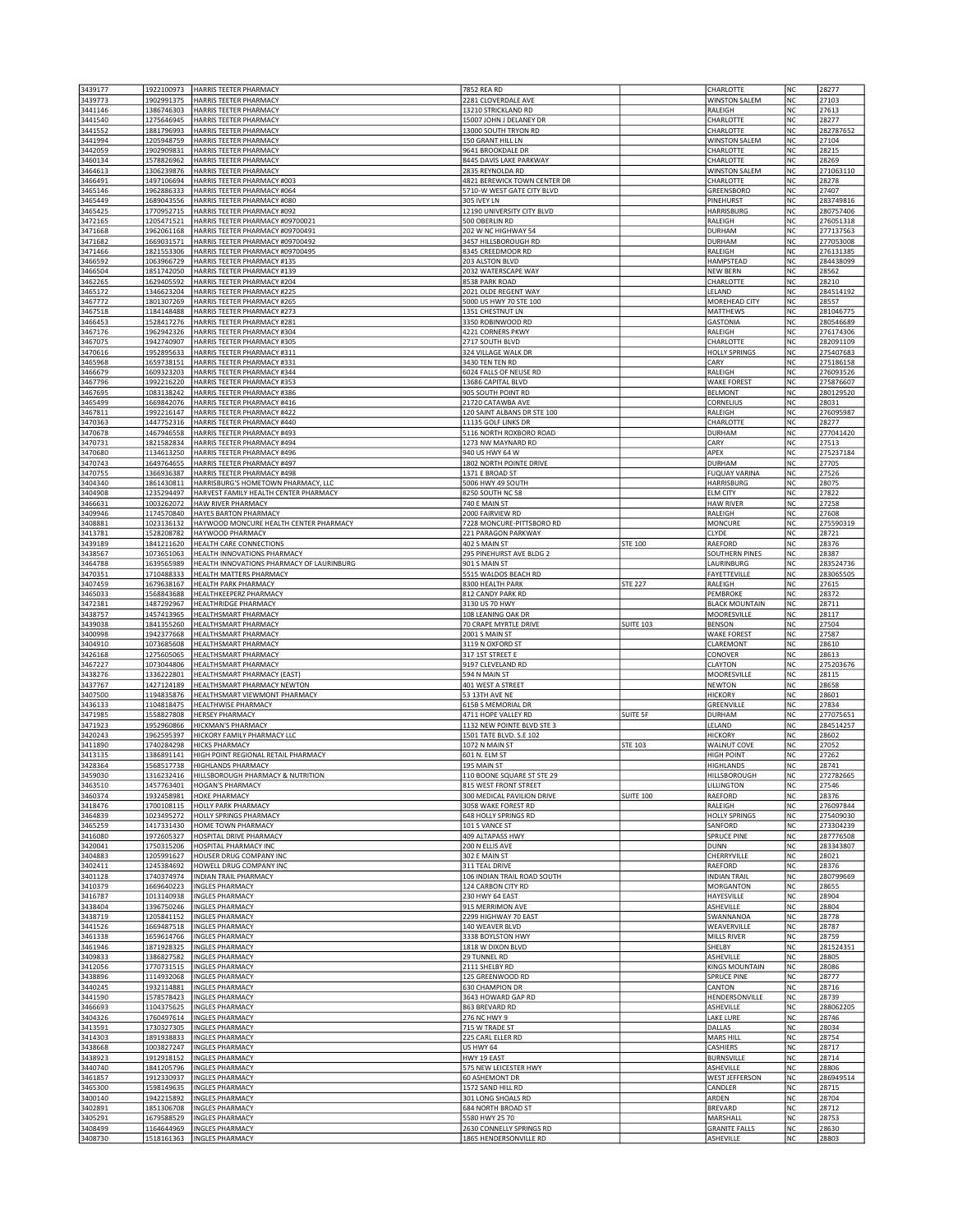| 3439177            | 1922100973               | HARRIS TEETER PHARMACY                                     | 7852 REA RD                                                |                  | CHARLOTTE                          | NC             | 28277                  |
|--------------------|--------------------------|------------------------------------------------------------|------------------------------------------------------------|------------------|------------------------------------|----------------|------------------------|
| 3439773            | 1902991375               | HARRIS TEETER PHARMACY                                     | 2281 CLOVERDALE AVE                                        |                  | <b>WINSTON SALEM</b>               | NC             | 27103                  |
| 3441146            | 1386746303               | HARRIS TEETER PHARMACY                                     | 13210 STRICKLAND RD                                        |                  | RALEIGH                            | NC             | 27613                  |
| 3441540            | 1275646945               | HARRIS TEETER PHARMACY                                     | 15007 JOHN J DELANEY DR                                    |                  | CHARLOTTE                          | <b>NC</b>      | 28277                  |
| 3441552            | 1881796993               | HARRIS TEETER PHARMACY                                     | 13000 SOUTH TRYON RD                                       |                  | CHARLOTTE                          | <b>NC</b>      | 282787652              |
| 3441994            | 1205948759               | HARRIS TEETER PHARMACY                                     | 150 GRANT HILL LN                                          |                  | <b>WINSTON SALEM</b>               | NC             | 27104                  |
| 3442059            | 1902909831               | HARRIS TEETER PHARMACY                                     | 9641 BROOKDALE DR                                          |                  | CHARLOTTE                          | NC             | 28215                  |
| 3460134            | 1578826962               | HARRIS TEETER PHARMACY                                     | 8445 DAVIS LAKE PARKWAY                                    |                  | CHARLOTTE                          | NC             | 28269                  |
| 3464613            | 1306239876<br>1497106694 | HARRIS TEETER PHARMACY                                     | 2835 REYNOLDA RD                                           |                  | <b>WINSTON SALEM</b>               | NC             | 271063110              |
| 3466491<br>3465146 | 1962886333               | HARRIS TEETER PHARMACY #003<br>HARRIS TEETER PHARMACY #064 | 4821 BEREWICK TOWN CENTER DR<br>5710-W WEST GATE CITY BLVD |                  | CHARLOTTE<br>GREENSBORO            | NC<br>NC       | 28278<br>27407         |
| 3465449            | 1689043556               | HARRIS TEETER PHARMACY #080                                | 305 IVEY LN                                                |                  | PINEHURST                          | NC             | 283749816              |
| 3465425            | 1770952715               | HARRIS TEETER PHARMACY #092                                | 12190 UNIVERSITY CITY BLVD                                 |                  | <b>HARRISBURG</b>                  | NC             | 280757406              |
| 3472165            | 1205471521               | HARRIS TEETER PHARMACY #09700021                           | 500 OBERLIN RD                                             |                  | RALEIGH                            | NC             | 276051318              |
| 3471668            | 1962061168               | HARRIS TEETER PHARMACY #09700491                           | 202 W NC HIGHWAY 54                                        |                  | <b>DURHAM</b>                      | NC             | 277137563              |
| 3471682            | 1669031571               | HARRIS TEETER PHARMACY #09700492                           | 3457 HILLSBOROUGH RD                                       |                  | <b>DURHAM</b>                      | NC             | 277053008              |
| 3471466            | 1821553306               | HARRIS TEETER PHARMACY #09700495                           | 8345 CREEDMOOR RD                                          |                  | RALEIGH                            | <b>NC</b>      | 276131385              |
| 3466592            | 1063966729               | HARRIS TEETER PHARMACY #135                                | 203 ALSTON BLVD                                            |                  | HAMPSTEAD                          | <b>NC</b>      | 284438099              |
| 3466504            | 1851742050               | HARRIS TEETER PHARMACY #139                                | 2032 WATERSCAPE WAY                                        |                  | <b>NEW BERN</b>                    | NC             | 28562                  |
| 3462265            | 1629405592               | HARRIS TEETER PHARMACY #204                                | 8538 PARK ROAD                                             |                  | CHARLOTTE                          | NC             | 28210                  |
| 3465172            | 1346623204               | HARRIS TEETER PHARMACY #225                                | 2021 OLDE REGENT WAY                                       |                  | LELAND                             | NC             | 284514192              |
| 3467772            | 1801307269               | HARRIS TEETER PHARMACY #265                                | 5000 US HWY 70 STE 100                                     |                  | MOREHEAD CITY                      | NC             | 28557                  |
| 3467518            | 1184148488               | HARRIS TEETER PHARMACY #273                                | 1351 CHESTNUT LN                                           |                  | MATTHEWS                           | NC             | 281046775              |
| 3466453<br>3467176 | 1528417276<br>1962942326 | HARRIS TEETER PHARMACY #281<br>HARRIS TEETER PHARMACY #304 | 3350 ROBINWOOD RD<br>4221 CORNERS PKWY                     |                  | <b>GASTONIA</b><br>RALEIGH         | NC<br>NC       | 280546689<br>276174306 |
| 3467075            | 1942740907               | HARRIS TEETER PHARMACY #305                                | 2717 SOUTH BLVD                                            |                  | CHARLOTTE                          | NC             | 282091109              |
| 3470616            | 1952895633               | HARRIS TEETER PHARMACY #311                                | 324 VILLAGE WALK DR                                        |                  | <b>HOLLY SPRINGS</b>               | NC             | 275407683              |
| 3465968            | 1659738151               | HARRIS TEETER PHARMACY #331                                | 3430 TEN TEN RD                                            |                  | CARY                               | NC             | 275186158              |
| 3466679            | 1609323203               | HARRIS TEETER PHARMACY #344                                | 6024 FALLS OF NEUSE RD                                     |                  | RALEIGH                            | NC             | 276093526              |
| 3467796            | 1992216220               | HARRIS TEETER PHARMACY #353                                | 13686 CAPITAL BLVD                                         |                  | <b>WAKE FOREST</b>                 | <b>NC</b>      | 275876607              |
| 3467695            | 1083138242               | HARRIS TEETER PHARMACY #386                                | 905 SOUTH POINT RD                                         |                  | <b>BELMONT</b>                     | NC             | 280129520              |
| 3465499            | 1669842076               | HARRIS TEETER PHARMACY #416                                | 21720 CATAWBA AVE                                          |                  | CORNELIUS                          | NC             | 28031                  |
| 3467811            | 1992216147               | HARRIS TEETER PHARMACY #422                                | 120 SAINT ALBANS DR STE 100                                |                  | RALEIGH                            | NC             | 276095987              |
| 3470363            | 1447752316               | HARRIS TEETER PHARMACY #440                                | 11135 GOLF LINKS DR                                        |                  | CHARLOTTE                          | NC             | 28277                  |
| 3470678            | 1467946558               | HARRIS TEETER PHARMACY #493                                | 5116 NORTH ROXBORO ROAD                                    |                  | <b>DURHAM</b>                      | NC             | 277041420              |
| 3470731            | 1821582834               | HARRIS TEETER PHARMACY #494                                | 1273 NW MAYNARD RD                                         |                  | CARY                               | NC             | 27513                  |
| 3470680            | 1134613250               | HARRIS TEETER PHARMACY #496<br>HARRIS TEETER PHARMACY #497 | 940 US HWY 64 W                                            |                  | APEX                               | NC             | 275237184              |
| 3470743            | 1649764655               | HARRIS TEETER PHARMACY #498                                | 1802 NORTH POINTE DRIVE                                    |                  | DURHAM                             | NC<br>NC       | 27705<br>27526         |
| 3470755<br>3404340 | 1366936387<br>1861430811 | HARRISBURG'S HOMETOWN PHARMACY, LLC                        | 1371 E BROAD ST<br>5006 HWY 49 SOUTH                       |                  | <b>FUQUAY VARINA</b><br>HARRISBURG | NC             | 28075                  |
| 3404908            | 1235294497               | HARVEST FAMILY HEALTH CENTER PHARMACY                      | 8250 SOUTH NC 58                                           |                  | <b>ELM CITY</b>                    | NC             | 27822                  |
| 3466631            | 1003262072               | HAW RIVER PHARMACY                                         | 740 E MAIN ST                                              |                  | <b>HAW RIVER</b>                   | <b>NC</b>      | 27258                  |
| 3409946            | 1174570840               | HAYES BARTON PHARMACY                                      | 2000 FAIRVIEW RD                                           |                  | RALEIGH                            | <b>NC</b>      | 27608                  |
| 3408881            | 1023136132               | HAYWOOD MONCURE HEALTH CENTER PHARMACY                     | 7228 MONCURE-PITTSBORO RD                                  |                  | <b>MONCURE</b>                     | NC             | 275590319              |
| 3413781            | 1528208782               | HAYWOOD PHARMACY                                           | 221 PARAGON PARKWAY                                        |                  | <b>CLYDE</b>                       | NC             | 28721                  |
| 3439189            | 1841211620               | HEALTH CARE CONNECTIONS                                    | 402 S MAIN ST                                              | <b>STE 100</b>   | RAEFORD                            | NC             | 28376                  |
| 3438567            | 1073651063               | HEALTH INNOVATIONS PHARMACY                                | 295 PINEHURST AVE BLDG 2                                   |                  | <b>SOUTHERN PINES</b>              | NC             | 28387                  |
| 3464788            | 1639565989               | HEALTH INNOVATIONS PHARMACY OF LAURINBURG                  | 901 S MAIN ST                                              |                  | LAURINBURG                         | NC             | 283524736              |
| 3470351            | 1710488333               | HEALTH MATTERS PHARMACY                                    | 5515 WALDOS BEACH RD                                       |                  | FAYETTEVILLE                       | <b>NC</b>      | 283065505              |
| 3407459            | 1679638167               | HEALTH PARK PHARMACY                                       | 8300 HEALTH PARK                                           | <b>STE 227</b>   | RALEIGH                            | NC             | 27615                  |
| 3465033            | 1568843688               | HEALTHKEEPERZ PHARMACY                                     | 812 CANDY PARK RD                                          |                  | PEMBROKE                           | NC             | 28372                  |
| 3472381            | 1487292967               | <b>HEALTHRIDGE PHARMACY</b>                                | 3130 US 70 HWY                                             |                  | <b>BLACK MOUNTAIN</b>              | NC             | 28711                  |
|                    |                          |                                                            |                                                            |                  |                                    |                |                        |
| 3438757            | 1457413965               | HEALTHSMART PHARMACY                                       | 108 LEANING OAK DR                                         |                  | MOORESVILLE                        | NC             | 28117                  |
| 3439038            | 1841355260               | HEALTHSMART PHARMACY                                       | 70 CRAPE MYRTLE DRIVE                                      | <b>SUITE 103</b> | <b>BENSON</b>                      | NC             | 27504                  |
| 3400998            | 1942377668               | HEALTHSMART PHARMACY                                       | 2001 S MAIN ST                                             |                  | <b>WAKE FOREST</b>                 | <b>NC</b>      | 27587                  |
| 3404910            | 1073685608               | HEALTHSMART PHARMACY                                       | 3119 N OXFORD ST                                           |                  | CLAREMONT                          | <b>NC</b>      | 28610                  |
| 3426168            | 1275605065               | HEALTHSMART PHARMACY                                       | 317 1ST STREET E                                           |                  | CONOVER                            | NC             | 28613                  |
| 3467227            | 1073044806               | HEALTHSMART PHARMACY                                       | 9197 CLEVELAND RD                                          |                  | CLAYTON                            | NC             | 275203676              |
| 3438276            | 1336222801               | HEALTHSMART PHARMACY (EAST)<br>HEALTHSMART PHARMACY NEWTON | 594 N MAIN ST                                              |                  | MOORESVILLE<br><b>NEWTON</b>       | NC<br>NC       | 28115                  |
| 3437767<br>3407500 | 1427124189<br>1194835876 | HEALTHSMART VIEWMONT PHARMACY                              | 401 WEST A STREET<br>53 13TH AVE NE                        |                  | <b>HICKORY</b>                     | NC             | 28658<br>28601         |
| 3436133            | 1104818475               | HEALTHWISE PHARMACY                                        | 615B S MEMORIAL DR                                         |                  | GREENVILLE                         | NC             | 27834                  |
| 3471985            | 1558827808               | HERSEY PHARMACY                                            | 4711 HOPE VALLEY RD                                        | SUITE 5F         | <b>DURHAM</b>                      | NC             | 277075651              |
| 3471923            | 1952960866               | HICKMAN'S PHARMACY                                         | 1132 NEW POINTE BLVD STE 3                                 |                  | LELAND                             | NC             | 284514257              |
| 3420243            | 1962595397               | HICKORY FAMILY PHARMACY LLC                                | 1501 TATE BLVD. S.E 102                                    |                  | <b>HICKORY</b>                     | NC             | 28602                  |
| 3411890            | 1740284298               | <b>HICKS PHARMACY</b>                                      | 1072 N MAIN ST                                             | <b>STE 103</b>   | <b>WALNUT COVE</b>                 | NC             | 27052                  |
| 3413135            | 1386891141               | HIGH POINT REGIONAL RETAIL PHARMACY                        | 601 N. ELM ST                                              |                  | <b>HIGH POINT</b>                  | N <sub>C</sub> | 27262                  |
| 3428364            | 1568517738               | <b>HIGHLANDS PHARMACY</b>                                  | 195 MAIN ST                                                |                  | <b>HIGHLANDS</b>                   | <b>NC</b>      | 28741                  |
| 3459030            | 1316232416               | HILLSBOROUGH PHARMACY & NUTRITION                          | 110 BOONE SQUARE ST STE 29                                 |                  | <b>HILLSBOROUGH</b>                | NC             | 272782665              |
| 3463510            | 1457763401               | <b>HOGAN'S PHARMACY</b>                                    | 815 WEST FRONT STREET                                      |                  | LILLINGTON                         | NC             | 27546                  |
| 3460374            | 1932458981               | <b>HOKE PHARMACY</b>                                       | 300 MEDICAL PAVILION DRIVE<br>3058 WAKE FOREST RD          | <b>SUITE 100</b> | RAEFORD                            | NC<br>NC       | 28376                  |
| 3418476<br>3464839 | 1700108115<br>1023495272 | <b>HOLLY PARK PHARMACY</b><br>HOLLY SPRINGS PHARMACY       | 648 HOLLY SPRINGS RD                                       |                  | RALEIGH<br><b>HOLLY SPRINGS</b>    | NC             | 276097844<br>275409030 |
| 3465259            | 1417331430               | HOME TOWN PHARMACY                                         | 101 S VANCE ST                                             |                  | SANFORD                            | <b>NC</b>      | 273304239              |
| 3416080            | 1972605327               | HOSPITAL DRIVE PHARMACY                                    | 409 ALTAPASS HWY                                           |                  | <b>SPRUCE PINE</b>                 | NC             | 287776508              |
| 3420041            | 1750315206               | HOSPITAL PHARMACY INC                                      | 200 N ELLIS AVE                                            |                  | <b>DUNN</b>                        | NC             | 283343807              |
| 3404883            | 1205991627               | HOUSER DRUG COMPANY INC                                    | 302 E MAIN ST                                              |                  | CHERRYVILLE                        | NC             | 28021                  |
| 3402411            | 1245384692               | HOWELL DRUG COMPANY INC                                    | 311 TEAL DRIVE                                             |                  | RAEFORD                            | NC             | 28376                  |
| 3401128            | 1740374974               | <b>INDIAN TRAIL PHARMACY</b>                               | 106 INDIAN TRAIL ROAD SOUTH                                |                  | <b>INDIAN TRAIL</b>                | NC             | 280799669              |
| 3410379            | 1669640223               | <b>INGLES PHARMACY</b>                                     | 124 CARBON CITY RD                                         |                  | <b>MORGANTON</b>                   | <b>NC</b>      | 28655                  |
| 3416787            | 1013140938               | <b>INGLES PHARMACY</b>                                     | 230 HWY 64 EAST                                            |                  | HAYESVILLE                         | NC             | 28904                  |
| 3438404            | 1396750246               | <b>INGLES PHARMACY</b>                                     | 915 MERRIMON AVE                                           |                  | <b>ASHEVILLE</b>                   | NC             | 28804                  |
| 3438719            | 1205841152               | <b>INGLES PHARMACY</b>                                     | 2299 HIGHWAY 70 EAST                                       |                  | SWANNANOA                          | NC             | 28778                  |
| 3441526            | 1669487518               | <b>INGLES PHARMACY</b>                                     | 140 WEAVER BLVD<br>3338 BOYLSTON HWY                       |                  | WEAVERVILLE                        | NC             | 28787                  |
| 3461338<br>3461946 | 1659614766<br>1871928325 | <b>INGLES PHARMACY</b><br><b>INGLES PHARMACY</b>           | 1818 W DIXON BLVD                                          |                  | MILLS RIVER<br>SHELBY              | NC<br>NC       | 28759<br>281524351     |
| 3409833            | 1386827582               | <b>INGLES PHARMACY</b>                                     | 29 TUNNEL RD                                               |                  | ASHEVILLE                          | NC             | 28805                  |
| 3412056            | 1770731515               | <b>INGLES PHARMACY</b>                                     | 2111 SHELBY RD                                             |                  | <b>KINGS MOUNTAIN</b>              | NC             | 28086                  |
| 3438896            | 1114932068               | <b>INGLES PHARMACY</b>                                     | 125 GREENWOOD RD                                           |                  | SPRUCE PINE                        | NC             | 28777                  |
| 3440245            | 1932114881               | <b>INGLES PHARMACY</b>                                     | 630 CHAMPION DR                                            |                  | CANTON                             | NC             | 28716                  |
| 3441590            | 1578578423               | <b>INGLES PHARMACY</b>                                     | 3643 HOWARD GAP RD                                         |                  | HENDERSONVILLE                     | NC             | 28739                  |
| 3466693            | 1104375625               | <b>INGLES PHARMACY</b>                                     | 863 BREVARD RD                                             |                  | ASHEVILLE                          | NC             | 288062205              |
| 3404326            | 1760497614               | <b>INGLES PHARMACY</b>                                     | 276 NC HWY 9                                               |                  | <b>LAKE LURE</b>                   | NC             | 28746                  |
| 3413591            | 1730327305               | <b>INGLES PHARMACY</b>                                     | 715 W TRADE ST                                             |                  | DALLAS                             | NC             | 28034                  |
| 3414303            | 1891938833               | <b>INGLES PHARMACY</b>                                     | 225 CARL ELLER RD                                          |                  | MARS HILL                          | NC             | 28754                  |
| 3438668            | 1003827247               | <b>INGLES PHARMACY</b>                                     | US HWY 64                                                  |                  | CASHIERS                           | NC             | 28717                  |
| 3438923            | 1912918152               | <b>INGLES PHARMACY</b>                                     | HWY 19 EAST                                                |                  | <b>BURNSVILLE</b>                  | NC             | 28714                  |
| 3440740            | 1841205796               | <b>INGLES PHARMACY</b>                                     | 575 NEW LEICESTER HWY                                      |                  | ASHEVILLE                          | NC             | 28806                  |
| 3461857            | 1912330937               | <b>INGLES PHARMACY</b>                                     | 60 ASHEMONT DR                                             |                  | <b>WEST JEFFERSON</b>              | NC             | 286949514              |
| 3465300            | 1598149635               | <b>INGLES PHARMACY</b><br><b>INGLES PHARMACY</b>           | 1572 SAND HILL RD<br>301 LONG SHOALS RD                    |                  | CANDLER<br>ARDEN                   | NC             | 28715<br>28704         |
| 3400140<br>3402891 | 1942215892<br>1851306708 | <b>INGLES PHARMACY</b>                                     | 684 NORTH BROAD ST                                         |                  | <b>BREVARD</b>                     | NC<br>NC       | 28712                  |
| 3405291            | 1679588529               | <b>INGLES PHARMACY</b>                                     | 5580 HWY 25 70                                             |                  | MARSHALL                           | NC             | 28753                  |
| 3408499<br>3408730 | 1164644969               | <b>INGLES PHARMACY</b><br>1518161363  INGLES PHARMACY      | 2630 CONNELLY SPRINGS RD<br>1865 HENDERSONVILLE RD         |                  | <b>GRANITE FALLS</b><br>ASHEVILLE  | NC<br>NC       | 28630<br>28803         |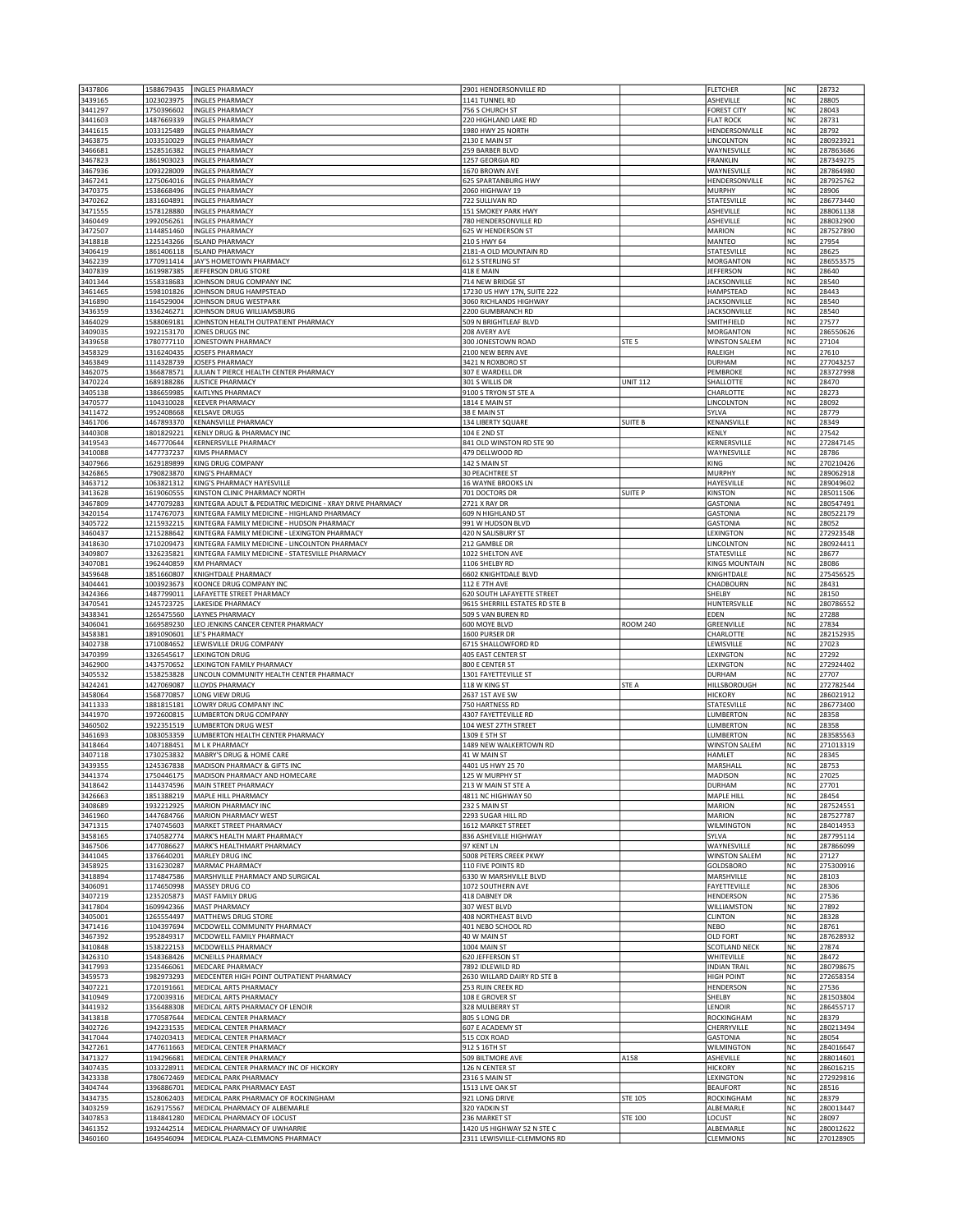| 3437806            | 1588679435               | <b>INGLES PHARMACY</b>                                                     | 2901 HENDERSONVILLE RD                                    |                  | <b>FLETCHER</b>                 | NC              | 28732                  |
|--------------------|--------------------------|----------------------------------------------------------------------------|-----------------------------------------------------------|------------------|---------------------------------|-----------------|------------------------|
| 3439165            | 1023023975               | <b>INGLES PHARMACY</b>                                                     | 1141 TUNNEL RD                                            |                  | ASHEVILLE                       | NC              | 28805                  |
| 3441297            | 1750396602               | <b>INGLES PHARMACY</b>                                                     | 756 S CHURCH ST                                           |                  | <b>FOREST CITY</b>              | NC              | 28043                  |
| 3441603            | 1487669339               | <b>INGLES PHARMACY</b>                                                     | 220 HIGHLAND LAKE RD                                      |                  | <b>FLAT ROCK</b>                | <b>NC</b>       | 28731                  |
| 3441615            | 1033125489               | <b>INGLES PHARMACY</b>                                                     | 1980 HWY 25 NORTH                                         |                  | HENDERSONVILLE                  | <b>NC</b>       | 28792                  |
| 3463875            | 1033510029               | <b>INGLES PHARMACY</b>                                                     | 2130 E MAIN ST                                            |                  | <b>LINCOLNTON</b>               | NC              | 280923921              |
| 3466681            | 1528516382               | <b>INGLES PHARMACY</b>                                                     | 259 BARBER BLVD                                           |                  | WAYNESVILLE                     | NC              | 287863686              |
| 3467823            | 1861903023               | <b>INGLES PHARMACY</b>                                                     | 1257 GEORGIA RD                                           |                  | FRANKLIN                        | NC              | 287349275              |
| 3467936            | 1093228009               | <b>INGLES PHARMACY</b>                                                     | 1670 BROWN AVE                                            |                  | WAYNESVILLE                     | NC              | 287864980              |
| 3467241<br>3470375 | 1275064016<br>1538668496 | <b>INGLES PHARMACY</b><br><b>INGLES PHARMACY</b>                           | 625 SPARTANBURG HWY<br>2060 HIGHWAY 19                    |                  | HENDERSONVILLE<br>MURPHY        | NC<br><b>NC</b> | 287925762<br>28906     |
| 3470262            | 1831604891               | <b>INGLES PHARMACY</b>                                                     | 722 SULLIVAN RD                                           |                  | STATESVILLE                     | NC              | 286773440              |
| 3471555            | 1578128880               | <b>INGLES PHARMACY</b>                                                     | <b>151 SMOKEY PARK HWY</b>                                |                  | ASHEVILLE                       | NC              | 288061138              |
| 3460449            | 1992056261               | <b>INGLES PHARMACY</b>                                                     | 780 HENDERSONVILLE RD                                     |                  | ASHEVILLE                       | NC              | 288032900              |
| 3472507            | 1144851460               | <b>INGLES PHARMACY</b>                                                     | 625 W HENDERSON ST                                        |                  | <b>MARION</b>                   | NC              | 287527890              |
| 3418818            | 1225143266               | <b>ISLAND PHARMACY</b>                                                     | 210 S HWY 64                                              |                  | MANTEO                          | NC              | 27954                  |
| 3406419            | 1861406118               | <b>ISLAND PHARMACY</b>                                                     | 2181-A OLD MOUNTAIN RD                                    |                  | STATESVILLE                     | <b>NC</b>       | 28625                  |
| 3462239            | 1770911414               | JAY'S HOMETOWN PHARMACY                                                    | 612 S STERLING ST                                         |                  | <b>MORGANTON</b>                | NC              | 286553575              |
| 3407839            | 1619987385               | JEFFERSON DRUG STORE                                                       | 418 E MAIN                                                |                  | <b>JEFFERSON</b>                | NC              | 28640                  |
| 3401344            | 1558318683               | JOHNSON DRUG COMPANY INC                                                   | 714 NEW BRIDGE ST                                         |                  | <b>JACKSONVILLE</b>             | NC              | 28540                  |
| 3461465            | 1598101826               | JOHNSON DRUG HAMPSTEAD                                                     | 17230 US HWY 17N, SUITE 222                               |                  | HAMPSTEAD                       | NC              | 28443                  |
| 3416890            | 1164529004               | JOHNSON DRUG WESTPARK                                                      | 3060 RICHLANDS HIGHWAY                                    |                  | <b>JACKSONVILLE</b>             | NC              | 28540                  |
| 3436359            | 1336246271               | JOHNSON DRUG WILLIAMSBURG<br>JOHNSTON HEALTH OUTPATIENT PHARMACY           | 2200 GUMBRANCH RD                                         |                  | <b>JACKSONVILLE</b>             | <b>NC</b>       | 28540                  |
| 3464029<br>3409035 | 1588069181<br>1922153170 | JONES DRUGS INC                                                            | 509 N BRIGHTLEAF BLVD<br>208 AVERY AVE                    |                  | SMITHFIELD<br><b>MORGANTON</b>  | NC<br>NC        | 27577                  |
| 3439658            | 1780777110               | JONESTOWN PHARMACY                                                         | 300 JONESTOWN ROAD                                        | STE <sub>5</sub> | <b>WINSTON SALEM</b>            | NC              | 286550626<br>27104     |
| 3458329            | 1316240435               | JOSEFS PHARMACY                                                            | 2100 NEW BERN AVE                                         |                  | RALEIGH                         | NC              | 27610                  |
| 3463849            | 1114328739               | JOSEFS PHARMACY                                                            | 3421 N ROXBORO ST                                         |                  | DURHAM                          | NC              | 277043257              |
| 3462075            | 1366878571               | JULIAN T PIERCE HEALTH CENTER PHARMACY                                     | 307 E WARDELL DR                                          |                  | PEMBROKE                        | NC              | 283727998              |
| 3470224            | 1689188286               | <b>JUSTICE PHARMACY</b>                                                    | 301 S WILLIS DR                                           | <b>UNIT 112</b>  | SHALLOTTE                       | <b>NC</b>       | 28470                  |
| 3405138            | 1386659985               | KAITLYNS PHARMACY                                                          | 9100 S TRYON ST STE A                                     |                  | CHARLOTTE                       | NC              | 28273                  |
| 3470577            | 1104310028               | <b>KEEVER PHARMACY</b>                                                     | 1814 E MAIN ST                                            |                  | LINCOLNTON                      | NC              | 28092                  |
| 3411472            | 1952408668               | <b>KELSAVE DRUGS</b>                                                       | 38 E MAIN ST                                              |                  | SYLVA                           | NC              | 28779                  |
| 3461706            | 1467893370               | KENANSVILLE PHARMACY                                                       | 134 LIBERTY SQUARE                                        | SUITE B          | KENANSVILLE                     | NC              | 28349                  |
| 3440308            | 1801829221               | KENLY DRUG & PHARMACY INC                                                  | 104 E 2ND ST                                              |                  | KENLY                           | NC              | 27542                  |
| 3419543            | 1467770644               | <b>KERNERSVILLE PHARMACY</b>                                               | 841 OLD WINSTON RD STE 90                                 |                  | KERNERSVILLE                    | NC              | 272847145              |
| 3410088            | 1477737237               | KIMS PHARMACY                                                              | 479 DELLWOOD RD                                           |                  | WAYNESVILLE                     | NC              | 28786                  |
| 3407966            | 1629189899               | KING DRUG COMPANY                                                          | 142 S MAIN ST                                             |                  | KING                            | NC<br>NC        | 270210426              |
| 3426865            | 1790823870               | <b>KING'S PHARMACY</b>                                                     | <b>30 PEACHTREE ST</b>                                    |                  | <b>MURPHY</b>                   |                 | 289062918              |
| 3463712<br>3413628 | 1063821312<br>1619060555 | KING'S PHARMACY HAYESVILLE<br>KINSTON CLINIC PHARMACY NORTH                | 16 WAYNE BROOKS LN<br>701 DOCTORS DR                      | <b>SUITE P</b>   | HAYESVILLE<br><b>KINSTON</b>    | NC<br>NC        | 289049602<br>285011506 |
| 3467809            | 1477079283               | KINTEGRA ADULT & PEDIATRIC MEDICINE - XRAY DRIVE PHARMACY                  | 2721 X RAY DR                                             |                  | <b>GASTONIA</b>                 | <b>NC</b>       | 280547491              |
| 3420154            | 1174767073               | KINTEGRA FAMILY MEDICINE - HIGHLAND PHARMACY                               | 609 N HIGHLAND ST                                         |                  | <b>GASTONIA</b>                 | <b>NC</b>       | 280522179              |
| 3405722            | 1215932215               | KINTEGRA FAMILY MEDICINE - HUDSON PHARMACY                                 | 991 W HUDSON BLVD                                         |                  | <b>GASTONIA</b>                 | NC              | 28052                  |
| 3460437            | 1215288642               | KINTEGRA FAMILY MEDICINE - LEXINGTON PHARMACY                              | 420 N SALISBURY ST                                        |                  | LEXINGTON                       | NC              | 272923548              |
| 3418630            | 1710209473               | KINTEGRA FAMILY MEDICINE - LINCOLNTON PHARMACY                             | 212 GAMBLE DR                                             |                  | LINCOLNTON                      | NC              | 280924411              |
| 3409807            | 1326235821               | KINTEGRA FAMILY MEDICINE - STATESVILLE PHARMACY                            | 1022 SHELTON AVE                                          |                  | STATESVILLE                     | NC              | 28677                  |
| 3407081            | 1962440859               | <b>KM PHARMACY</b>                                                         | 1106 SHELBY RD                                            |                  | <b>KINGS MOUNTAIN</b>           | NC              | 28086                  |
| 3459648            | 1851660807               | KNIGHTDALE PHARMACY                                                        | 6602 KNIGHTDALE BLVD                                      |                  | KNIGHTDALE                      | <b>NC</b>       | 275456525              |
| 3404441            | 1003923673               | KOONCE DRUG COMPANY INC                                                    | 112 E 7TH AVE                                             |                  | CHADBOURN                       | NC              | 28431                  |
| 3424366            | 1487799011               | LAFAYETTE STREET PHARMACY                                                  | 620 SOUTH LAFAYETTE STREET                                |                  | SHELBY                          | NC              | 28150                  |
| 3470541            | 1245723725               | LAKESIDE PHARMACY                                                          | 9615 SHERRILL ESTATES RD STE B                            |                  | HUNTERSVILLE                    | NC              | 280786552              |
|                    |                          |                                                                            |                                                           |                  |                                 |                 |                        |
| 3438341            | 1265475560               | LAYNES PHARMACY                                                            | 509 S VAN BUREN RD                                        |                  | EDEN                            | NC              | 27288                  |
| 3406041            | 1669589230               | LEO JENKINS CANCER CENTER PHARMACY                                         | 600 MOYE BLVD                                             | <b>ROOM 240</b>  | <b>GREENVILLE</b>               | NC              | 27834                  |
| 3458381            | 1891090601               | LE'S PHARMACY                                                              | 1600 PURSER DR                                            |                  | CHARLOTTE                       | <b>NC</b>       | 282152935              |
| 3402738            | 1710084652               | LEWISVILLE DRUG COMPANY                                                    | 6715 SHALLOWFORD RD                                       |                  | LEWISVILLE                      | NC              | 27023                  |
| 3470399            | 1326545617               | <b>LEXINGTON DRUG</b>                                                      | 405 EAST CENTER ST                                        |                  | LEXINGTON                       | NC              | 27292                  |
| 3462900            | 1437570652               | LEXINGTON FAMILY PHARMACY                                                  | 800 E CENTER ST                                           |                  | LEXINGTON                       | NC              | 272924402              |
| 3405532            | 1538253828               | LINCOLN COMMUNITY HEALTH CENTER PHARMACY                                   | 1301 FAYETTEVILLE ST                                      |                  | DURHAM                          | NC              | 27707                  |
| 3424241            | 1427069087               | LLOYDS PHARMACY                                                            | 118 W KING ST                                             | STE A            | <b>HILLSBOROUGH</b>             | NC              | 272782544              |
| 3458064            | 1568770857               | LONG VIEW DRUG                                                             | 2637 1ST AVE SW                                           |                  | <b>HICKORY</b>                  | <b>NC</b>       | 286021912              |
| 3411333<br>3441970 | 1881815181               | LOWRY DRUG COMPANY INC<br>LUMBERTON DRUG COMPANY                           | 750 HARTNESS RD<br>4307 FAYETTEVILLE RD                   |                  | STATESVILLE<br><b>LUMBERTON</b> | NC<br>NC        | 286773400<br>28358     |
|                    | 1972600815<br>1922351519 | LUMBERTON DRUG WEST                                                        |                                                           |                  | LUMBERTON                       | NC              | 28358                  |
| 3460502<br>3461693 | 1083053359               | LUMBERTON HEALTH CENTER PHARMACY                                           | 104 WEST 27TH STREET<br>1309 E 5TH ST                     |                  | LUMBERTON                       | NC              | 283585563              |
| 3418464            | 1407188451               | M L K PHARMACY                                                             | 1489 NEW WALKERTOWN RD                                    |                  | <b>WINSTON SALEM</b>            | NC              | 271013319              |
| 3407118            | 1730253832               | MABRY'S DRUG & HOME CARE                                                   | 41 W MAIN ST                                              |                  | HAMLET                          | <b>NC</b>       | 28345                  |
| 3439355            | 1245367838               | MADISON PHARMACY & GIFTS INC                                               | 4401 US HWY 25 70                                         |                  | MARSHALL                        | <b>NC</b>       | 28753                  |
| 3441374            | 1750446175               | MADISON PHARMACY AND HOMECARE                                              | 125 W MURPHY ST                                           |                  | <b>MADISON</b>                  | NC              | 27025                  |
| 3418642            | 1144374596               | MAIN STREET PHARMACY                                                       | 213 W MAIN ST STE A                                       |                  | <b>DURHAM</b>                   | NC              | 27701                  |
| 3426663            | 1851388219               | MAPLE HILL PHARMACY                                                        | 4811 NC HIGHWAY 50                                        |                  | MAPLE HILL                      | NC              | 28454                  |
| 3408689            | 1932212925               | MARION PHARMACY INC                                                        | 232 S MAIN ST                                             |                  | <b>MARION</b>                   | NC              | 287524551              |
| 3461960            | 1447684766               | <b>MARION PHARMACY WEST</b>                                                | 2293 SUGAR HILL RD                                        |                  | <b>MARION</b>                   | NC              | 287527787              |
| 3471315            | 1740745603               | MARKET STREET PHARMACY                                                     | 1612 MARKET STREET                                        |                  | <b>WILMINGTON</b>               | <b>NC</b>       | 284014953              |
| 3458165<br>3467506 | 1740582774<br>1477086627 | MARK'S HEALTH MART PHARMACY<br>MARK'S HEALTHMART PHARMACY                  | 836 ASHEVILLE HIGHWAY<br>97 KENT LN                       |                  | SYLVA<br>WAYNESVILLE            | NC<br>NC        | 287795114<br>287866099 |
| 3441045            | 1376640201               | MARLEY DRUG INC                                                            | 5008 PETERS CREEK PKWY                                    |                  | <b>WINSTON SALEM</b>            | NC              | 27127                  |
| 3458925            | 1316230287               | MARMAC PHARMACY                                                            | 110 FIVE POINTS RD                                        |                  | GOLDSBORO                       | NC              | 275300916              |
| 3418894            | 1174847586               | MARSHVILLE PHARMACY AND SURGICAL                                           | 6330 W MARSHVILLE BLVD                                    |                  | MARSHVILLE                      | NC              | 28103                  |
| 3406091            | 1174650998               | MASSEY DRUG CO                                                             | 1072 SOUTHERN AVE                                         |                  | FAYETTEVILLE                    | <b>NC</b>       | 28306                  |
| 3407219            | 1235205873               | MAST FAMILY DRUG                                                           | 418 DABNEY DR                                             |                  | <b>HENDERSON</b>                | NC              | 27536                  |
| 3417804            | 1609942366               | <b>MAST PHARMACY</b>                                                       | 307 WEST BLVD                                             |                  | WILLIAMSTON                     | NC              | 27892                  |
| 3405001            | 1265554497               | MATTHEWS DRUG STORE                                                        | 408 NORTHEAST BLVD                                        |                  | <b>CLINTON</b>                  | NC              | 28328                  |
| 3471416            | 1104397694               | MCDOWELL COMMUNITY PHARMACY                                                | 401 NEBO SCHOOL RD                                        |                  | <b>NEBO</b>                     | NC              | 28761                  |
| 3467392            | 1952849317               | MCDOWELL FAMILY PHARMACY                                                   | 40 W MAIN ST                                              |                  | <b>OLD FORT</b>                 | NC              | 287628932              |
| 3410848            | 1538222153               | MCDOWELLS PHARMACY                                                         | 1004 MAIN ST                                              |                  | <b>SCOTLAND NECK</b>            | NC              | 27874                  |
| 3426310            | 1548368426               | MCNEILLS PHARMACY                                                          | 620 JEFFERSON ST                                          |                  | WHITEVILLE                      | NC              | 28472                  |
| 3417993            | 1235466061               | MEDCARE PHARMACY                                                           | 7892 IDLEWILD RD                                          |                  | <b>INDIAN TRAIL</b>             | NC              | 280798675              |
| 3459573            | 1982973293               | MEDCENTER HIGH POINT OUTPATIENT PHARMACY                                   | 2630 WILLARD DAIRY RD STE B                               |                  | <b>HIGH POINT</b>               | NC              | 272658354              |
| 3407221<br>3410949 | 1720191661<br>1720039316 | MEDICAL ARTS PHARMACY<br>MEDICAL ARTS PHARMACY                             | 253 RUIN CREEK RD<br>108 E GROVER ST                      |                  | <b>HENDERSON</b><br>SHELBY      | NC<br>NC        | 27536<br>281503804     |
|                    | 1356488308               | MEDICAL ARTS PHARMACY OF LENOIR                                            | 328 MULBERRY ST                                           |                  | LENOIR                          | NC              | 286455717              |
| 3441932            | 1770587644               | MEDICAL CENTER PHARMACY                                                    | 805 S LONG DR                                             |                  | ROCKINGHAM                      | NC              | 28379                  |
| 3413818<br>3402726 | 1942231535               | MEDICAL CENTER PHARMACY                                                    | 607 E ACADEMY ST                                          |                  | CHERRYVILLE                     | NC              | 280213494              |
| 3417044            | 1740203413               | MEDICAL CENTER PHARMACY                                                    | 515 COX ROAD                                              |                  | <b>GASTONIA</b>                 | NC              | 28054                  |
| 3427261            | 1477611663               | MEDICAL CENTER PHARMACY                                                    | 912 S 16TH ST                                             |                  | <b>WILMINGTON</b>               | NC              | 284016647              |
| 3471327            | 1194296681               | MEDICAL CENTER PHARMACY                                                    | 509 BILTMORE AVE                                          | A158             | ASHEVILLE                       | NC              | 288014601              |
| 3407435            | 1033228911               | MEDICAL CENTER PHARMACY INC OF HICKORY                                     | 126 N CENTER ST                                           |                  | <b>HICKORY</b>                  | NC              | 286016215              |
| 3423338            | 1780672469               | MEDICAL PARK PHARMACY                                                      | 2316 S MAIN ST                                            |                  | LEXINGTON                       | NC              | 272929816              |
| 3404744            | 1396886701               | MEDICAL PARK PHARMACY EAST                                                 | 1513 LIVE OAK ST                                          |                  | <b>BEAUFORT</b>                 | NC              | 28516                  |
| 3434735            | 1528062403               | MEDICAL PARK PHARMACY OF ROCKINGHAM                                        | 921 LONG DRIVE                                            | <b>STE 105</b>   | <b>ROCKINGHAM</b>               | NC              | 28379                  |
| 3403259            | 1629175567               | MEDICAL PHARMACY OF ALBEMARLE                                              | 320 YADKIN ST                                             |                  | ALBEMARLE                       | <b>NC</b>       | 280013447              |
| 3407853            | 1184841280               | MEDICAL PHARMACY OF LOCUST                                                 | 236 MARKET ST                                             | STE 100          | LOCUST                          | NC              | 28097                  |
| 3461352<br>3460160 | 1932442514               | MEDICAL PHARMACY OF UWHARRIE<br>1649546094 MEDICAL PLAZA-CLEMMONS PHARMACY | 1420 US HIGHWAY 52 N STE C<br>2311 LEWISVILLE-CLEMMONS RD |                  | ALBEMARLE<br><b>CLEMMONS</b>    | NC<br>NC        | 280012622<br>270128905 |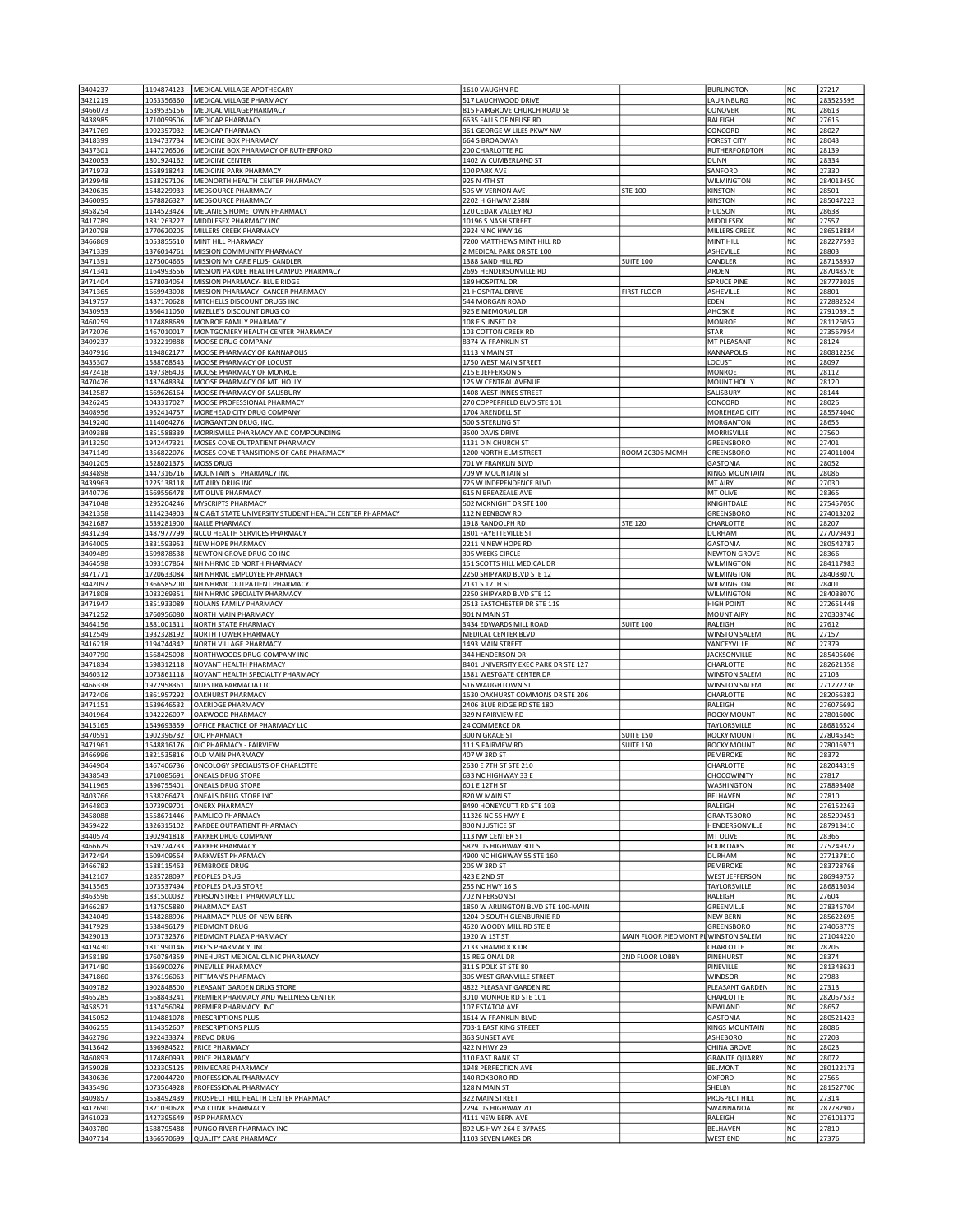| 3404237                       | 1194874123               | MEDICAL VILLAGE APOTHECARY                                                       | 1610 VAUGHN RD                                         |                                      | <b>BURLINGTON</b>                           | NC              | 27217                  |
|-------------------------------|--------------------------|----------------------------------------------------------------------------------|--------------------------------------------------------|--------------------------------------|---------------------------------------------|-----------------|------------------------|
| 3421219                       | 1053356360               | MEDICAL VILLAGE PHARMACY                                                         | 517 LAUCHWOOD DRIVE                                    |                                      | LAURINBURG                                  | NC              | 283525595              |
| 3466073                       | 1639535156               | MEDICAL VILLAGEPHARMACY                                                          | 815 FAIRGROVE CHURCH ROAD SE                           |                                      | CONOVER                                     | NC<br>NC        | 28613                  |
| 3438985<br>3471769            | 1710059506<br>1992357032 | MEDICAP PHARMACY<br>MEDICAP PHARMACY                                             | 6635 FALLS OF NEUSE RD<br>361 GEORGE W LILES PKWY NW   |                                      | RALEIGH<br>CONCORD                          | NC              | 27615<br>28027         |
| 3418399                       | 1194737734               | MEDICINE BOX PHARMACY                                                            | 664 S BROADWAY                                         |                                      | <b>FOREST CITY</b>                          | NC              | 28043                  |
| 3437301                       | 1447276506               | MEDICINE BOX PHARMACY OF RUTHERFORD                                              | 200 CHARLOTTE RD                                       |                                      | RUTHERFORDTON                               | <b>NC</b>       | 28139                  |
| 3420053                       | 1801924162               | MEDICINE CENTER                                                                  | 1402 W CUMBERLAND ST                                   |                                      | <b>DUNN</b>                                 | NC              | 28334                  |
| 3471973                       | 1558918243               | MEDICINE PARK PHARMACY                                                           | 100 PARK AVE                                           |                                      | SANFORD                                     | NC              | 27330                  |
| 3429948<br>3420635            | 1538297106<br>1548229933 | MEDNORTH HEALTH CENTER PHARMACY<br>MEDSOURCE PHARMACY                            | 925 N 4TH ST<br>505 W VERNON AVE                       | <b>STE 100</b>                       | <b>WILMINGTON</b><br><b>KINSTON</b>         | NC<br>NC        | 284013450<br>28501     |
| 3460095                       | 1578826327               | MEDSOURCE PHARMACY                                                               | 2202 HIGHWAY 258N                                      |                                      | <b>KINSTON</b>                              | NC              | 285047223              |
| 3458254                       | 1144523424               | MELANIE'S HOMETOWN PHARMACY                                                      | 120 CEDAR VALLEY RD                                    |                                      | <b>HUDSON</b>                               | <b>NC</b>       | 28638                  |
| 3417789                       | 1831263227               | MIDDLESEX PHARMACY INC                                                           | 10196 S NASH STREET                                    |                                      | MIDDLESEX                                   | NC              | 27557                  |
| 3420798                       | 1770620205               | MILLERS CREEK PHARMACY                                                           | 2924 N NC HWY 16                                       |                                      | MILLERS CREEK                               | NC              | 286518884              |
| 3466869                       | 1053855510               | MINT HILL PHARMACY                                                               | 7200 MATTHEWS MINT HILL RD                             |                                      | MINT HILL                                   | NC              | 282277593              |
| 3471339<br>3471391            | 1376014761<br>1275004665 | MISSION COMMUNITY PHARMACY<br>MISSION MY CARE PLUS- CANDLER                      | 2 MEDICAL PARK DR STE 100<br>1388 SAND HILL RD         | <b>SUITE 100</b>                     | ASHEVILLE<br>CANDLER                        | NC<br>NC        | 28803<br>287158937     |
| 3471341                       | 1164993556               | MISSION PARDEE HEALTH CAMPUS PHARMACY                                            | 2695 HENDERSONVILLE RD                                 |                                      | ARDEN                                       | <b>NC</b>       | 287048576              |
| 3471404                       | 1578034054               | MISSION PHARMACY- BLUE RIDGE                                                     | 189 HOSPITAL DR                                        |                                      | <b>SPRUCE PINE</b>                          | NC              | 287773035              |
| 3471365                       | 1669943098               | MISSION PHARMACY- CANCER PHARMACY                                                | 21 HOSPITAL DRIVE                                      | <b>FIRST FLOOR</b>                   | ASHEVILLE                                   | NC              | 28801                  |
| 3419757                       | 1437170628               | MITCHELLS DISCOUNT DRUGS INC                                                     | 544 MORGAN ROAD                                        |                                      | EDEN                                        | NC              | 272882524              |
| 3430953<br>3460259            | 1366411050<br>1174888689 | MIZELLE'S DISCOUNT DRUG CO<br>MONROE FAMILY PHARMACY                             | 925 E MEMORIAL DR<br>108 E SUNSET DR                   |                                      | AHOSKIE<br><b>MONROE</b>                    | NC<br>NC        | 279103915<br>281126057 |
| 3472076                       | 1467010017               | MONTGOMERY HEALTH CENTER PHARMACY                                                | 103 COTTON CREEK RD                                    |                                      | <b>STAR</b>                                 | NC              | 273567954              |
| 3409237                       | 1932219888               | MOOSE DRUG COMPANY                                                               | 8374 W FRANKLIN ST                                     |                                      | MT PLEASANT                                 | NC              | 28124                  |
| 3407916                       | 1194862177               | MOOSE PHARMACY OF KANNAPOLIS                                                     | 1113 N MAIN ST                                         |                                      | KANNAPOLIS                                  | NC              | 280812256              |
| 3435307                       | 1588768543               | MOOSE PHARMACY OF LOCUST                                                         | 1750 WEST MAIN STREET                                  |                                      | LOCUST                                      | NC              | 28097                  |
| 3472418<br>3470476            | 1497386403<br>1437648334 | MOOSE PHARMACY OF MONROE<br>MOOSE PHARMACY OF MT. HOLLY                          | 215 E JEFFERSON ST<br>125 W CENTRAL AVENUE             |                                      | <b>MONROE</b><br>MOUNT HOLLY                | NC<br>NC        | 28112<br>28120         |
| 3412587                       | 1669626164               | MOOSE PHARMACY OF SALISBURY                                                      | 1408 WEST INNES STREET                                 |                                      | SALISBURY                                   | <b>NC</b>       | 28144                  |
| 3426245                       | 1043317027               | MOOSE PROFESSIONAL PHARMACY                                                      | 270 COPPERFIELD BLVD STE 101                           |                                      | CONCORD                                     | NC              | 28025                  |
| 3408956                       | 1952414757               | MOREHEAD CITY DRUG COMPANY                                                       | 1704 ARENDELL ST                                       |                                      | MOREHEAD CITY                               | NC              | 285574040              |
| 3419240                       | 1114064276               | MORGANTON DRUG, INC.                                                             | 500 S STERLING ST                                      |                                      | <b>MORGANTON</b>                            | NC              | 28655                  |
| 3409388                       | 1851588339               | MORRISVILLE PHARMACY AND COMPOUNDING                                             | 3500 DAVIS DRIVE                                       |                                      | MORRISVILLE                                 | NC              | 27560                  |
| 3413250<br>3471149            | 1942447321<br>1356822076 | MOSES CONE OUTPATIENT PHARMACY<br>MOSES CONE TRANSITIONS OF CARE PHARMACY        | 1131 D N CHURCH ST<br>1200 NORTH ELM STREET            | ROOM 2C306 MCMH                      | GREENSBORO<br>GREENSBORO                    | NC<br>NC        | 27401<br>274011004     |
| 3401205                       | 1528021375               | <b>MOSS DRUG</b>                                                                 | 701 W FRANKLIN BLVD                                    |                                      | <b>GASTONIA</b>                             | NC              | 28052                  |
| 3434898                       | 1447316716               | MOUNTAIN ST PHARMACY INC                                                         | 709 W MOUNTAIN ST                                      |                                      | <b>KINGS MOUNTAIN</b>                       | NC              | 28086                  |
| 3439963                       | 1225138118               | MT AIRY DRUG INC                                                                 | 725 W INDEPENDENCE BLVD                                |                                      | MT AIRY                                     | NC              | 27030                  |
| 3440776                       | 1669556478               | MT OLIVE PHARMACY                                                                | 615 N BREAZEALE AVE                                    |                                      | MT OLIVE                                    | NC              | 28365                  |
| 3471048                       | 1295204246               | MYSCRIPTS PHARMACY                                                               | 502 MCKNIGHT DR STE 100                                |                                      | KNIGHTDALE                                  | NC              | 275457050              |
| 3421358<br>3421687            | 1114234903<br>1639281900 | N C A&T STATE UNIVERSITY STUDENT HEALTH CENTER PHARMACY<br><b>NALLE PHARMACY</b> | 112 N BENBOW RD<br>1918 RANDOLPH RD                    | <b>STE 120</b>                       | GREENSBORO<br>CHARLOTTE                     | NC<br>NC        | 274013202<br>28207     |
| 3431234                       | 1487977799               | NCCU HEALTH SERVICES PHARMACY                                                    | 1801 FAYETTEVILLE ST                                   |                                      | <b>DURHAM</b>                               | NC              | 277079491              |
| 3464005                       | 1831593953               | NEW HOPE PHARMACY                                                                | 2211 N NEW HOPE RD                                     |                                      | <b>GASTONIA</b>                             | NC              | 280542787              |
| 3409489                       | 1699878538               | NEWTON GROVE DRUG CO INC                                                         | 305 WEEKS CIRCLE                                       |                                      | <b>NEWTON GROVE</b>                         | NC              | 28366                  |
| 3464598                       | 1093107864               | NH NHRMC ED NORTH PHARMACY                                                       | 151 SCOTTS HILL MEDICAL DR                             |                                      | WILMINGTON                                  | NC              | 284117983              |
| 3471771                       | 1720633084               | NH NHRMC EMPLOYEE PHARMACY                                                       | 2250 SHIPYARD BLVD STE 12                              |                                      | WILMINGTON                                  | NC              | 284038070              |
| 3442097<br>3471808            | 1366585200<br>1083269351 | NH NHRMC OUTPATIENT PHARMACY<br>NH NHRMC SPECIALTY PHARMACY                      | 2131 S 17TH ST<br>2250 SHIPYARD BLVD STE 12            |                                      | <b>WILMINGTON</b><br><b>WILMINGTON</b>      | NC<br>NC        | 28401<br>284038070     |
| 3471947                       | 1851933089               | <b>NOLANS FAMILY PHARMACY</b>                                                    | 2513 EASTCHESTER DR STE 119                            |                                      | <b>HIGH POINT</b>                           | NC              | 272651448              |
| 3471252                       | 1760956080               | NORTH MAIN PHARMACY                                                              | 901 N MAIN ST                                          |                                      | <b>MOUNT AIRY</b>                           | NC              | 270303746              |
| 3464156                       | 1881001311               | NORTH STATE PHARMACY                                                             | 3434 EDWARDS MILL ROAD                                 | <b>SUITE 100</b>                     | RALEIGH                                     | NC              | 27612                  |
| 3412549                       | 1932328192               | NORTH TOWER PHARMACY                                                             | MEDICAL CENTER BLVD                                    |                                      | <b>WINSTON SALEM</b>                        | NC              | 27157                  |
| 3416218<br>3407790            | 1194744342<br>1568425098 | NORTH VILLAGE PHARMACY<br>NORTHWOODS DRUG COMPANY INC                            | 1493 MAIN STREET<br>344 HENDERSON DR                   |                                      | YANCEYVILLE<br><b>JACKSONVILLE</b>          | <b>NC</b><br>NC | 27379<br>285405606     |
|                               |                          |                                                                                  | 8401 UNIVERSITY EXEC PARK DR STE 127                   |                                      | CHARLOTTE                                   | NC              | 282621358              |
|                               |                          |                                                                                  |                                                        |                                      |                                             |                 | 27103                  |
| 3471834<br>3460312            | 1598312118<br>1073861118 | NOVANT HEALTH PHARMACY<br>NOVANT HEALTH SPECIALTY PHARMACY                       | 1381 WESTGATE CENTER DR                                |                                      | <b>WINSTON SALEM</b>                        | NC              |                        |
| 3466338                       | 1972958361               | NUESTRA FARMACIA LLC                                                             | 516 WAUGHTOWN ST                                       |                                      | <b>WINSTON SALEM</b>                        | NC              | 271272236              |
| 3472406                       | 1861957292               | OAKHURST PHARMACY                                                                | 1630 OAKHURST COMMONS DR STE 206                       |                                      | CHARLOTTE                                   | NC              | 282056382              |
| 3471151                       | 1639646532               | OAKRIDGE PHARMACY                                                                | 2406 BLUE RIDGE RD STE 180                             |                                      | RALEIGH                                     | NC              | 276076692              |
| 3401964                       | 1942226097               | OAKWOOD PHARMACY                                                                 | 329 N FAIRVIEW RD                                      |                                      | <b>ROCKY MOUNT</b>                          | NC              | 278016000              |
| 3415165<br>3470591            | 1649693359<br>1902396732 | OFFICE PRACTICE OF PHARMACY LLC<br>OIC PHARMACY                                  | 24 COMMERCE DR<br>300 N GRACE ST                       | <b>SUITE 150</b>                     | TAYLORSVILLE<br><b>ROCKY MOUNT</b>          | NC<br>NC        | 286816524<br>278045345 |
| 3471961                       | 1548816176               | OIC PHARMACY - FAIRVIEW                                                          | 111 S FAIRVIEW RD                                      | <b>SUITE 150</b>                     | <b>ROCKY MOUNT</b>                          | NC              | 278016971              |
| 3466996                       | 1821535816               | OLD MAIN PHARMACY                                                                | 407 W 3RD ST                                           |                                      | PEMBROKE                                    | NC              | 28372                  |
| 3464904                       | 1467406736               | ONCOLOGY SPECIALISTS OF CHARLOTTE                                                | 2630 E 7TH ST STE 210                                  |                                      | CHARLOTTE                                   | NC              | 282044319              |
| 3438543                       | 1710085691               | ONEALS DRUG STORE                                                                | 633 NC HIGHWAY 33 E                                    |                                      | CHOCOWINITY                                 | NC              | 27817<br>278893408     |
| 3411965<br>3403766            | 1538266473               | 1396755401   ONEALS DRUG STORE<br>ONEALS DRUG STORE INC                          | 601 E 12TH ST<br>820 W MAIN ST                         |                                      | WASHINGTON<br><b>BELHAVEN</b>               | ΝC<br>NC        | 27810                  |
| 3464803                       | 1073909701               | <b>ONERX PHARMACY</b>                                                            | 8490 HONEYCUTT RD STE 103                              |                                      | RALEIGH                                     | NC              | 276152263              |
| 3458088                       | 1558671446               | PAMLICO PHARMACY                                                                 | 11326 NC 55 HWY E                                      |                                      | <b>GRANTSBORO</b>                           | NC              | 285299451              |
| 3459422                       | 1326315102               | PARDEE OUTPATIENT PHARMACY                                                       | 800 N JUSTICE ST                                       |                                      | HENDERSONVILLE                              | NC              | 287913410              |
| 3440574                       | 1902941818               | PARKER DRUG COMPANY                                                              | 113 NW CENTER ST                                       |                                      | MT OLIVE                                    | NC              | 28365                  |
| 3466629<br>3472494            | 1649724733<br>1609409564 | PARKER PHARMACY<br>PARKWEST PHARMACY                                             | 5829 US HIGHWAY 301 S<br>4900 NC HIGHWAY 55 STE 160    |                                      | <b>FOUR OAKS</b><br><b>DURHAM</b>           | NC<br>NC        | 275249327<br>277137810 |
| 3466782                       | 1588115463               | PEMBROKE DRUG                                                                    | 205 W 3RD ST                                           |                                      | PEMBROKE                                    | NC              | 283728768              |
| 3412107                       | 1285728097               | PEOPLES DRUG                                                                     | 423 E 2ND ST                                           |                                      | <b>WEST JEFFERSON</b>                       | NC              | 286949757              |
| 3413565                       | 1073537494               | PEOPLES DRUG STORE                                                               | 255 NC HWY 16 S                                        |                                      | TAYLORSVILLE                                | NC              | 286813034              |
| 3463596                       | 1831500032               | PERSON STREET PHARMACY LLC                                                       | 702 N PERSON ST                                        |                                      | RALEIGH                                     | NC              | 27604                  |
| 3466287                       | 1437505880               | PHARMACY EAST                                                                    | 1850 W ARLINGTON BLVD STE 100-MAIN                     |                                      | GREENVILLE                                  | <b>NC</b>       | 278345704              |
| 3424049<br>3417929            | 1548288996<br>1538496179 | PHARMACY PLUS OF NEW BERN<br>PIEDMONT DRUG                                       | 1204 D SOUTH GLENBURNIE RD<br>4620 WOODY MILL RD STE B |                                      | <b>NEW BERN</b><br>GREENSBORO               | NC<br>NC        | 285622695<br>274068779 |
| 3429013                       | 1073732376               | PIEDMONT PLAZA PHARMACY                                                          | 1920 W 1ST ST                                          | MAIN FLOOR PIEDMONT PL WINSTON SALEM |                                             | NC              | 271044220              |
| 3419430                       | 1811990146               | PIKE'S PHARMACY, INC.                                                            | 2133 SHAMROCK DR                                       |                                      | CHARLOTTE                                   | NC              | 28205                  |
| 3458189                       | 1760784359               | PINEHURST MEDICAL CLINIC PHARMACY                                                | 15 REGIONAL DR                                         | 2ND FLOOR LOBBY                      | PINEHURST                                   | NC              | 28374                  |
| 3471480                       | 1366900276               | PINEVILLE PHARMACY                                                               | 311 S POLK ST STE 80                                   |                                      | PINEVILLE                                   | NC              | 281348631              |
| 3471860<br>3409782            | 1376196063<br>1902848500 | PITTMAN'S PHARMACY<br>PLEASANT GARDEN DRUG STORE                                 | 305 WEST GRANVILLE STREET<br>4822 PLEASANT GARDEN RD   |                                      | WINDSOR<br>PLEASANT GARDEN                  | NC<br>NC        | 27983<br>27313         |
| 3465285                       | 1568843241               | PREMIER PHARMACY AND WELLNESS CENTER                                             | 3010 MONROE RD STE 101                                 |                                      | CHARLOTTE                                   | NC              | 282057533              |
| 3458521                       | 1437456084               | PREMIER PHARMACY, INC                                                            | 107 ESTATOA AVE                                        |                                      | NEWLAND                                     | NC              | 28657                  |
| 3415052                       | 1194881078               | PRESCRIPTIONS PLUS                                                               | 1614 W FRANKLIN BLVD                                   |                                      | <b>GASTONIA</b>                             | NC              | 280521423              |
| 3406255                       | 1154352607               | PRESCRIPTIONS PLUS                                                               | 703-1 EAST KING STREET                                 |                                      | <b>KINGS MOUNTAIN</b>                       | <b>NC</b>       | 28086                  |
| 3462796                       | 1922433374               | PREVO DRUG                                                                       | 363 SUNSET AVE                                         |                                      | ASHEBORO                                    | NC              | 27203                  |
| 3413642<br>3460893            | 1396984522<br>1174860993 | PRICE PHARMACY<br>PRICE PHARMACY                                                 | 422 N HWY 29<br>110 EAST BANK ST                       |                                      | <b>CHINA GROVE</b><br><b>GRANITE QUARRY</b> | NC<br>NC        | 28023<br>28072         |
| 3459028                       | 1023305125               | PRIMECARE PHARMACY                                                               | 1948 PERFECTION AVE                                    |                                      | <b>BELMONT</b>                              | NC              | 280122173              |
| 3430636                       | 1720044720               | PROFESSIONAL PHARMACY                                                            | 140 ROXBORO RD                                         |                                      | <b>OXFORD</b>                               | NC              | 27565                  |
| 3435496                       | 1073564928               | PROFESSIONAL PHARMACY                                                            | 128 N MAIN ST                                          |                                      | SHELBY                                      | NC              | 281527700              |
| 3409857                       | 1558492439               | PROSPECT HILL HEALTH CENTER PHARMACY                                             | 322 MAIN STREET                                        |                                      | PROSPECT HILL                               | NC              | 27314                  |
| 3412690                       | 1821030628               | PSA CLINIC PHARMACY                                                              | 2294 US HIGHWAY 70                                     |                                      | SWANNANOA                                   | NC              | 287782907              |
| 3461023<br>3403780<br>3407714 | 1427395649<br>1588795488 | <b>PSP PHARMACY</b><br>PUNGO RIVER PHARMACY INC                                  | 4111 NEW BERN AVE<br>892 US HWY 264 E BYPASS           |                                      | RALEIGH<br>BELHAVEN                         | NC<br>NC        | 276101372<br>27810     |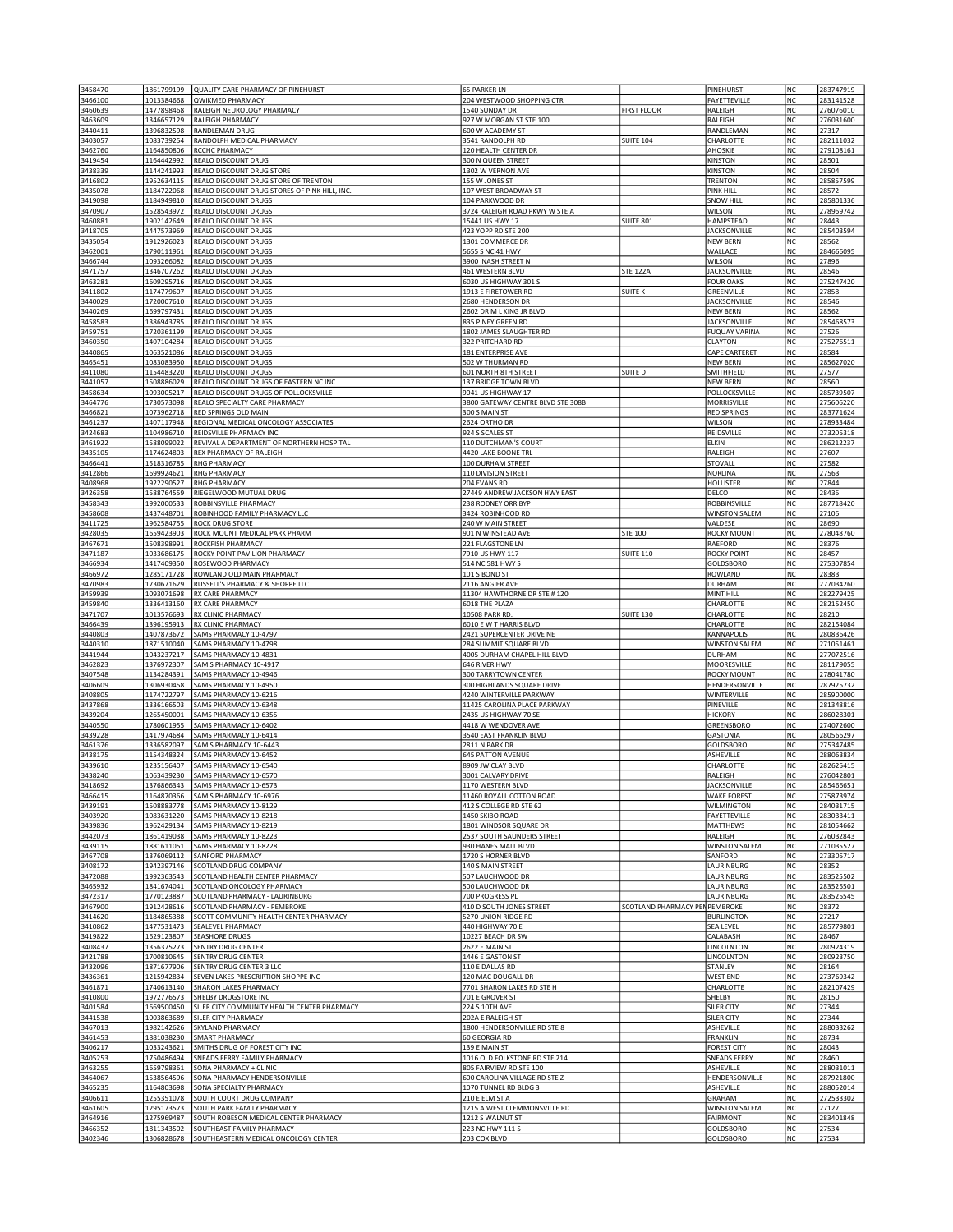| 3458470            | 1861799199               | QUALITY CARE PHARMACY OF PINEHURST                                   | <b>65 PARKER LN</b>                                    |                      | PINEHURST                                   | NC              | 283747919              |
|--------------------|--------------------------|----------------------------------------------------------------------|--------------------------------------------------------|----------------------|---------------------------------------------|-----------------|------------------------|
| 3466100            | 1013384668               | <b>QWIKMED PHARMACY</b>                                              | 204 WESTWOOD SHOPPING CTR                              |                      | FAYETTEVILLE                                | NC              | 283141528              |
| 3460639            | 1477898468               | RALEIGH NEUROLOGY PHARMACY                                           | 1540 SUNDAY DR                                         | <b>FIRST FLOOR</b>   | RALEIGH                                     | NC              | 276076010              |
| 3463609            | 1346657129               | RALEIGH PHARMACY                                                     | 927 W MORGAN ST STE 100                                |                      | RALEIGH                                     | <b>NC</b>       | 276031600              |
| 3440411<br>3403057 | 1396832598<br>1083739254 | RANDLEMAN DRUG<br>RANDOLPH MEDICAL PHARMACY                          | 600 W ACADEMY ST<br>3541 RANDOLPH RD                   | <b>SUITE 104</b>     | RANDLEMAN<br>CHARLOTTE                      | <b>NC</b><br>NC | 27317<br>282111032     |
| 3462760            | 1164850806               | RCCHC PHARMACY                                                       | 120 HEALTH CENTER DR                                   |                      | AHOSKIE                                     | NC              | 279108161              |
| 3419454            | 1164442992               | REALO DISCOUNT DRUG                                                  | 300 N QUEEN STREET                                     |                      | <b>KINSTON</b>                              | NC              | 28501                  |
| 3438339            | 1144241993               | REALO DISCOUNT DRUG STORE                                            | 1302 W VERNON AVE                                      |                      | <b>KINSTON</b>                              | NC              | 28504                  |
| 3416802            | 1952634115               | REALO DISCOUNT DRUG STORE OF TRENTON                                 | 155 W JONES ST                                         |                      | <b>TRENTON</b>                              | NC              | 285857599              |
| 3435078            | 1184722068               | REALO DISCOUNT DRUG STORES OF PINK HILL, INC.                        | 107 WEST BROADWAY ST                                   |                      | <b>PINK HILL</b>                            | NC              | 28572                  |
| 3419098            | 1184949810               | REALO DISCOUNT DRUGS                                                 | 104 PARKWOOD DR                                        |                      | <b>SNOW HILI</b>                            | NC              | 285801336              |
| 3470907            | 1528543972               | REALO DISCOUNT DRUGS                                                 | 3724 RALEIGH ROAD PKWY W STE A                         |                      | WILSON                                      | NC              | 278969742              |
| 3460881<br>3418705 | 1902142649<br>1447573969 | REALO DISCOUNT DRUGS<br>REALO DISCOUNT DRUGS                         | 15441 US HWY 17<br>423 YOPP RD STE 200                 | <b>SUITE 801</b>     | HAMPSTEAD<br><b>JACKSONVILLE</b>            | NC<br>NC        | 28443<br>285403594     |
| 3435054            | 1912926023               | REALO DISCOUNT DRUGS                                                 | 1301 COMMERCE DR                                       |                      | <b>NEW BERN</b>                             | <b>NC</b>       | 28562                  |
| 3462001            | 1790111961               | REALO DISCOUNT DRUGS                                                 | 5655 S NC 41 HWY                                       |                      | WALLACE                                     | <b>NC</b>       | 284666095              |
| 3466744            | 1093266082               | REALO DISCOUNT DRUGS                                                 | 3900 NASH STREET N                                     |                      | WILSON                                      | NC              | 27896                  |
| 3471757            | 1346707262               | REALO DISCOUNT DRUGS                                                 | 461 WESTERN BLVD                                       | <b>STE 122A</b>      | <b>JACKSONVILLE</b>                         | NC              | 28546                  |
| 3463281            | 1609295716               | REALO DISCOUNT DRUGS                                                 | 6030 US HIGHWAY 301 S                                  |                      | <b>FOUR OAKS</b>                            | NC              | 275247420              |
| 3411802            | 1174779607               | REALO DISCOUNT DRUGS                                                 | 1913 E FIRETOWER RD                                    | SUITE K              | GREENVILLE                                  | NC              | 27858                  |
| 3440029            | 1720007610               | REALO DISCOUNT DRUGS                                                 | 2680 HENDERSON DR                                      |                      | <b>JACKSONVILLE</b>                         | NC              | 28546                  |
| 3440269            | 1699797431               | REALO DISCOUNT DRUGS                                                 | 2602 DR M L KING JR BLVD                               |                      | <b>NEW BERN</b>                             | <b>NC</b>       | 28562                  |
| 3458583<br>3459751 | 1386943785<br>1720361199 | REALO DISCOUNT DRUGS<br>REALO DISCOUNT DRUGS                         | 835 PINEY GREEN RD<br>1802 JAMES SLAUGHTER RD          |                      | <b>JACKSONVILLE</b><br><b>FUQUAY VARINA</b> | NC<br>NC        | 285468573<br>27526     |
| 3460350            | 1407104284               | REALO DISCOUNT DRUGS                                                 | 322 PRITCHARD RD                                       |                      | <b>CLAYTON</b>                              | NC              | 275276511              |
| 3440865            | 1063521086               | REALO DISCOUNT DRUGS                                                 | 181 ENTERPRISE AVE                                     |                      | <b>CAPE CARTERET</b>                        | NC              | 28584                  |
| 3465451            | 1083083950               | REALO DISCOUNT DRUGS                                                 | 502 W THURMAN RD                                       |                      | <b>NEW BERN</b>                             | NC              | 285627020              |
| 3411080            | 1154483220               | REALO DISCOUNT DRUGS                                                 | 601 NORTH 8TH STREET                                   | SUITE D              | SMITHFIELD                                  | <b>NC</b>       | 27577                  |
| 3441057            | 1508886029               | REALO DISCOUNT DRUGS OF EASTERN NC INC                               | 137 BRIDGE TOWN BLVD                                   |                      | <b>NEW BERN</b>                             | <b>NC</b>       | 28560                  |
| 3458634            | 1093005217               | REALO DISCOUNT DRUGS OF POLLOCKSVILLE                                | 9041 US HIGHWAY 17                                     |                      | POLLOCKSVILLE                               | NC              | 285739507              |
| 3464776            | 1730573098               | REALO SPECIALTY CARE PHARMACY                                        | 3800 GATEWAY CENTRE BLVD STE 308B                      |                      | MORRISVILLE                                 | NC              | 275606220              |
| 3466821            | 1073962718               | RED SPRINGS OLD MAIN                                                 | 300 S MAIN ST                                          |                      | <b>RED SPRINGS</b>                          | NC              | 283771624              |
| 3461237            | 1407117948               | REGIONAL MEDICAL ONCOLOGY ASSOCIATES                                 | 2624 ORTHO DR                                          |                      | WILSON                                      | NC              | 278933484              |
| 3424683            | 1104986710               | REIDSVILLE PHARMACY INC                                              | 924 S SCALES ST<br>110 DUTCHMAN'S COURT                |                      | REIDSVILLE                                  | NC              | 273205318<br>286212237 |
| 3461922<br>3435105 | 1588099022<br>1174624803 | REVIVAL A DEPARTMENT OF NORTHERN HOSPITAL<br>REX PHARMACY OF RALEIGH | 4420 LAKE BOONE TRL                                    |                      | ELKIN<br>RALEIGH                            | NC<br>NC        | 27607                  |
| 3466441            | 1518316785               | RHG PHARMACY                                                         | 100 DURHAM STREET                                      |                      | <b>STOVALL</b>                              | NC              | 27582                  |
| 3412866            | 1699924621               | <b>RHG PHARMACY</b>                                                  | 110 DIVISION STREET                                    |                      | <b>NORLINA</b>                              | NC              | 27563                  |
| 3408968            | 1922290527               | <b>RHG PHARMACY</b>                                                  | 204 EVANS RD                                           |                      | <b>HOLLISTER</b>                            | NC              | 27844                  |
| 3426358            | 1588764559               | RIEGELWOOD MUTUAL DRUG                                               | 27449 ANDREW JACKSON HWY EAST                          |                      | DELCO                                       | NC              | 28436                  |
| 3458343            | 1992000533               | ROBBINSVILLE PHARMACY                                                | 238 RODNEY ORR BYP                                     |                      | ROBBINSVILLE                                | <b>NC</b>       | 287718420              |
| 3458608            | 1437448701               | ROBINHOOD FAMILY PHARMACY LLC                                        | 3424 ROBINHOOD RD                                      |                      | <b>WINSTON SALEM</b>                        | NC              | 27106                  |
| 3411725            | 1962584755               | ROCK DRUG STORE                                                      | 240 W MAIN STREET                                      |                      | VALDESE                                     | NC              | 28690                  |
| 3428035            | 1659423903               | ROCK MOUNT MEDICAL PARK PHARM                                        | 901 N WINSTEAD AVE                                     | STE 100              | ROCKY MOUNT                                 | NC              | 278048760              |
| 3467671            | 1508398991               | ROCKFISH PHARMACY                                                    | 221 FLAGSTONE LN                                       |                      | RAEFORD                                     | NC              | 28376                  |
| 3471187            | 1033686175               | ROCKY POINT PAVILION PHARMACY                                        | 7910 US HWY 117                                        | <b>SUITE 110</b>     | <b>ROCKY POINT</b>                          | NC<br><b>NC</b> | 28457                  |
| 3466934<br>3466972 | 1417409350<br>1285171728 | ROSEWOOD PHARMACY<br>ROWLAND OLD MAIN PHARMACY                       | 514 NC 581 HWY S<br>101 S BOND ST                      |                      | GOLDSBORO<br><b>ROWLAND</b>                 | NC              | 275307854<br>28383     |
| 3470983            | 1730671629               | RUSSELL'S PHARMACY & SHOPPE LLC                                      | 2116 ANGIER AVE                                        |                      | <b>DURHAM</b>                               | NC              | 277034260              |
| 3459939            | 1093071698               | RX CARE PHARMACY                                                     | 11304 HAWTHORNE DR STE #120                            |                      | MINT HILL                                   | NC              | 282279425              |
| 3459840            | 1336413160               | RX CARE PHARMACY                                                     | 6018 THE PLAZA                                         |                      | CHARLOTTE                                   | NC              | 282152450              |
| 3471707            | 1013576693               | RX CLINIC PHARMACY                                                   | 10508 PARK RD.                                         | <b>SUITE 130</b>     | CHARLOTTE                                   | NC              | 28210                  |
| 3466439            | 1396195913               | RX CLINIC PHARMACY                                                   | 6010 E W T HARRIS BLVD                                 |                      | CHARLOTTE                                   | <b>NC</b>       | 282154084              |
| 3440803            | 1407873672               | SAMS PHARMACY 10-4797                                                | 2421 SUPERCENTER DRIVE NE                              |                      | KANNAPOLIS                                  | <b>NC</b>       | 280836426              |
| 3440310            | 1871510040               | SAMS PHARMACY 10-4798                                                | 284 SUMMIT SQUARE BLVD                                 |                      | <b>WINSTON SALEM</b>                        | NC              | 271051461              |
| 3441944            | 1043237217               | SAMS PHARMACY 10-4831                                                | 4005 DURHAM CHAPEL HILL BLVD                           |                      | <b>DURHAM</b>                               | NC              | 277072516              |
| 3462823            | 1376972307               | SAM'S PHARMACY 10-4917                                               | 646 RIVER HWY                                          |                      | MOORESVILLE                                 | NC              | 281179055              |
| 3407548            | 1134284391               | SAMS PHARMACY 10-4946                                                | 300 TARRYTOWN CENTER                                   |                      | <b>ROCKY MOUNT</b>                          | NC              | 278041780              |
| 3406609<br>3408805 | 1306930458<br>1174722797 | SAMS PHARMACY 10-4950<br>SAMS PHARMACY 10-6216                       | 300 HIGHLANDS SQUARE DRIVE<br>4240 WINTERVILLE PARKWAY |                      | HENDERSONVILLE<br>WINTERVILLE               | NC<br>NC        | 287925732<br>285900000 |
| 3437868            | 1336166503               | SAMS PHARMACY 10-6348                                                | 11425 CAROLINA PLACE PARKWAY                           |                      | PINEVILLE                                   | NC              | 281348816              |
| 3439204            | 1265450001               | SAMS PHARMACY 10-6355                                                | 2435 US HIGHWAY 70 SE                                  |                      | <b>HICKORY</b>                              | NC              | 286028301              |
| 3440550            | 1780601955               | SAMS PHARMACY 10-6402                                                | 4418 W WENDOVER AVE                                    |                      | GREENSBORO                                  | NC              | 274072600              |
| 3439228            |                          |                                                                      |                                                        |                      |                                             |                 | 280566297              |
| 3461376            | 1417974684               | SAMS PHARMACY 10-6414                                                | 3540 EAST FRANKLIN BLVD                                |                      | <b>GASTONIA</b>                             | NC              |                        |
|                    | 1336582097               | SAM'S PHARMACY 10-6443                                               | 2811 N PARK DR                                         |                      | <b>GOLDSBORO</b>                            | <b>NC</b>       | 275347485              |
| 3438175            | 1154348324               | SAMS PHARMACY 10-6452                                                | <b>645 PATTON AVENUE</b>                               |                      | <b>ASHEVILLE</b>                            | <b>NC</b>       | 288063834              |
| 3439610            | 1235156407               | SAMS PHARMACY 10-6540                                                | 8909 JW CLAY BLVD                                      |                      | CHARLOTTE                                   | NC              | 282625415              |
| 3438240            | 1063439230               | SAMS PHARMACY 10-6570                                                | 3001 CALVARY DRIVE                                     |                      | RALEIGH                                     | NC              | 276042801              |
| 3418692            | 1376866343               | SAMS PHARMACY 10-6573                                                | 1170 WESTERN BLVD                                      |                      | <b>JACKSONVILLE</b>                         | NC              | 285466651              |
| 3466415            | 1164870366               | SAM'S PHARMACY 10-6976                                               | 11460 ROYALL COTTON ROAD                               |                      | <b>WAKE FOREST</b>                          | NC              | 275873974              |
| 3439191            | 1508883778               | SAMS PHARMACY 10-8129                                                | 412 S COLLEGE RD STE 62                                |                      | <b>WILMINGTON</b>                           | NC<br>NC        | 284031715              |
| 3403920<br>3439836 | 1083631220<br>1962429134 | SAMS PHARMACY 10-8218<br>SAMS PHARMACY 10-8219                       | 1450 SKIBO ROAD<br>1801 WINDSOR SQUARE DR              |                      | FAYETTEVILLE<br>MATTHEWS                    | NC              | 283033411<br>281054662 |
| 3442073            | 1861419038               | SAMS PHARMACY 10-8223                                                | 2537 SOUTH SAUNDERS STREET                             |                      | RALEIGH                                     | NC              | 276032843              |
| 3439115            | 1881611051               | SAMS PHARMACY 10-8228                                                | 930 HANES MALL BLVD                                    |                      | <b>WINSTON SALEM</b>                        | NC              | 271035527              |
| 3467708            | 1376069112               | SANFORD PHARMACY                                                     | 1720 S HORNER BLVD                                     |                      | SANFORD                                     | NC              | 273305717              |
| 3408172            | 1942397146               | SCOTLAND DRUG COMPANY                                                | 140 S MAIN STREET                                      |                      | LAURINBURG                                  | NC              | 28352                  |
| 3472088            | 1992363543               | SCOTLAND HEALTH CENTER PHARMACY                                      | 507 LAUCHWOOD DR                                       |                      | LAURINBURG                                  | <b>NC</b>       | 283525502              |
| 3465932            | 1841674041               | SCOTLAND ONCOLOGY PHARMACY                                           | 500 LAUCHWOOD DR                                       |                      | LAURINBURG                                  | NC              | 283525501              |
| 3472317            | 1770123887               | SCOTLAND PHARMACY - LAURINBURG                                       | 700 PROGRESS PL                                        |                      | LAURINBURG                                  | NC              | 283525545              |
| 3467900            | 1912428616               | SCOTLAND PHARMACY - PEMBROKE                                         | 410 D SOUTH JONES STREET                               | SCOTLAND PHARMACY PE | <b>N PEMBROKE</b>                           | NC              | 28372                  |
| 3414620            | 1184865388               | SCOTT COMMUNITY HEALTH CENTER PHARMACY                               | 5270 UNION RIDGE RD                                    |                      | <b>BURLINGTON</b>                           | NC              | 27217                  |
| 3410862            | 1477531473               | <b>SEALEVEL PHARMACY</b><br><b>SEASHORE DRUGS</b>                    | 440 HIGHWAY 70 E<br>10227 BEACH DR SW                  |                      | <b>SEA LEVEL</b><br>CALABASH                | NC<br>NC        | 285779801<br>28467     |
| 3419822<br>3408437 | 1629123807<br>1356375273 | <b>SENTRY DRUG CENTER</b>                                            | 2622 E MAIN ST                                         |                      | LINCOLNTON                                  | NC              | 280924319              |
| 3421788            | 1700810645               | <b>SENTRY DRUG CENTER</b>                                            | 1446 E GASTON ST                                       |                      | LINCOLNTON                                  | NC              | 280923750              |
| 3432096            | 1871677906               | SENTRY DRUG CENTER 3 LLC                                             | 110 E DALLAS RD                                        |                      | STANLEY                                     | NC              | 28164                  |
| 3436361            | 1215942834               | SEVEN LAKES PRESCRIPTION SHOPPE INC                                  | 120 MAC DOUGALL DR                                     |                      | <b>WEST END</b>                             | NC              | 273769342              |
| 3461871            | 1740613140               | SHARON LAKES PHARMACY                                                | 7701 SHARON LAKES RD STE H                             |                      | CHARLOTTE                                   | NC              | 282107429              |
| 3410800            | 1972776573               | SHELBY DRUGSTORE INC                                                 | 701 E GROVER ST                                        |                      | SHELBY                                      | NC              | 28150                  |
| 3401584            | 1669500450               | SILER CITY COMMUNITY HEALTH CENTER PHARMACY                          | 224 S 10TH AVE                                         |                      | <b>SILER CITY</b>                           | <b>NC</b>       | 27344                  |
| 3441538            | 1003863689               | SILER CITY PHARMACY                                                  | 202A E RALEIGH ST                                      |                      | <b>SILER CITY</b>                           | NC              | 27344                  |
| 3467013            | 1982142626               | SKYLAND PHARMACY                                                     | 1800 HENDERSONVILLE RD STE 8                           |                      | ASHEVILLE                                   | NC              | 288033262              |
| 3461453            | 1881038230               | SMART PHARMACY                                                       | 60 GEORGIA RD                                          |                      | <b>FRANKLIN</b>                             | NC<br>NC        | 28734                  |
| 3406217<br>3405253 | 1033243621<br>1750486494 | SMITHS DRUG OF FOREST CITY INC<br>SNEADS FERRY FAMILY PHARMACY       | 139 E MAIN ST<br>1016 OLD FOLKSTONE RD STE 214         |                      | <b>FOREST CITY</b><br><b>SNEADS FERRY</b>   | NC              | 28043<br>28460         |
| 3463255            | 1659798361               | SONA PHARMACY + CLINIC                                               | 805 FAIRVIEW RD STE 100                                |                      | <b>ASHEVILLE</b>                            | NC              | 288031011              |
| 3464067            | 1538564596               | SONA PHARMACY HENDERSONVILLE                                         | 600 CAROLINA VILLAGE RD STE Z                          |                      | HENDERSONVILLE                              | NC              | 287921800              |
| 3465235            | 1164803698               | SONA SPECIALTY PHARMACY                                              | 1070 TUNNEL RD BLDG 3                                  |                      | ASHEVILLE                                   | NC              | 288052014              |
| 3406611            | 1255351078               | SOUTH COURT DRUG COMPANY                                             | 210 E ELM ST A                                         |                      | <b>GRAHAM</b>                               | NC              | 272533302              |
| 3461605            | 1295173573               | SOUTH PARK FAMILY PHARMACY                                           | 1215 A WEST CLEMMONSVILLE RD                           |                      | <b>WINSTON SALEM</b>                        | NC              | 27127                  |
| 3464916            | 1275969487               | SOUTH ROBESON MEDICAL CENTER PHARMACY                                | 1212 S WALNUT ST                                       |                      | <b>FAIRMONT</b>                             | NC              | 283401848              |
| 3466352<br>3402346 | 1811343502<br>1306828678 | SOUTHEAST FAMILY PHARMACY<br>SOUTHEASTERN MEDICAL ONCOLOGY CENTER    | 223 NC HWY 111 S<br>203 COX BLVD                       |                      | GOLDSBORO<br><b>GOLDSBORO</b>               | NC<br>NC        | 27534<br>27534         |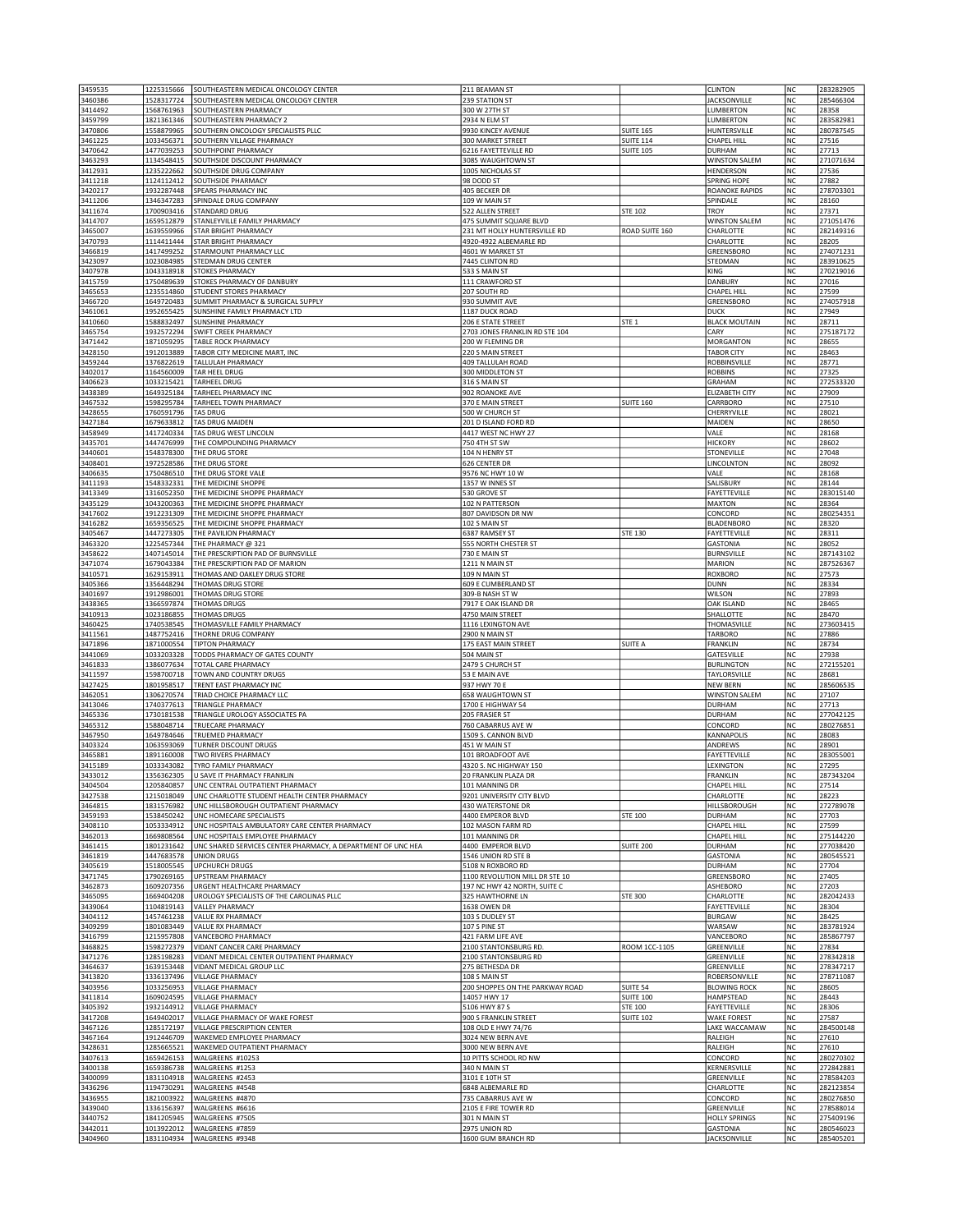| 3460386            | 1225315666               | SOUTHEASTERN MEDICAL ONCOLOGY CENTER                          | 211 BEAMAN ST                             |                  | CLINTON                                 | NC        | 283282905              |
|--------------------|--------------------------|---------------------------------------------------------------|-------------------------------------------|------------------|-----------------------------------------|-----------|------------------------|
|                    | 1528317724               | SOUTHEASTERN MEDICAL ONCOLOGY CENTER                          | 239 STATION ST                            |                  | <b>JACKSONVILLE</b>                     | NC        | 285466304              |
| 3414492            | 1568761963               | SOUTHEASTERN PHARMACY                                         | 300 W 27TH ST                             |                  | LUMBERTON                               | NC        | 28358                  |
| 3459799<br>3470806 | 1821361346<br>1558879965 | SOUTHEASTERN PHARMACY 2<br>SOUTHERN ONCOLOGY SPECIALISTS PLLC | 2934 N ELM ST<br>9930 KINCEY AVENUE       | <b>SUITE 165</b> | LUMBERTON<br>HUNTERSVILLE               | NC<br>NC  | 283582981<br>280787545 |
| 3461225            | 1033456371               | SOUTHERN VILLAGE PHARMACY                                     | 300 MARKET STREET                         | <b>SUITE 114</b> | CHAPEL HILL                             | NC        | 27516                  |
| 3470642            | 1477039253               | SOUTHPOINT PHARMACY                                           | 6216 FAYETTEVILLE RD                      | <b>SUITE 105</b> | DURHAM                                  | NC        | 27713                  |
| 3463293            | 1134548415               | SOUTHSIDE DISCOUNT PHARMACY                                   | 3085 WAUGHTOWN ST                         |                  | <b>WINSTON SALEM</b>                    | NC        | 271071634              |
| 3412931            | 1235222662               | SOUTHSIDE DRUG COMPANY                                        | 1005 NICHOLAS ST                          |                  | HENDERSON                               | NC        | 27536                  |
| 3411218            | 1124112412               | SOUTHSIDE PHARMACY                                            | 98 DODD ST                                |                  | <b>SPRING HOPE</b>                      | NC        | 27882                  |
| 3420217            | 1932287448               | SPEARS PHARMACY INC                                           | 405 BECKER DR                             |                  | <b>ROANOKE RAPIDS</b>                   | NC        | 278703301              |
| 3411206            | 1346347283               | SPINDALE DRUG COMPANY                                         | 109 W MAIN ST                             |                  | SPINDALE                                | NC        | 28160                  |
| 3411674            | 1700903416               | STANDARD DRUG                                                 | 522 ALLEN STREET                          | <b>STE 102</b>   | <b>TROY</b>                             | NC        | 27371                  |
| 3414707            | 1659512879               | STANLEYVILLE FAMILY PHARMACY                                  | 475 SUMMIT SQUARE BLVD                    |                  | <b>WINSTON SALEM</b>                    | NC        | 271051476              |
| 3465007            | 1639559966               | STAR BRIGHT PHARMACY                                          | 231 MT HOLLY HUNTERSVILLE RD              | ROAD SUITE 160   | CHARLOTTE                               | NC<br>NC  | 282149316              |
| 3470793            | 1114411444<br>1417499252 | STAR BRIGHT PHARMACY                                          | 4920-4922 ALBEMARLE RD                    |                  | CHARLOTTE<br>GREENSBORO                 |           | 28205<br>274071231     |
| 3466819<br>3423097 | 1023084985               | STARMOUNT PHARMACY LLC<br>STEDMAN DRUG CENTER                 | 4601 W MARKET ST<br>7445 CLINTON RD       |                  | STEDMAN                                 | NC<br>NC  | 283910625              |
| 3407978            | 1043318918               | <b>STOKES PHARMACY</b>                                        | 533 S MAIN ST                             |                  | KING                                    | NC        | 270219016              |
| 3415759            | 1750489639               | STOKES PHARMACY OF DANBURY                                    | 111 CRAWFORD ST                           |                  | <b>DANBURY</b>                          | NC        | 27016                  |
| 3465653            | 1235514860               | STUDENT STORES PHARMACY                                       | 207 SOUTH RD                              |                  | CHAPEL HILL                             | NC        | 27599                  |
| 3466720            | 1649720483               | SUMMIT PHARMACY & SURGICAL SUPPLY                             | 930 SUMMIT AVE                            |                  | GREENSBORO                              | NC        | 274057918              |
| 3461061            | 1952655425               | SUNSHINE FAMILY PHARMACY LTD                                  | 1187 DUCK ROAD                            |                  | <b>DUCK</b>                             | NC        | 27949                  |
| 3410660            | 1588832497               | <b>SUNSHINE PHARMACY</b>                                      | 206 E STATE STREET                        | STE <sub>1</sub> | <b>BLACK MOUTAIN</b>                    | NC        | 28711                  |
| 3465754            | 1932572294               | SWIFT CREEK PHARMACY                                          | 2703 JONES FRANKLIN RD STE 104            |                  | CARY                                    | <b>NC</b> | 275187172              |
| 3471442            | 1871059295               | TABLE ROCK PHARMACY                                           | 200 W FLEMING DR                          |                  | <b>MORGANTON</b>                        | NC        | 28655                  |
| 3428150            | 1912013889               | TABOR CITY MEDICINE MART, INC                                 | 220 S MAIN STREET                         |                  | <b>TABOR CITY</b>                       | NC        | 28463                  |
| 3459244            | 1376822619               | <b>TALLULAH PHARMACY</b>                                      | 409 TALLULAH ROAD                         |                  | <b>ROBBINSVILLE</b>                     | NC        | 28771                  |
| 3402017            | 1164560009               | TAR HEEL DRUG                                                 | 300 MIDDLETON ST                          |                  | <b>ROBBINS</b>                          | NC        | 27325                  |
| 3406623            | 1033215421               | TARHEEL DRUG                                                  | 316 S MAIN ST                             |                  | GRAHAM                                  | NC        | 272533320              |
| 3438389            | 1649325184               | TARHEEL PHARMACY INC                                          | 902 ROANOKE AVE                           |                  | <b>ELIZABETH CITY</b>                   | <b>NC</b> | 27909                  |
| 3467532            | 1598295784               | TARHEEL TOWN PHARMACY<br><b>TAS DRUG</b>                      | 370 E MAIN STREET<br>500 W CHURCH ST      | <b>SUITE 160</b> | CARRBORO                                | <b>NC</b> | 27510                  |
| 3428655<br>3427184 | 1760591796<br>1679633812 | <b>TAS DRUG MAIDEN</b>                                        | 201 D ISLAND FORD RD                      |                  | CHERRYVILLE<br>MAIDEN                   | NC<br>NC  | 28021<br>28650         |
| 3458949            | 1417240334               | TAS DRUG WEST LINCOLN                                         | 4417 WEST NC HWY 27                       |                  | VALE                                    | NC        | 28168                  |
| 3435701            | 1447476999               | THE COMPOUNDING PHARMACY                                      | 750 4TH ST SW                             |                  | <b>HICKORY</b>                          | NC        | 28602                  |
| 3440601            | 1548378300               | THE DRUG STORE                                                | 104 N HENRY ST                            |                  | STONEVILLE                              | NC        | 27048                  |
| 3408401            | 1972528586               | THE DRUG STORE                                                | 626 CENTER DR                             |                  | LINCOLNTON                              | <b>NC</b> | 28092                  |
| 3406635            | 1750486510               | THE DRUG STORE VALE                                           | 9576 NC HWY 10 W                          |                  | VALE                                    | NC        | 28168                  |
| 3411193            | 1548332331               | THE MEDICINE SHOPPE                                           | 1357 W INNES ST                           |                  | SALISBURY                               | NC        | 28144                  |
| 3413349            | 1316052350               | THE MEDICINE SHOPPE PHARMACY                                  | 530 GROVE ST                              |                  | FAYETTEVILLE                            | NC        | 283015140              |
| 3435129            | 1043200363               | THE MEDICINE SHOPPE PHARMACY                                  | 102 N PATTERSON                           |                  | <b>MAXTON</b>                           | NC        | 28364                  |
| 3417602            | 1912231309               | THE MEDICINE SHOPPE PHARMACY                                  | 807 DAVIDSON DR NW                        |                  | CONCORD                                 | NC        | 280254351              |
| 3416282            | 1659356525               | THE MEDICINE SHOPPE PHARMACY                                  | 102 S MAIN ST                             |                  | <b>BLADENBORO</b>                       | <b>NC</b> | 28320                  |
| 3405467            | 1447273305               | THE PAVILION PHARMACY                                         | 6387 RAMSEY ST                            | <b>STE 130</b>   | FAYETTEVILLE                            | <b>NC</b> | 28311                  |
| 3463320            | 1225457344               | THE PHARMACY @ 321                                            | 555 NORTH CHESTER ST                      |                  | <b>GASTONIA</b>                         | NC        | 28052                  |
| 3458622            | 1407145014               | THE PRESCRIPTION PAD OF BURNSVILLE                            | 730 E MAIN ST                             |                  | <b>BURNSVILLE</b>                       | NC        | 287143102              |
| 3471074            | 1679043384               | THE PRESCRIPTION PAD OF MARION                                | 1211 N MAIN ST                            |                  | MARION                                  | NC        | 287526367              |
| 3410571            | 1629153911               | THOMAS AND OAKLEY DRUG STORE                                  | 109 N MAIN ST                             |                  | <b>ROXBORO</b>                          | NC        | 27573                  |
| 3405366            | 1356448294               | THOMAS DRUG STORE                                             | 609 E CUMBERLAND ST                       |                  | <b>DUNN</b>                             | NC        | 28334                  |
| 3401697            | 1912986001               | THOMAS DRUG STORE                                             | 309-B NASH ST W                           |                  | WILSON                                  | NC        | 27893                  |
| 3438365            | 1366597874               | <b>THOMAS DRUGS</b>                                           | 7917 E OAK ISLAND DR                      |                  | OAK ISLAND                              | NC        | 28465                  |
| 3410913            | 1023186855               | <b>THOMAS DRUGS</b>                                           | 4750 MAIN STREET                          |                  | SHALLOTTE                               | NC        | 28470                  |
| 3460425            | 1740538545               | THOMASVILLE FAMILY PHARMACY                                   | 1116 LEXINGTON AVE                        |                  | THOMASVILLE                             | NC        | 273603415              |
| 3411561            | 1487752416               | THORNE DRUG COMPANY                                           | 2900 N MAIN ST                            |                  | TARBORO                                 | NC        | 27886                  |
| 3471896            | 1871000554               | <b>TIPTON PHARMACY</b>                                        | 175 EAST MAIN STREET                      | <b>SUITE A</b>   | FRANKLIN                                | NC        | 28734                  |
| 3441069            | 1033203328               | TODDS PHARMACY OF GATES COUNTY                                | 504 MAIN ST                               |                  | GATESVILLE                              | <b>NC</b> | 27938                  |
| 3461833<br>3411597 | 1386077634<br>1598700718 | TOTAL CARE PHARMACY<br>TOWN AND COUNTRY DRUGS                 | 2479 S CHURCH ST<br>53 E MAIN AVE         |                  | <b>BURLINGTON</b><br>TAYLORSVILLE       | NC<br>NC  | 272155201<br>28681     |
| 3427425            | 1801958517               | TRENT EAST PHARMACY INC                                       | 937 HWY 70 E                              |                  | <b>NEW BERN</b>                         | NC        | 285606535              |
| 3462051            | 1306270574               | TRIAD CHOICE PHARMACY LLC                                     | 658 WAUGHTOWN ST                          |                  | <b>WINSTON SALEM</b>                    | NC        | 27107                  |
|                    |                          |                                                               | 1700 E HIGHWAY 54                         |                  |                                         | NC        | 27713                  |
|                    |                          |                                                               |                                           |                  |                                         |           |                        |
| 3413046            | 1740377613               | <b>TRIANGLE PHARMACY</b>                                      |                                           |                  | <b>DURHAM</b>                           |           |                        |
| 3465336            | 1730181538               | TRIANGLE UROLOGY ASSOCIATES PA                                | 205 FRASIER ST                            |                  | <b>DURHAM</b>                           | NC        | 277042125              |
| 3465312<br>3467950 | 1588048714<br>1649784646 | TRUECARE PHARMACY<br><b>TRUEMED PHARMACY</b>                  | 760 CABARRUS AVE W<br>1509 S. CANNON BLVD |                  | CONCORD<br>KANNAPOLIS                   | NC<br>NC  | 280276851<br>28083     |
| 3403324            | 1063593069               | <b>TURNER DISCOUNT DRUGS</b>                                  | 451 W MAIN ST                             |                  | ANDREWS                                 | NC        | 28901                  |
| 3465881            | 1891160008               | TWO RIVERS PHARMACY                                           | 101 BROADFOOT AVE                         |                  | FAYETTEVILLE                            | NC        | 283055001              |
| 3415189            | 1033343082               | TYRO FAMILY PHARMACY                                          | 4320 S. NC HIGHWAY 150                    |                  | LEXINGTON                               | NC        | 27295                  |
| 3433012            | 1356362305               | U SAVE IT PHARMACY FRANKLIN                                   | 20 FRANKLIN PLAZA DR                      |                  | FRANKLIN                                | NC        | 287343204              |
| 3404504            |                          | 1205840857 LUNC CENTRAL OUTPATIENT PHARMACY                   | 101 MANNING DR                            |                  | CHAPEL HILL                             | ΝC        | 27514                  |
| 3427538            | 1215018049               | UNC CHARLOTTE STUDENT HEALTH CENTER PHARMACY                  | 9201 UNIVERSITY CITY BLVD                 |                  | CHARLOTTE                               | NC        | 28223                  |
| 3464815            | 1831576982               | UNC HILLSBOROUGH OUTPATIENT PHARMACY                          | 430 WATERSTONE DR                         |                  | HILLSBOROUGH                            | NC        | 272789078              |
| 3459193            | 1538450242               | UNC HOMECARE SPECIALISTS                                      | 4400 EMPEROR BLVD                         | <b>STE 100</b>   | <b>DURHAM</b>                           | NC        | 27703                  |
| 3408110            | 1053334912               | UNC HOSPITALS AMBULATORY CARE CENTER PHARMACY                 | 102 MASON FARM RD                         |                  | CHAPEL HILL                             | NC        | 27599                  |
| 3462013            | 1669808564               | UNC HOSPITALS EMPLOYEE PHARMACY                               | 101 MANNING DR                            |                  | CHAPEL HILL                             | NC        | 275144220              |
| 3461415            | 1801231642               | UNC SHARED SERVICES CENTER PHARMACY, A DEPARTMENT OF UNC HEA  | 4400 EMPEROR BLVD                         | <b>SUITE 200</b> | <b>DURHAM</b>                           | NC        | 277038420              |
| 3461819            | 1447683578               | <b>UNION DRUGS</b>                                            | 1546 UNION RD STE B                       |                  | <b>GASTONIA</b>                         | NC        | 280545521              |
| 3405619            | 1518005545               | UPCHURCH DRUGS                                                | 5108 N ROXBORO RD                         |                  | <b>DURHAM</b>                           | NC        | 27704                  |
| 3471745            | 1790269165               | <b>UPSTREAM PHARMACY</b>                                      | 1100 REVOLUTION MILL DR STE 10            |                  | GREENSBORO                              | NC        | 27405                  |
| 3462873            | 1609207356<br>1669404208 | URGENT HEALTHCARE PHARMACY                                    | 197 NC HWY 42 NORTH, SUITE C              |                  | ASHEBORO                                | NC        | 27203                  |
| 3465095            |                          | UROLOGY SPECIALISTS OF THE CAROLINAS PLLC                     | 325 HAWTHORNE LN                          | <b>STE 300</b>   | CHARLOTTE                               | NC        | 282042433              |
| 3439064<br>3404112 | 1104819143<br>1457461238 | <b>VALLEY PHARMACY</b><br>VALUE RX PHARMACY                   | 1638 OWEN DR<br>103 S DUDLEY ST           |                  | FAYETTEVILLE<br><b>BURGAW</b>           | NC<br>NC  | 28304<br>28425         |
| 3409299            | 1801083449               | <b>VALUE RX PHARMACY</b>                                      | 107 S PINE ST                             |                  |                                         | NC        | 283781924              |
| 3416799            | 1215957808               | VANCEBORO PHARMACY                                            | 421 FARM LIFE AVE                         |                  | WARSAW<br>VANCEBORO                     | NC        | 285867797              |
| 3468825            | 1598272379               | VIDANT CANCER CARE PHARMACY                                   | 2100 STANTONSBURG RD                      | ROOM 1CC-1105    | GREENVILLE                              | NC        | 27834                  |
| 3471276            | 1285198283               | VIDANT MEDICAL CENTER OUTPATIENT PHARMACY                     | 2100 STANTONSBURG RD                      |                  | GREENVILLE                              | NC        | 278342818              |
| 3464637            | 1639153448               | VIDANT MEDICAL GROUP LLC                                      | 275 BETHESDA DR                           |                  | GREENVILLE                              | NC        | 278347217              |
| 3413820            | 1336137496               | <b>VILLAGE PHARMACY</b>                                       | 108 S MAIN ST                             |                  | ROBERSONVILLE                           | NC        | 278711087              |
| 3403956            | 1033256953               | <b>VILLAGE PHARMACY</b>                                       | 200 SHOPPES ON THE PARKWAY ROAD           | SUITE 54         | <b>BLOWING ROCK</b>                     | NC        | 28605                  |
| 3411814            | 1609024595               | <b>VILLAGE PHARMACY</b>                                       | 14057 HWY 17                              | <b>SUITE 100</b> | HAMPSTEAD                               | NC        | 28443                  |
| 3405392            | 1932144912               | <b>VILLAGE PHARMACY</b>                                       | 5106 HWY 87 S                             | <b>STE 100</b>   | FAYETTEVILLE                            | NC        | 28306                  |
| 3417208            | 1649402017               | VILLAGE PHARMACY OF WAKE FOREST                               | 900 S FRANKLIN STREET                     | <b>SUITE 102</b> | <b>WAKE FOREST</b>                      | NC        | 27587                  |
| 3467126            | 1285172197               | VILLAGE PRESCRIPTION CENTER                                   | 108 OLD E HWY 74/76                       |                  | LAKE WACCAMAW                           | NC        | 284500148              |
| 3467164            | 1912446709               | <b>WAKEMED EMPLOYEE PHARMACY</b>                              | 3024 NEW BERN AVE                         |                  | RALEIGH                                 | NC        | 27610                  |
| 3428631            | 1285665521               | WAKEMED OUTPATIENT PHARMACY                                   | 3000 NEW BERN AVE                         |                  | RALEIGH                                 | NC        | 27610                  |
| 3407613            | 1659426153               | WALGREENS #10253                                              | 10 PITTS SCHOOL RD NW                     |                  | CONCORD                                 | NC        | 280270302              |
| 3400138            | 1659386738               | WALGREENS #1253                                               | 340 N MAIN ST                             |                  | KERNERSVILLE                            | NC        | 272842881              |
| 3400099            | 1831104918               | WALGREENS #2453                                               | 3101 E 10TH ST                            |                  | GREENVILLE                              | NC        | 278584203              |
| 3436296            | 1194730291               | WALGREENS #4548                                               | 6848 ALBEMARLE RD                         |                  | CHARLOTTE                               | NC        | 282123854              |
| 3436955            | 1821003922               | WALGREENS #4870                                               | 735 CABARRUS AVE W                        |                  | CONCORD                                 | NC        | 280276850              |
| 3439040            | 1336156397               | WALGREENS #6616                                               | 2105 E FIRE TOWER RD                      |                  | GREENVILLE                              | NC        | 278588014              |
| 3440752<br>3442011 | 1841205945<br>1013922012 | WALGREENS #7505<br>WALGREENS #7859                            | 301 N MAIN ST<br>2975 UNION RD            |                  | <b>HOLLY SPRINGS</b><br><b>GASTONIA</b> | NC<br>NC  | 275409196<br>280546023 |
| 3404960            | 1831104934               | WALGREENS #9348                                               | 1600 GUM BRANCH RD                        |                  | <b>JACKSONVILLE</b>                     | NC        | 285405201              |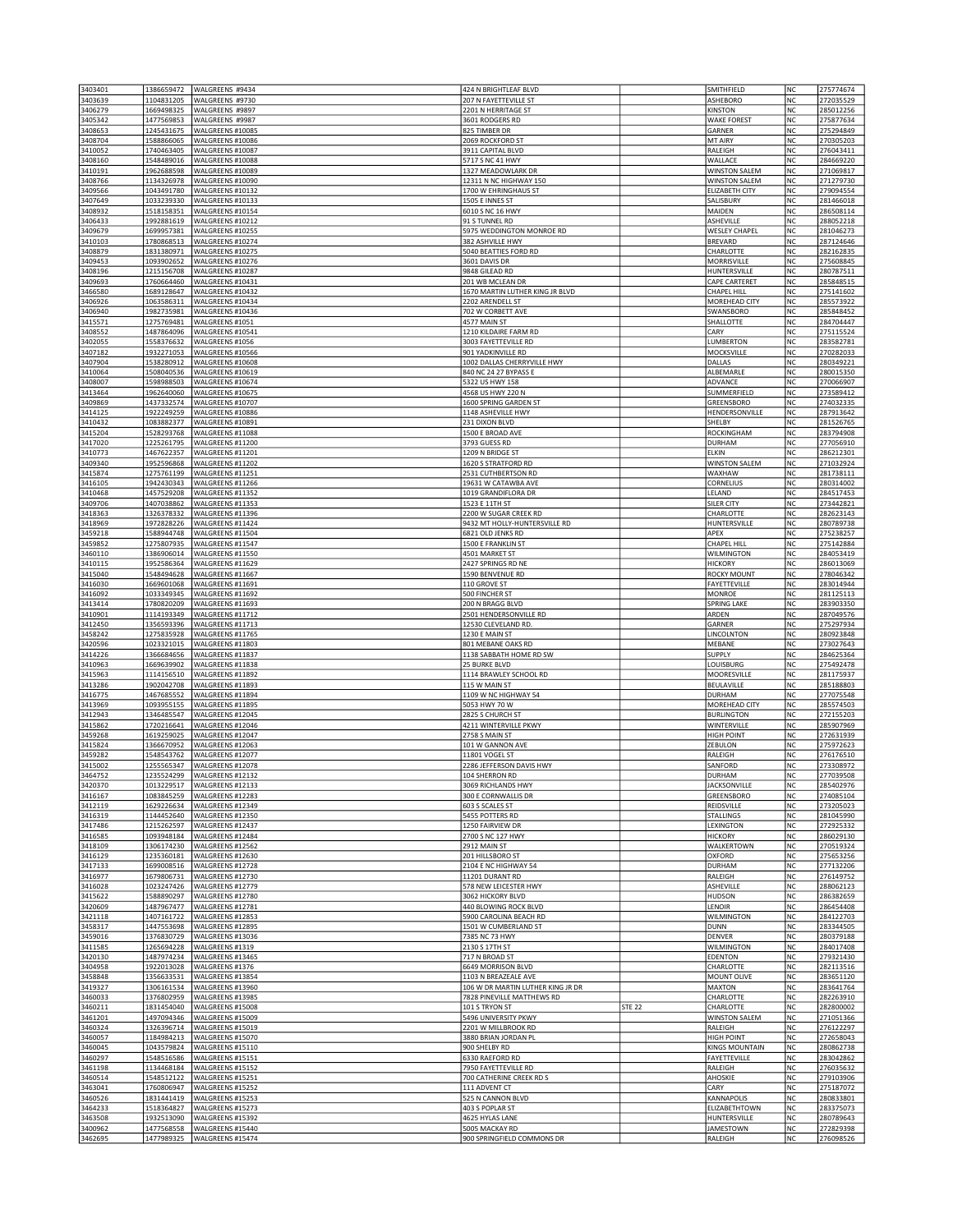| 3403401<br>3403639 | 1386659472<br>1104831205 | WALGREENS #9434<br>WALGREENS #9730   | 424 N BRIGHTLEAF BLVD<br>207 N FAYETTEVILLE ST            |               | SMITHFIELD<br>ASHEBORO                | NC<br>NC             | 275774674<br>272035529 |
|--------------------|--------------------------|--------------------------------------|-----------------------------------------------------------|---------------|---------------------------------------|----------------------|------------------------|
| 3406279            | 1669498325               | WALGREENS #9897                      | 2201 N HERRITAGE ST                                       |               | KINSTON                               | NC                   | 285012256              |
| 3405342            | 1477569853               | WALGREENS #9987                      | 3601 RODGERS RD                                           |               | <b>WAKE FOREST</b>                    | NC                   | 275877634              |
| 3408653<br>3408704 | 1245431675<br>1588866065 | WALGREENS #10085<br>WALGREENS #10086 | 825 TIMBER DR<br>2069 ROCKFORD ST                         |               | GARNER<br>MT AIRY                     | NC<br><b>NC</b>      | 275294849<br>270305203 |
| 3410052            | 1740463405               | WALGREENS #10087                     | 3911 CAPITAL BLVD                                         |               | RALEIGH                               | NC                   | 276043411              |
| 3408160<br>3410191 | 1548489016<br>1962688598 | WALGREENS #10088<br>WALGREENS #10089 | 5717 S NC 41 HWY<br>1327 MEADOWLARK DR                    |               | WALLACE<br><b>WINSTON SALEM</b>       | NC<br><b>NC</b>      | 284669220<br>271069817 |
| 3408766            | 1134326978               | WALGREENS #10090                     | 12311 N NC HIGHWAY 150                                    |               | <b>WINSTON SALEM</b>                  | NC                   | 271279730              |
| 3409566            | 1043491780               | WALGREENS #10132                     | 1700 W EHRINGHAUS ST                                      |               | ELIZABETH CITY                        | NC                   | 279094554              |
| 3407649<br>3408932 | 1033239330<br>1518158351 | WALGREENS #10133<br>WALGREENS #10154 | 1505 E INNES ST<br>6010 S NC 16 HWY                       |               | SALISBURY<br>MAIDEN                   | NC<br>NC             | 281466018<br>286508114 |
| 3406433            | 1992881619               | WALGREENS #10212                     | 91 S TUNNEL RD                                            |               | ASHEVILLE                             | NC                   | 288052218              |
| 3409679            | 1699957381               | WALGREENS #10255                     | 5975 WEDDINGTON MONROE RD                                 |               | <b>WESLEY CHAPEL</b>                  | NC                   | 281046273              |
| 3410103<br>3408879 | 1780868513<br>1831380971 | WALGREENS #10274<br>WALGREENS #10275 | 382 ASHVILLE HWY<br>5040 BEATTIES FORD RD                 |               | <b>BREVARD</b><br>CHARLOTTE           | NC<br>NC             | 287124646<br>282162835 |
| 3409453            | 1093902652               | WALGREENS #10276                     | 3601 DAVIS DR                                             |               | MORRISVILLE                           | <b>NC</b>            | 275608845              |
| 3408196<br>3409693 | 1215156708<br>1760664460 | WALGREENS #10287<br>WALGREENS #10431 | 9848 GILEAD RD<br>201 WB MCLEAN DR                        |               | HUNTERSVILLE<br>CAPE CARTERET         | NC<br>NC             | 280787511<br>285848515 |
| 3466580            | 1689128647               | WALGREENS #10432                     | 1670 MARTIN LUTHER KING JR BLVD                           |               | <b>CHAPEL HILL</b>                    | NC                   | 275141602              |
| 3406926            | 1063586311               | WALGREENS #10434                     | 2202 ARENDELL ST                                          |               | MOREHEAD CITY                         | NC                   | 285573922              |
| 3406940<br>3415571 | 1982735981<br>1275769481 | WALGREENS #10436<br>WALGREENS #1051  | 702 W CORBETT AVE<br>4577 MAIN ST                         |               | SWANSBORO<br>SHALLOTTE                | NC<br>NC             | 285848452<br>284704447 |
| 3408552            | 1487864096               | WALGREENS #10541                     | 1210 KILDAIRE FARM RD                                     |               | CARY                                  | NC                   | 275115524              |
| 3402055            | 1558376632               | WALGREENS #1056                      | 3003 FAYETTEVILLE RD                                      |               | LUMBERTON                             | NC                   | 283582781              |
| 3407182<br>3407904 | 1932271053<br>1538280912 | WALGREENS #10566<br>WALGREENS #10608 | 901 YADKINVILLE RD<br>1002 DALLAS CHERRYVILLE HWY         |               | MOCKSVILLE<br>DALLAS                  | NC<br>NC             | 270282033<br>280349221 |
| 3410064            | 1508040536               | WALGREENS #10619                     | 840 NC 24 27 BYPASS E                                     |               | ALBEMARLE                             | NC                   | 280015350              |
| 3408007<br>3413464 | 1598988503<br>1962640060 | WALGREENS #10674<br>WALGREENS #10675 | 5322 US HWY 158<br>4568 US HWY 220 N                      |               | ADVANCE<br>SUMMERFIELD                | NC<br><b>NC</b>      | 270066907<br>273589412 |
| 3409869            | 1437332574               | WALGREENS #10707                     | 1600 SPRING GARDEN ST                                     |               | GREENSBORO                            | NC                   | 274032335              |
| 3414125            | 1922249259               | WALGREENS #10886                     | 1148 ASHEVILLE HWY                                        |               | HENDERSONVILLE                        | NC                   | 287913642              |
| 3410432<br>3415204 | 1083882377<br>1528293768 | WALGREENS #10891<br>WALGREENS #11088 | 231 DIXON BLVD<br>1500 E BROAD AVE                        |               | SHELBY<br>ROCKINGHAM                  | NC<br>NC             | 281526765<br>283794908 |
| 3417020            | 1225261795               | WALGREENS #11200                     | 3793 GUESS RD                                             |               | <b>DURHAM</b>                         | NC                   | 277056910              |
| 3410773            | 1467622357               | WALGREENS #11201                     | 1209 N BRIDGE ST                                          |               | ELKIN                                 | NC                   | 286212301              |
| 3409340<br>3415874 | 1952596868<br>1275761199 | WALGREENS #11202<br>WALGREENS #11251 | 1620 S STRATFORD RD<br>2531 CUTHBERTSON RD                |               | <b>WINSTON SALEM</b><br>WAXHAW        | NC<br>NC             | 271032924<br>281738111 |
| 3416105            | 1942430343               | WALGREENS #11266                     | 19631 W CATAWBA AVE                                       |               | CORNELIUS                             | NC                   | 280314002              |
| 3410468            | 1457529208               | WALGREENS #11352<br>WALGREENS #11353 | 1019 GRANDIFLORA DR                                       |               | LELAND                                | NC                   | 284517453              |
| 3409706<br>3418363 | 1407038862<br>1326378332 | WALGREENS #11396                     | 1523 E 11TH ST<br>2200 W SUGAR CREEK RD                   |               | SILER CITY<br>CHARLOTTE               | NC<br><b>NC</b>      | 273442821<br>282623143 |
| 3418969            | 1972828226               | WALGREENS #11424                     | 9432 MT HOLLY-HUNTERSVILLE RD                             |               | HUNTERSVILLE                          | <b>NC</b>            | 280789738              |
| 3459218<br>3459852 | 1588944748<br>1275807935 | WALGREENS #11504<br>WALGREENS #11547 | 6821 OLD JENKS RD<br>1500 E FRANKLIN ST                   |               | APEX<br><b>CHAPEL HILL</b>            | NC<br>NC             | 275238257<br>275142884 |
| 3460110            | 1386906014               | WALGREENS #11550                     | 4501 MARKET ST                                            |               | <b>WILMINGTON</b>                     | NC                   | 284053419              |
| 3410115            | 1952586364               | WALGREENS #11629                     | 2427 SPRINGS RD NE                                        |               | <b>HICKORY</b>                        | NC                   | 286013069              |
| 3415040<br>3416030 | 1548494628<br>1669601068 | WALGREENS #11667<br>WALGREENS #11691 | 1590 BENVENUE RD<br>110 GROVE ST                          |               | <b>ROCKY MOUNT</b><br>FAYETTEVILLE    | NC<br>NC             | 278046342<br>283014944 |
| 3416092            | 1033349345               | WALGREENS #11692                     | 500 FINCHER ST                                            |               | <b>MONROE</b>                         | NC                   | 281125113              |
| 3413414            | 1780820209               | WALGREENS #11693                     | 200 N BRAGG BLVD                                          |               | SPRING LAKE                           | NC                   | 283903350              |
| 3410901<br>3412450 | 1114193349<br>1356593396 | WALGREENS #11712<br>WALGREENS #11713 | 2501 HENDERSONVILLE RD<br>12530 CLEVELAND RD.             |               | ARDEN<br>GARNER                       | NC<br>NC             | 287049576<br>275297934 |
| 3458242            | 1275835928               | WALGREENS #11765                     | 1230 E MAIN ST                                            |               | LINCOLNTON                            | NC                   | 280923848              |
| 3420596<br>3414226 | 1023321015<br>1366684656 | WALGREENS #11803<br>WALGREENS #11837 | 801 MEBANE OAKS RD<br>1138 SABBATH HOME RD SW             |               | MEBANE<br>SUPPLY                      | <b>NC</b><br>NC      | 273027643<br>284625364 |
| 3410963            | 1669639902               | WALGREENS #11838                     | 25 BURKE BLVD                                             |               | LOUISBURG                             | NC                   | 275492478              |
| 3415963            | 1114156510               | WALGREENS #11892                     | 1114 BRAWLEY SCHOOL RD                                    |               | MOORESVILLE                           | NC                   | 281175937              |
| 3413286<br>3416775 | 1902042708<br>1467685552 | WALGREENS #11893<br>WALGREENS #11894 | 115 W MAIN ST<br>1109 W NC HIGHWAY 54                     |               | BEULAVILLE<br><b>DURHAM</b>           | NC<br>NC             | 285188803<br>277075548 |
| 3413969            | 1093955155               | WALGREENS #11895                     | 5053 HWY 70 W                                             |               | MOREHEAD CITY                         | NC                   | 285574503              |
| 3412943            | 1346485547               | WALGREENS #12045<br>WALGREENS #12046 | 2825 S CHURCH ST<br>4211 WINTERVILLE PKWY                 |               | <b>BURLINGTON</b>                     | NC                   | 272155203              |
| 3415862<br>3459268 | 1720216641<br>1619259025 | WALGREENS #12047                     | 2758 S MAIN ST                                            |               | WINTERVILLE<br><b>HIGH POINT</b>      | NC<br>NC             | 285907969<br>272631939 |
| 3415824            | 1366670952               | WALGREENS #12063                     | 101 W GANNON AVE                                          |               | ZEBULON                               | NC                   | 275972623              |
| 3459282<br>3415002 | 1548543762<br>1255565347 | WALGREENS #12077<br>WALGREENS #12078 | 11801 VOGEL ST<br>2286 JEFFERSON DAVIS HWY                |               | RALEIGH<br>SANFORD                    | NC<br>N <sub>C</sub> | 276176510<br>273308972 |
| 3464752            | 1235524299               | WALGREENS #12132                     | 104 SHERRON RD                                            |               | <b>DURHAM</b>                         | NC                   | 277039508              |
| 3420370            | 1013229517               | WALGREENS #12133                     | 3069 RICHLANDS HWY                                        |               | JACKSONVILLE                          | NC                   | 285402976              |
| 3416167<br>3412119 | 1083845259<br>1629226634 | WALGREENS #12283<br>WALGREENS #12349 | 300 E CORNWALLIS DR<br>603 S SCALES ST                    |               | GREENSBORO<br>REIDSVILLE              | NC<br>NC             | 274085104<br>273205023 |
| 3416319            | 1144452640               | WALGREENS #12350                     | 5455 POTTERS RD                                           |               | <b>STALLINGS</b>                      | NC                   | 281045990              |
| 3417486            | 1215262597               | WALGREENS #12437                     | 1250 FAIRVIEW DR                                          |               | <b>LEXINGTON</b><br><b>HICKORY</b>    | NC                   | 272925332              |
| 3416585<br>3418109 | 1093948184<br>1306174230 | WALGREENS #12484<br>WALGREENS #12562 | 2700 S NC 127 HWY<br>2912 MAIN ST                         |               | WALKERTOWN                            | NC<br>NC             | 286029130<br>270519324 |
| 3416129            | 1235360181               | WALGREENS #12630                     | 201 HILLSBORO ST                                          |               | OXFORD                                | NC                   | 275653256              |
| 3417133<br>3416977 | 1699008516<br>1679806731 | WALGREENS #12728<br>WALGREENS #12730 | 2104 E NC HIGHWAY 54<br>11201 DURANT RD                   |               | <b>DURHAM</b><br>RALEIGH              | NC<br>NC             | 277132206<br>276149752 |
| 3416028            | 1023247426               | WALGREENS #12779                     | 578 NEW LEICESTER HWY                                     |               | ASHEVILLE                             | NC                   | 288062123              |
| 3415622            | 1588890297               | WALGREENS #12780                     | 3062 HICKORY BLVD                                         |               | HUDSON                                | <b>NC</b>            | 286382659              |
| 3420609<br>3421118 | 1487967477<br>1407161722 | WALGREENS #12781<br>WALGREENS #12853 | 440 BLOWING ROCK BLVD<br>5900 CAROLINA BEACH RD           |               | LENOIR<br>WILMINGTON                  | NC<br>NC             | 286454408<br>284122703 |
| 3458317            | 1447553698               | WALGREENS #12895                     | 1501 W CUMBERLAND ST                                      |               | <b>DUNN</b>                           | NC                   | 283344505              |
| 3459016<br>3411585 | 1376830729<br>1265694228 | WALGREENS #13036<br>WALGREENS #1319  | 7385 NC 73 HWY<br>2130 S 17TH ST                          |               | DENVER<br><b>WILMINGTON</b>           | NC<br>NC             | 280379188<br>284017408 |
| 3420130            | 1487974234               | WALGREENS #13465                     | 717 N BROAD ST                                            |               | EDENTON                               | NC                   | 279321430              |
| 3404958            | 1922013028               | WALGREENS #1376                      | 6649 MORRISON BLVD                                        |               | CHARLOTTE                             | NC                   | 282113516              |
| 3458848<br>3419327 | 1356633531<br>1306161534 | WALGREENS #13854<br>WALGREENS #13960 | 1103 N BREAZEALE AVE<br>106 W DR MARTIN LUTHER KING JR DR |               | MOUNT OLIVE<br>MAXTON                 | NC<br>NC             | 283651120<br>283641764 |
| 3460033            | 1376802959               | WALGREENS #13985                     | 7828 PINEVILLE MATTHEWS RD                                |               | CHARLOTTE                             | NC                   | 282263910              |
| 3460211            | 1831454040               | WALGREENS #15008                     | 101 S TRYON ST<br>5496 UNIVERSITY PKWY                    | <b>STE 22</b> | CHARLOTTE                             | NC<br>NC             | 282800002              |
| 3461201<br>3460324 | 1497094346<br>1326396714 | WALGREENS #15009<br>WALGREENS #15019 | 2201 W MILLBROOK RD                                       |               | <b>WINSTON SALEM</b><br>RALEIGH       | NC                   | 271051366<br>276122297 |
| 3460057            | 1184984213               | WALGREENS #15070                     | 3880 BRIAN JORDAN PL                                      |               | <b>HIGH POINT</b>                     | NC                   | 272658043              |
| 3460045<br>3460297 | 1043579824<br>1548516586 | WALGREENS #15110<br>WALGREENS #15151 | 900 SHELBY RD<br>6330 RAEFORD RD                          |               | <b>KINGS MOUNTAIN</b><br>FAYETTEVILLE | NC<br>NC             | 280862738<br>283042862 |
| 3461198            | 1134468184               | WALGREENS #15152                     | 7950 FAYETTEVILLE RD                                      |               | RALEIGH                               | NC                   | 276035632              |
| 3460514            | 1548512122               | WALGREENS #15251                     | 700 CATHERINE CREEK RD S                                  |               | AHOSKIE                               | NC                   | 279103906              |
| 3463041<br>3460526 | 1760806947<br>1831441419 | WALGREENS #15252<br>WALGREENS #15253 | 111 ADVENT CT<br>525 N CANNON BLVD                        |               | CARY<br>KANNAPOLIS                    | NC<br>NC             | 275187072<br>280833801 |
| 3464233            | 1518364827               | WALGREENS #15273                     | 403 S POPLAR ST                                           |               | ELIZABETHTOWN                         | NC                   | 283375073              |
| 3463508            | 1932513090               | WALGREENS #15392                     | 4625 HYLAS LANE                                           |               | HUNTERSVILLE                          | NC                   | 280789643              |
| 3400962<br>3462695 | 1477568558<br>1477989325 | WALGREENS #15440<br>WALGREENS #15474 | 5005 MACKAY RD<br>900 SPRINGFIELD COMMONS DR              |               | <b>JAMESTOWN</b><br>RALEIGH           | NC<br>NC             | 272829398<br>276098526 |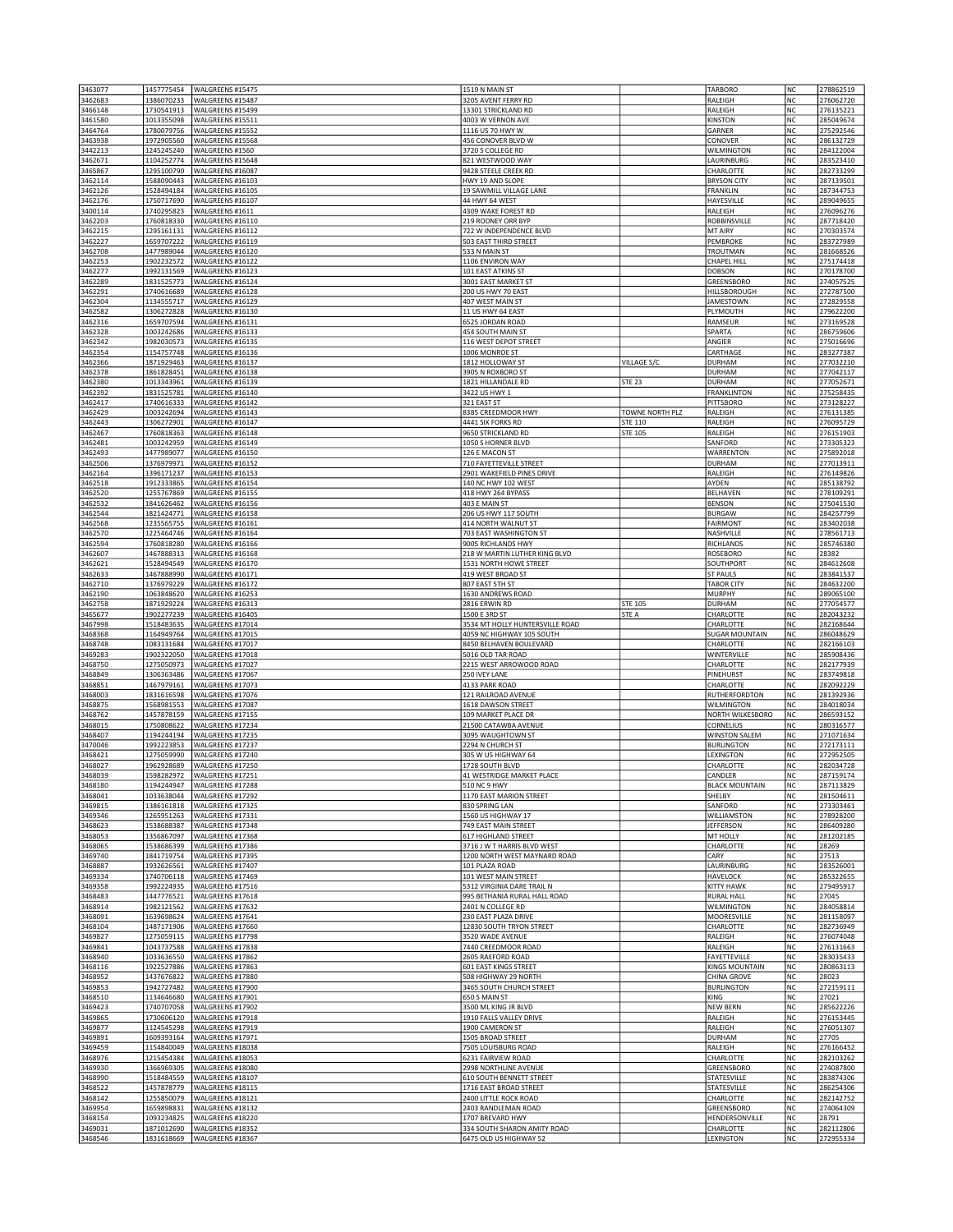| 3463077            | 1457775454               | WALGREENS #15475                     | 1519 N MAIN ST                                        |                 | <b>TARBORO</b>                 | <b>NC</b>              | 278862519              |
|--------------------|--------------------------|--------------------------------------|-------------------------------------------------------|-----------------|--------------------------------|------------------------|------------------------|
| 3462683            | 1386070233               | WALGREENS #15487                     | 3205 AVENT FERRY RD                                   |                 | RALEIGH                        | <b>NC</b>              | 276062720              |
| 3466148            | 1730541913               | WALGREENS #15499                     | 13301 STRICKLAND RD                                   |                 | RALEIGH                        | <b>NC</b>              | 276135221              |
| 3461580            | 1013355098               | WALGREENS #15511                     | 4003 W VERNON AVE                                     |                 | <b>KINSTON</b>                 | <b>NC</b>              | 285049674              |
| 3464764            | 1780079756               | WALGREENS #15552                     | 1116 US 70 HWY W                                      |                 | GARNER                         | <b>NC</b>              | 275292546              |
| 3463938            | 1972905560               | WALGREENS #15568                     | 456 CONOVER BLVD W                                    |                 | CONOVER                        | NC                     | 286132729              |
| 3442213            | 1245245240               | WALGREENS #1560                      | 3720 S COLLEGE RD                                     |                 | WILMINGTON                     | <b>NC</b><br><b>NC</b> | 284122004<br>283523410 |
| 3462671<br>3465867 | 1104252774<br>1295100790 | WALGREENS #15648<br>WALGREENS #16087 | 821 WESTWOOD WAY<br>9428 STEELE CREEK RD              |                 | LAURINBURG<br>CHARLOTTE        | NC                     | 282733299              |
| 3462114            | 1588090443               | WALGREENS #16103                     | HWY 19 AND SLOPE                                      |                 | <b>BRYSON CITY</b>             | <b>NC</b>              | 287139501              |
| 3462126            | 1528494184               | WALGREENS #16105                     | 19 SAWMILL VILLAGE LANE                               |                 | <b>FRANKLIN</b>                | <b>NC</b>              | 287344753              |
| 3462176            | 1750717690               | WALGREENS #16107                     | 44 HWY 64 WEST                                        |                 | HAYESVILLE                     | NC                     | 289049655              |
| 3400114            | 1740295823               | WALGREENS #1611                      | 4309 WAKE FOREST RD                                   |                 | RALEIGH                        | <b>NC</b>              | 276096276              |
| 3462203            | 1760818330               | WALGREENS #16110                     | 219 RODNEY ORR BYP                                    |                 | ROBBINSVILLE                   | <b>NC</b>              | 287718420              |
| 3462215            | 1295161131               | WALGREENS #16112                     | 722 W INDEPENDENCE BLVD                               |                 | MT AIRY                        | NC                     | 270303574              |
| 3462227            | 1659707222               | WALGREENS #16119                     | 503 EAST THIRD STREET                                 |                 | PEMBROKE                       | <b>NC</b>              | 283727989              |
| 3462708<br>3462253 | 1477989044<br>1902232572 | WALGREENS #16120                     | 533 N MAIN ST<br>1106 ENVIRON WAY                     |                 | TROUTMAN                       | <b>NC</b>              | 281668526<br>275174418 |
| 3462277            | 1992131569               | WALGREENS #16122<br>WALGREENS #16123 | 101 EAST ATKINS ST                                    |                 | CHAPEL HILL<br><b>DOBSON</b>   | NC<br><b>NC</b>        | 270178700              |
| 3462289            | 1831525773               | WALGREENS #16124                     | 3001 EAST MARKET ST                                   |                 | GREENSBORO                     | <b>NC</b>              | 274057525              |
| 3462291            | 1740616689               | WALGREENS #16128                     | 200 US HWY 70 EAST                                    |                 | HILLSBOROUGH                   | NC                     | 272787500              |
| 3462304            | 1134555717               | WALGREENS #16129                     | 407 WEST MAIN ST                                      |                 | <b>JAMESTOWN</b>               | <b>NC</b>              | 272829558              |
| 3462582            | 1306272828               | WALGREENS #16130                     | 11 US HWY 64 EAST                                     |                 | PLYMOUTH                       | <b>NC</b>              | 279622200              |
| 3462316            | 1659707594               | WALGREENS #16131                     | 6525 JORDAN ROAD                                      |                 | RAMSEUR                        | NC                     | 273169528              |
| 3462328            | 1003242686               | WALGREENS #16133                     | 454 SOUTH MAIN ST                                     |                 | SPARTA                         | NC                     | 286759606              |
| 3462342<br>3462354 | 1982030573<br>1154757748 | WALGREENS #16135<br>WALGREENS #16136 | 116 WEST DEPOT STREET<br>1006 MONROE ST               |                 | ANGIER<br>CARTHAGE             | <b>NC</b><br>NC        | 275016696<br>283277387 |
| 3462366            | 1871929463               | WALGREENS #16137                     | 1812 HOLLOWAY ST                                      | VILLAGE S/C     | <b>DURHAM</b>                  | <b>NC</b>              | 277032210              |
| 3462378            | 1861828451               | WALGREENS #16138                     | 3905 N ROXBORO ST                                     |                 | <b>DURHAM</b>                  | <b>NC</b>              | 277042117              |
| 3462380            | 1013343961               | WALGREENS #16139                     | 1821 HILLANDALE RD                                    | <b>STE 23</b>   | <b>DURHAM</b>                  | <b>NC</b>              | 277052671              |
| 3462392            | 1831525781               | WALGREENS #16140                     | 3422 US HWY 1                                         |                 | <b>FRANKLINTON</b>             | NC                     | 275258435              |
| 3462417            | 1740616333               | WALGREENS #16142                     | 321 EAST ST                                           |                 | PITTSBORO                      | <b>NC</b>              | 273128227              |
| 3462429            | 1003242694               | WALGREENS #16143                     | 8385 CREEDMOOR HWY                                    | TOWNE NORTH PLZ | RALEIGH                        | <b>NC</b>              | 276131385              |
| 3462443            | 1306272901               | WALGREENS #16147<br>WALGREENS #16148 | 4441 SIX FORKS RD<br>9650 STRICKLAND RD               | STE 110         | RALEIGH                        | NC                     | 276095729              |
| 3462467<br>3462481 | 1760818363<br>1003242959 | WALGREENS #16149                     | 1050 S HORNER BLVD                                    | STE 105         | RALEIGH<br>SANFORD             | <b>NC</b><br><b>NC</b> | 276151903<br>273305323 |
| 3462493            | 1477989077               | WALGREENS #16150                     | 126 E MACON ST                                        |                 | WARRENTON                      | NC                     | 275892018              |
| 3462506            | 1376979971               | WALGREENS #16152                     | 710 FAYETTEVILLE STREET                               |                 | <b>DURHAM</b>                  | NC                     | 277013911              |
| 3462164            | 1396171237               | WALGREENS #16153                     | 2901 WAKEFIELD PINES DRIVE                            |                 | RALEIGH                        | <b>NC</b>              | 276149826              |
| 3462518            | 1912333865               | WALGREENS #16154                     | 140 NC HWY 102 WEST                                   |                 | AYDEN                          | NC                     | 285138792              |
| 3462520            | 1255767869               | WALGREENS #16155                     | 418 HWY 264 BYPASS                                    |                 | BELHAVEN                       | NC                     | 278109291              |
| 3462532            | 1841626462               | WALGREENS #16156                     | 403 E MAIN ST                                         |                 | <b>BENSON</b>                  | NC                     | 275041530              |
| 3462544            | 1821424771               | WALGREENS #16158                     | 206 US HWY 117 SOUTH                                  |                 | <b>BURGAW</b>                  | NC                     | 284257799              |
| 3462568<br>3462570 | 1235565755<br>1225464746 | WALGREENS #16161<br>WALGREENS #16164 | 414 NORTH WALNUT ST<br>703 EAST WASHINGTON ST         |                 | <b>FAIRMONT</b><br>NASHVILLE   | NC<br>NC               | 283402038<br>278561713 |
| 3462594            | 1760818280               | WALGREENS #16166                     | 9005 RICHLANDS HWY                                    |                 | RICHLANDS                      | NC                     | 285746380              |
| 3462607            | 1467888313               | WALGREENS #16168                     | 218 W MARTIN LUTHER KING BLVD                         |                 | ROSEBORO                       | <b>NC</b>              | 28382                  |
| 3462621            | 1528494549               | WALGREENS #16170                     | 1531 NORTH HOWE STREET                                |                 | SOUTHPORT                      | <b>NC</b>              | 284612608              |
| 3462633            | 1467888990               | WALGREENS #16171                     | 419 WEST BROAD ST                                     |                 | <b>ST PAULS</b>                | NC                     | 283841537              |
| 3462710            | 1376979229               | WALGREENS #16172                     | 807 EAST 5TH ST                                       |                 | <b>TABOR CITY</b>              | NC                     | 284632200              |
| 3462190            | 1063848620               | WALGREENS #16253                     | 1630 ANDREWS ROAD                                     |                 | <b>MURPHY</b>                  | NC                     | 289065100              |
| 3462758            | 1871929224               | WALGREENS #16313                     | 2816 ERWIN RD                                         | <b>STE 105</b>  | DURHAM                         | <b>NC</b>              | 277054577              |
| 3465677<br>3467998 | 1902277239<br>1518483635 | WALGREENS #16405<br>WALGREENS #17014 | 1500 E 3RD ST<br>3534 MT HOLLY HUNTERSVILLE ROAD      | STE A           | CHARLOTTE<br>CHARLOTTE         | <b>NC</b><br><b>NC</b> | 282043232<br>282168644 |
| 3468368            | 1164949764               | WALGREENS #17015                     | 4059 NC HIGHWAY 105 SOUTH                             |                 | <b>SUGAR MOUNTAIN</b>          | <b>NC</b>              | 286048629              |
| 3468748            | 1083131684               | WALGREENS #17017                     | 8450 BELHAVEN BOULEVARD                               |                 | CHARLOTTE                      | NC                     | 282166103              |
| 3469283            | 1902322050               | WALGREENS #17018                     | 5016 OLD TAR ROAD                                     |                 | WINTERVILLE                    | <b>NC</b>              | 285908436              |
| 3468750            | 1275050973               | WALGREENS #17027                     | 2215 WEST ARROWOOD ROAD                               |                 | CHARLOTTE                      | NC                     | 282177939              |
| 3468849            | 1306363486               | WALGREENS #17067                     | 250 IVEY LANE                                         |                 | PINEHURST                      | NC                     | 283749818              |
| 3468851<br>3468003 | 1467979161<br>1831616598 | WALGREENS #17073<br>WALGREENS #17076 | 4133 PARK ROAD<br>121 RAILROAD AVENUE                 |                 | CHARLOTTE<br>RUTHERFORDTON     | <b>NC</b><br>NC        | 282092229<br>281392936 |
| 3468875            | 1568981553               | WALGREENS #17087                     | 1618 DAWSON STREET                                    |                 | WILMINGTON                     | NC                     | 284018034              |
| 3468762            | 1457878159               | WALGREENS #17155                     | 109 MARKET PLACE DR                                   |                 | NORTH WILKESBORO               | NC                     | 286593152              |
| 3468015            | 1750808622               | WALGREENS #17234                     | 21500 CATAWBA AVENUE                                  |                 | CORNELIUS                      | NC                     | 280316577              |
| 3468407            | 1194244194               | WALGREENS #17235                     | 3095 WAUGHTOWN ST                                     |                 | <b>WINSTON SALEM</b>           | NC                     | 271071634              |
| 3470046            | 1992223853               | WALGREENS #17237                     | 2294 N CHURCH ST                                      |                 | <b>BURLINGTON</b>              | NC                     | 272173111              |
| 3468421            | 1275059990               | WALGREENS #17240                     | 305 W US HIGHWAY 64                                   |                 | LEXINGTON                      | NC                     | 272952505              |
| 3468027<br>3468039 | 1962928689<br>1598282972 | WALGREENS #17250<br>WALGREENS #17251 | 1728 SOUTH BLVD<br>41 WESTRIDGE MARKET PLACE          |                 | CHARLOTTE<br>CANDLER           | NC<br><b>NC</b>        | 282034728<br>287159174 |
| 3468180            | 1194244947               | WALGREENS #17288                     | 510 NC 9 HWY                                          |                 | <b>BLACK MOUNTAIN</b>          | NC                     | 287113829              |
| 3468041            | 1033638044               | WALGREENS #17292                     | 1170 EAST MARION STREET                               |                 | SHELBY                         | <b>NC</b>              | 281504611              |
| 3469815            | 1386161818               | WALGREENS #17325                     | 830 SPRING LAN                                        |                 | SANFORD                        | NC                     | 273303461              |
| 3469346            | 1265951263               |                                      |                                                       |                 |                                |                        |                        |
| 3468623            |                          | WALGREENS #17331                     | 1560 US HIGHWAY 17                                    |                 | WILLIAMSTON                    | NC                     | 278928200              |
| 3468053            | 1538688387               | WALGREENS #17348                     | 749 EAST MAIN STREET                                  |                 | <b>JEFFERSON</b>               | NC                     | 286409280              |
|                    | 1356867097               | WALGREENS #17368                     | 617 HIGHLAND STREET                                   |                 | MT HOLLY                       | NC                     | 281202185              |
| 3468065            | 1538686399               | WALGREENS #17386                     | 3716 J W T HARRIS BLVD WEST                           |                 | CHARLOTTE                      | NC                     | 28269                  |
| 3469740            | 1841719754               | WALGREENS #17395                     | 1200 NORTH WEST MAYNARD ROAD                          |                 | CARY                           | NC                     | 27513                  |
| 3468887<br>3469334 | 1932626561<br>1740706118 | WALGREENS #17407<br>WALGREENS #17469 | 101 PLAZA ROAD<br>101 WEST MAIN STREET                |                 | LAURINBURG<br>HAVELOCK         | NC<br>NC               | 283526001<br>285322655 |
| 3469358            | 1992224935               | WALGREENS #17516                     | 5312 VIRGINIA DARE TRAIL N                            |                 | <b>KITTY HAWK</b>              | <b>NC</b>              | 279495917              |
| 3468483            | 1447776521               | WALGREENS #17618                     | 995 BETHANIA RURAL HALL ROAD                          |                 | <b>RURAL HALL</b>              | NC                     | 27045                  |
| 3468914            | 1982121562               | WALGREENS #17632                     | 2401 N COLLEGE RD                                     |                 | WILMINGTON                     | NC                     | 284058814              |
| 3468091            | 1639698624               | WALGREENS #17641                     | 230 EAST PLAZA DRIVE                                  |                 | MOORESVILLE                    | <b>NC</b>              | 281158097              |
| 3468104            | 1487171906               | WALGREENS #17660                     | 12830 SOUTH TRYON STREET                              |                 | CHARLOTTE                      | NC                     | 282736949              |
| 3469827            | 1275059115               | WALGREENS #17798                     | 3520 WADE AVENUE                                      |                 | RALEIGH                        | NC                     | 276074048              |
| 3469841            | 1043737588               | WALGREENS #17838                     | 7440 CREEDMOOR ROAD                                   |                 | RALEIGH                        | <b>NC</b>              | 276131663              |
| 3468940<br>3468116 | 1033636550<br>1922527886 | WALGREENS #17862<br>WALGREENS #17863 | 2605 RAEFORD ROAD<br><b>601 EAST KINGS STREET</b>     |                 | FAYETTEVILLE<br>KINGS MOUNTAIN | NC<br>NC               | 283035433<br>280863113 |
| 3468952            | 1437676822               | WALGREENS #17880                     | 508 HIGHWAY 29 NORTH                                  |                 | <b>CHINA GROVE</b>             | <b>NC</b>              | 28023                  |
| 3469853            | 1942727482               | WALGREENS #17900                     | 3465 SOUTH CHURCH STREET                              |                 | <b>BURLINGTON</b>              | NC                     | 272159111              |
| 3468510            | 1134646680               | WALGREENS #17901                     | 650 S MAIN ST                                         |                 | KING                           | NC                     | 27021                  |
| 3469423            | 1740707058               | WALGREENS #17902                     | 3500 ML KING JR BLVD                                  |                 | <b>NEW BERN</b>                | <b>NC</b>              | 285622226              |
| 3469865            | 1730606120               | WALGREENS #17918                     | 1910 FALLS VALLEY DRIVE                               |                 | RALEIGH                        | NC                     | 276153445              |
| 3469877            | 1124545298               | WALGREENS #17919                     | 1900 CAMERON ST                                       |                 | RALEIGH                        | NC                     | 276051307              |
| 3469891            | 1609393164               | WALGREENS #17971                     | 1505 BROAD STREET                                     |                 | <b>DURHAM</b>                  | NC                     | 27705                  |
| 3469459            | 1154840049               | WALGREENS #18038                     | 7505 LOUISBURG ROAD                                   |                 | RALEIGH                        | NC                     | 276166452              |
| 3468976<br>3469930 | 1215454384<br>1366969305 | WALGREENS #18053<br>WALGREENS #18080 | 6231 FAIRVIEW ROAD<br>2998 NORTHLINE AVENUE           |                 | CHARLOTTE<br>GREENSBORO        | <b>NC</b><br><b>NC</b> | 282103262<br>274087800 |
| 3468990            | 1518484559               | WALGREENS #18107                     | 610 SOUTH BENNETT STREET                              |                 | STATESVILLE                    | NC                     | 283874306              |
| 3468522            | 1457878779               | WALGREENS #18115                     | 1716 EAST BROAD STREET                                |                 | STATESVILLE                    | NC                     | 286254306              |
| 3468142            | 1255850079               | WALGREENS #18121                     | 2400 LITTLE ROCK ROAD                                 |                 | CHARLOTTE                      | NC                     | 282142752              |
| 3469954            | 1659898831               | WALGREENS #18132                     | 2403 RANDLEMAN ROAD                                   |                 | GREENSBORO                     | NC                     | 274064309              |
| 3468154            | 1093234825               | WALGREENS #18220                     | 1707 BREVARD HWY                                      |                 | HENDERSONVILLE                 | NC                     | 28791                  |
| 3469031<br>3468546 | 1871012690<br>1831618669 | WALGREENS #18352<br>WALGREENS #18367 | 334 SOUTH SHARON AMITY ROAD<br>6475 OLD US HIGHWAY 52 |                 | CHARLOTTE<br>LEXINGTON         | <b>NC</b><br>NC        | 282112806<br>272955334 |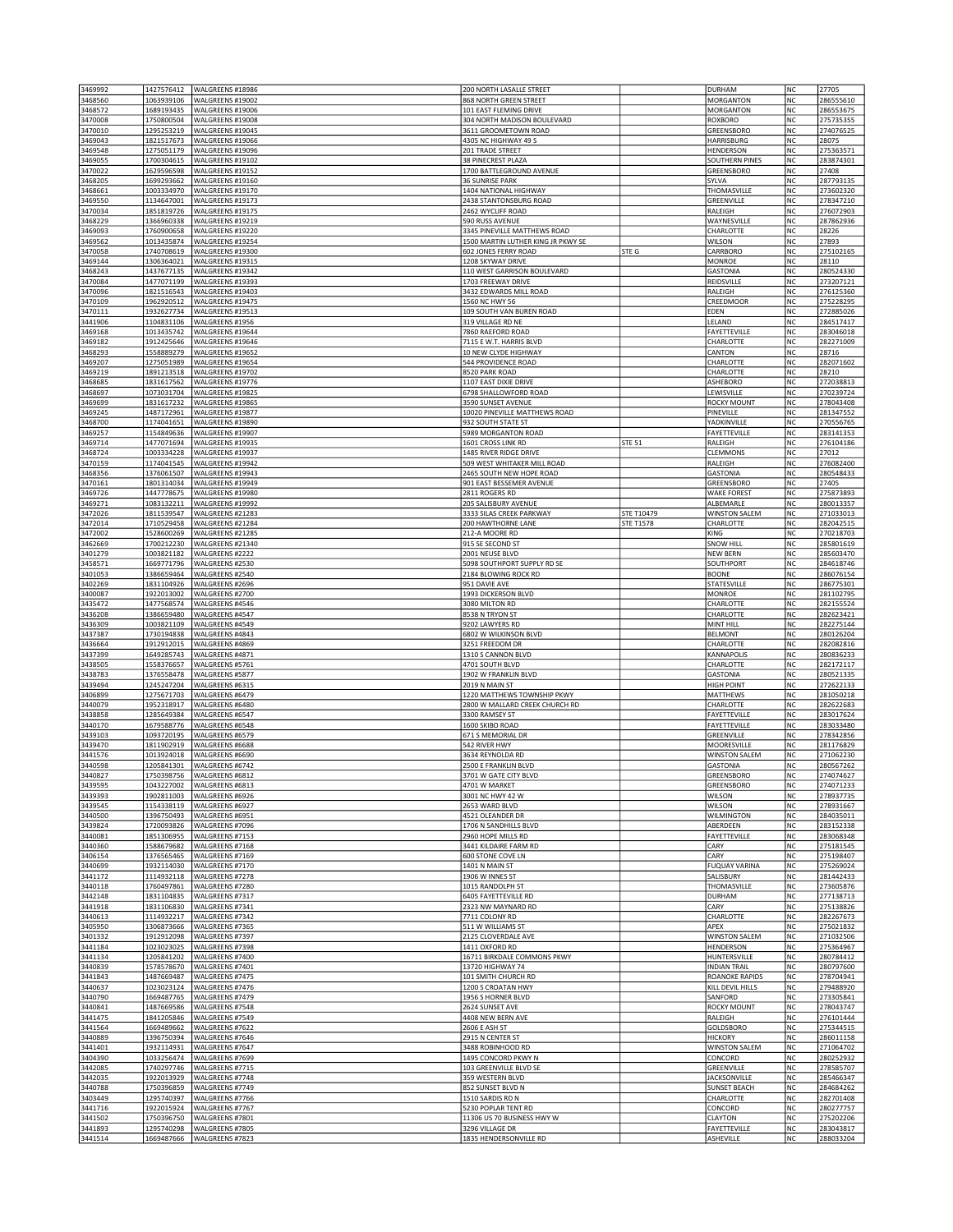| 3469992<br>3468560 | 1427576412<br>1063939106 | WALGREENS #18986<br>WALGREENS #19002            | 200 NORTH LASALLE STREET<br>868 NORTH GREEN STREET                 |                  | <b>DURHAM</b><br><b>MORGANTON</b>         | NC<br><b>NC</b>        | 27705<br>286555610     |
|--------------------|--------------------------|-------------------------------------------------|--------------------------------------------------------------------|------------------|-------------------------------------------|------------------------|------------------------|
| 3468572            | 1689193435               | WALGREENS #19006                                | 101 EAST FLEMING DRIVE                                             |                  | MORGANTON                                 | NC                     | 286553675              |
| 3470008            | 1750800504               | WALGREENS #19008                                | 304 NORTH MADISON BOULEVARD                                        |                  | ROXBORO                                   | <b>NC</b>              | 275735355              |
| 3470010<br>3469043 | 1295253219<br>1821517673 | WALGREENS #19045<br>WALGREENS #19066            | 3611 GROOMETOWN ROAD<br>4305 NC HIGHWAY 49 S                       |                  | GREENSBORO<br>HARRISBURG                  | <b>NC</b><br><b>NC</b> | 274076525<br>28075     |
| 3469548            | 1275051179               | WALGREENS #19096                                | 201 TRADE STREET                                                   |                  | HENDERSON                                 | NC                     | 275363571              |
| 3469055<br>3470022 | 1700304615<br>1629596598 | WALGREENS #19102<br>WALGREENS #19152            | 38 PINECREST PLAZA<br>1700 BATTLEGROUND AVENUE                     |                  | <b>SOUTHERN PINES</b><br>GREENSBORO       | <b>NC</b><br><b>NC</b> | 283874301<br>27408     |
| 3468205            | 1699293662               | WALGREENS #19160                                | <b>36 SUNRISE PARK</b>                                             |                  | SYLVA                                     | NC                     | 287793135              |
| 3468661<br>3469550 | 1003334970<br>1134647001 | WALGREENS #19170<br>WALGREENS #19173            | 1404 NATIONAL HIGHWAY<br>2438 STANTONSBURG ROAD                    |                  | THOMASVILLE<br>GREENVILLE                 | <b>NC</b><br><b>NC</b> | 273602320<br>278347210 |
| 3470034            | 1851819726               | WALGREENS #19175                                | 2462 WYCLIFF ROAD                                                  |                  | RALEIGH                                   | NC                     | 276072903              |
| 3468229            | 1366960338               | WALGREENS #19219<br>WALGREENS #19220            | 590 RUSS AVENUE                                                    |                  | WAYNESVILLE                               | <b>NC</b>              | 287862936              |
| 3469093<br>3469562 | 1760900658<br>1013435874 | WALGREENS #19254                                | 3345 PINEVILLE MATTHEWS ROAD<br>1500 MARTIN LUTHER KING JR PKWY SE |                  | CHARLOTTE<br>WILSON                       | <b>NC</b><br>NC        | 28226<br>27893         |
| 3470058            | 1740708619               | WALGREENS #19300                                | 602 JONES FERRY ROAD                                               | STE G            | CARRBORO                                  | <b>NC</b>              | 275102165              |
| 3469144<br>3468243 | 1306364021<br>1437677135 | WALGREENS #19315<br>WALGREENS #19342            | 1208 SKYWAY DRIVE<br>110 WEST GARRISON BOULEVARD                   |                  | <b>MONROE</b><br><b>GASTONIA</b>          | <b>NC</b><br>NC        | 28110<br>280524330     |
| 3470084            | 1477071199               | WALGREENS #19393                                | 1703 FREEWAY DRIVE                                                 |                  | REIDSVILLE                                | NC                     | 273207121              |
| 3470096<br>3470109 | 1821516543<br>1962920512 | WALGREENS #19403<br>WALGREENS #19475            | 3432 EDWARDS MILL ROAD<br>1560 NC HWY 56                           |                  | RALEIGH<br>CREEDMOOR                      | <b>NC</b><br>NC        | 276125360<br>275228295 |
| 3470111            | 1932627734               | WALGREENS #19513                                | 109 SOUTH VAN BUREN ROAD                                           |                  | EDEN                                      | NC                     | 272885026              |
| 3441906<br>3469168 | 1104831106<br>1013435742 | WALGREENS #1956<br>WALGREENS #19644             | 319 VILLAGE RD NE<br>7860 RAEFORD ROAD                             |                  | LELAND<br>FAYETTEVILLE                    | NC<br>NC               | 284517417<br>283046018 |
| 3469182            | 1912425646               | WALGREENS #19646                                | 7115 E W.T. HARRIS BLVD                                            |                  | CHARLOTTE                                 | NC                     | 282271009              |
| 3468293            | 1558889279               | WALGREENS #19652                                | 10 NEW CLYDE HIGHWAY                                               |                  | CANTON                                    | NC                     | 28716                  |
| 3469207<br>3469219 | 1275051989<br>1891213518 | WALGREENS #19654<br>WALGREENS #19702            | 544 PROVIDENCE ROAD<br>8520 PARK ROAD                              |                  | CHARLOTTE<br>CHARLOTTE                    | NC<br>NC               | 282071602<br>28210     |
| 3468685            | 1831617562               | WALGREENS #19776                                | 1107 EAST DIXIE DRIVE                                              |                  | ASHEBORO                                  | <b>NC</b>              | 272038813              |
| 3468697<br>3469699 | 1073031704<br>1831617232 | WALGREENS #19825<br>WALGREENS #19865            | 6798 SHALLOWFORD ROAD<br>3590 SUNSET AVENUE                        |                  | LEWISVILLE<br>ROCKY MOUNT                 | <b>NC</b><br>NC        | 270239724<br>278043408 |
| 3469245            | 1487172961               | WALGREENS #19877                                | 10020 PINEVILLE MATTHEWS ROAD                                      |                  | PINEVILLE                                 | <b>NC</b>              | 281347552              |
| 3468700            | 1174041651               | WALGREENS #19890                                | 932 SOUTH STATE ST                                                 |                  | YADKINVILLE                               | NC                     | 270556765              |
| 3469257<br>3469714 | 1154849636<br>1477071694 | WALGREENS #19907<br>WALGREENS #19935            | 5989 MORGANTON ROAD<br>1601 CROSS LINK RD                          | STE 51           | FAYETTEVILLE<br>RALEIGH                   | NC<br>NC               | 283141353<br>276104186 |
| 3468724            | 1003334228               | WALGREENS #19937                                | 1485 RIVER RIDGE DRIVE                                             |                  | CLEMMONS                                  | NC                     | 27012                  |
| 3470159<br>3468356 | 1174041545<br>1376061507 | WALGREENS #19942<br>WALGREENS #19943            | 509 WEST WHITAKER MILL ROAD<br>2465 SOUTH NEW HOPE ROAD            |                  | RALEIGH<br><b>GASTONIA</b>                | NC<br><b>NC</b>        | 276082400<br>280548433 |
| 3470161            | 1801314034               | WALGREENS #19949                                | 901 EAST BESSEMER AVENUE                                           |                  | GREENSBORO                                | NC                     | 27405                  |
| 3469726            | 1447778675               | WALGREENS #19980                                | 2811 ROGERS RD                                                     |                  | <b>WAKE FOREST</b>                        | NC                     | 275873893              |
| 3469271<br>3472026 | 1083132211<br>1811539547 | WALGREENS #19992<br>WALGREENS #21283            | 205 SALISBURY AVENUE<br>3333 SILAS CREEK PARKWAY                   | STE T10479       | ALBEMARLE<br><b>WINSTON SALEM</b>         | NC<br><b>NC</b>        | 280013357<br>271033013 |
| 3472014            | 1710529458               | WALGREENS #21284                                | 200 HAWTHORNE LANE                                                 | <b>STE T1578</b> | CHARLOTTE                                 | NC                     | 282042515              |
| 3472002<br>3462669 | 1528600269<br>1700212230 | WALGREENS #21285<br>WALGREENS #21340            | 212-A MOORE RD<br>915 SE SECOND ST                                 |                  | KING<br>SNOW HILL                         | NC<br>NC               | 270218703<br>285801619 |
| 3401279            | 1003821182               | WALGREENS #2222                                 | 2001 NEUSE BLVD                                                    |                  | <b>NEW BERN</b>                           | NC                     | 285603470              |
| 3458571            | 1669771796               | WALGREENS #2530                                 | 5098 SOUTHPORT SUPPLY RD SE                                        |                  | SOUTHPORT                                 | NC<br>NC               | 284618746<br>286076154 |
| 3401053<br>3402269 | 1386659464<br>1831104926 | WALGREENS #2540<br>WALGREENS #2696              | 2184 BLOWING ROCK RD<br>951 DAVIE AVE                              |                  | <b>BOONE</b><br>STATESVILLE               | NC                     | 286775301              |
| 3400087            | 1922013002               | WALGREENS #2700                                 | 1993 DICKERSON BLVD                                                |                  | <b>MONROE</b>                             | NC                     | 281102795              |
| 3435472<br>3436208 | 1477568574<br>1386659480 | WALGREENS #4546<br>WALGREENS #4547              | 3080 MILTON RD<br>8538 N TRYON ST                                  |                  | CHARLOTTE<br>CHARLOTTE                    | NC<br>NC               | 282155524<br>282623421 |
| 3436309            | 1003821109               | WALGREENS #4549                                 | 9202 LAWYERS RD                                                    |                  | MINT HILL                                 | NC                     | 282275144              |
| 3437387            | 1730194838<br>1912912015 | WALGREENS #4843                                 | 6802 W WILKINSON BLVD<br>3251 FREEDOM DR                           |                  | <b>BELMONT</b><br>CHARLOTTE               | <b>NC</b><br><b>NC</b> | 280126204<br>282082816 |
| 3436664<br>3437399 | 1649285743               | WALGREENS #4869<br>WALGREENS #4871              | 1310 S CANNON BLVD                                                 |                  | KANNAPOLIS                                | NC                     | 280836233              |
| 3438505            | 1558376657               | WALGREENS #5761                                 | 4701 SOUTH BLVD                                                    |                  | CHARLOTTE                                 | <b>NC</b>              | 282172117              |
| 3438783<br>3439494 | 1376558478<br>1245247204 | WALGREENS #5877<br>WALGREENS #6315              | 1902 W FRANKLIN BLVD<br>2019 N MAIN ST                             |                  | GASTONIA<br><b>HIGH POINT</b>             | <b>NC</b><br><b>NC</b> | 280521335<br>272622133 |
| 3406899            | 1275671703               | WALGREENS #6479                                 | 1220 MATTHEWS TOWNSHIP PKWY                                        |                  | <b>MATTHEWS</b>                           | <b>NC</b>              | 281050218              |
| 3440079<br>3438858 | 1952318917<br>1285649384 | WALGREENS #6480<br>WALGREENS #6547              | 2800 W MALLARD CREEK CHURCH RD<br>3300 RAMSEY ST                   |                  | CHARLOTTE<br>FAYETTEVILLE                 | NC<br>NC               | 282622683<br>283017624 |
| 3440170            | 1679588776               | WALGREENS #6548                                 | 1600 SKIBO ROAD                                                    |                  | <b>FAYETTEVILLE</b>                       | <b>NC</b>              | 283033480              |
| 3439103            | 1093720195               | WALGREENS #6579                                 | 671 S MEMORIAL DR                                                  |                  | GREENVILLE                                | NC                     | 278342856              |
| 3439470<br>3441576 | 1811902919<br>1013924018 | WALGREENS #6688<br>WALGREENS #6690              | 542 RIVER HWY<br>3634 REYNOLDA RD                                  |                  | MOORESVILLE<br><b>WINSTON SALEM</b>       | NC<br><b>NC</b>        | 281176829<br>271062230 |
| 3440598            | 1205841301               | WALGREENS #6742                                 | 2500 E FRANKLIN BLVD                                               |                  | <b>GASTONIA</b>                           | <b>NC</b>              | 280567262              |
| 3440827<br>3439595 | 1750398756               | WALGREENS #6812<br>1043227002   WALGREENS #6813 | 3701 W GATE CITY BLVD<br>4701 W MARKET                             |                  | GREENSBORO<br>GREENSBORO                  | NC<br><b>NC</b>        | 274074627<br>274071233 |
| 3439393            | 1902811003               | WALGREENS #6926                                 | 3001 NC HWY 42 W                                                   |                  | WILSON                                    | <b>NC</b>              | 278937735              |
| 3439545<br>3440500 | 1154338119<br>1396750493 | WALGREENS #6927<br>WALGREENS #6951              | 2653 WARD BLVD<br>4521 OLEANDER DR                                 |                  | WILSON<br>WILMINGTON                      | NC<br>NC               | 278931667<br>284035011 |
| 3439824            | 1720093826               | WALGREENS #7096                                 | 1706 N SANDHILLS BLVD                                              |                  | ABERDEEN                                  | NC                     | 283152338              |
| 3440081            | 1851306955               | WALGREENS #7153                                 | 2960 HOPE MILLS RD                                                 |                  | <b>FAYETTEVILLE</b>                       | NC                     | 283068348              |
| 3440360<br>3406154 | 1588679682<br>1376565465 | WALGREENS #7168<br>WALGREENS #7169              | 3441 KILDAIRE FARM RD<br>600 STONE COVE LN                         |                  | CARY<br>CARY                              | NC<br>NC               | 275181545<br>275198407 |
| 3440699            | 1932114030               | WALGREENS #7170                                 | 1401 N MAIN ST                                                     |                  | <b>FUQUAY VARINA</b>                      | NC                     | 275269024              |
| 3441172<br>3440118 | 1114932118<br>1760497861 | WALGREENS #7278<br>WALGREENS #7280              | 1906 W INNES ST<br>1015 RANDOLPH ST                                |                  | SALISBURY<br>THOMASVILLE                  | NC<br>NC               | 281442433<br>273605876 |
| 3442148            | 1831104835               | WALGREENS #7317                                 | 6405 FAYETTEVILLE RD                                               |                  | DURHAM                                    | <b>NC</b>              | 277138713              |
| 3441918            | 1831106830<br>1114932217 | WALGREENS #7341                                 | 2323 NW MAYNARD RD                                                 |                  | CARY<br>CHARLOTTE                         | <b>NC</b><br><b>NC</b> | 275138826              |
| 3440613<br>3405950 | 1306873666               | WALGREENS #7342<br>WALGREENS #7365              | 7711 COLONY RD<br>511 W WILLIAMS ST                                |                  | APEX                                      | NC                     | 282267673<br>275021832 |
| 3401332            | 1912912098               | WALGREENS #7397                                 | 2125 CLOVERDALE AVE                                                |                  | <b>WINSTON SALEM</b>                      | <b>NC</b>              | 271032506              |
| 3441184<br>3441134 | 1023023025<br>1205841202 | WALGREENS #7398<br>WALGREENS #7400              | 1411 OXFORD RD<br>16711 BIRKDALE COMMONS PKWY                      |                  | HENDERSON<br>HUNTERSVILLE                 | NC<br>NC               | 275364967<br>280784412 |
| 3440839            | 1578578670               | WALGREENS #7401                                 | 13720 HIGHWAY 74                                                   |                  | <b>INDIAN TRAIL</b>                       | NC                     | 280797600              |
| 3441843<br>3440637 | 1487669487<br>1023023124 | WALGREENS #7475<br>WALGREENS #7476              | 101 SMITH CHURCH RD<br>1200 S CROATAN HWY                          |                  | <b>ROANOKE RAPIDS</b><br>KILL DEVIL HILLS | NC<br><b>NC</b>        | 278704941<br>279488920 |
| 3440790            | 1669487765               | WALGREENS #7479                                 | 1956 S HORNER BLVD                                                 |                  | SANFORD                                   | NC                     | 273305841              |
| 3440841            | 1487669586               | WALGREENS #7548                                 | 2624 SUNSET AVE                                                    |                  | <b>ROCKY MOUNT</b>                        | NC                     | 278043747              |
| 3441475<br>3441564 | 1841205846<br>1669489662 | WALGREENS #7549<br>WALGREENS #7622              | 4408 NEW BERN AVE<br>2606 E ASH ST                                 |                  | RALEIGH<br>GOLDSBORO                      | <b>NC</b><br>NC        | 276101444<br>275344515 |
| 3440889            | 1396750394               | WALGREENS #7646                                 | 2915 N CENTER ST                                                   |                  | <b>HICKORY</b>                            | NC                     | 286011158              |
| 3441401<br>3404390 | 1932114931<br>1033256474 | WALGREENS #7647<br>WALGREENS #7699              | 3488 ROBINHOOD RD<br>1495 CONCORD PKWY N                           |                  | <b>WINSTON SALEM</b><br>CONCORD           | NC<br>NC               | 271064702<br>280252932 |
| 3442085            | 1740297746               | WALGREENS #7715                                 | 103 GREENVILLE BLVD SE                                             |                  | GREENVILLE                                | NC                     | 278585707              |
| 3442035            | 1922013929               | WALGREENS #7748                                 | 359 WESTERN BLVD                                                   |                  | <b>JACKSONVILLE</b>                       | NC                     | 285466347              |
| 3440788<br>3403449 | 1750396859<br>1295740397 | WALGREENS #7749<br>WALGREENS #7766              | 852 SUNSET BLVD N<br>1510 SARDIS RD N                              |                  | <b>SUNSET BEACH</b><br>CHARLOTTE          | NC<br>NC               | 284684262<br>282701408 |
| 3441716            | 1922015924               | WALGREENS #7767                                 | 5230 POPLAR TENT RD                                                |                  | CONCORD                                   | NC                     | 280277757              |
| 3441502<br>3441893 | 1750396750<br>1295740298 | WALGREENS #7801<br>WALGREENS #7805              | 11306 US 70 BUSINESS HWY W<br>3296 VILLAGE DR                      |                  | CLAYTON<br>FAYETTEVILLE                   | NC<br>NC               | 275202206<br>283043817 |
| 3441514            | 1669487666               | WALGREENS #7823                                 | 1835 HENDERSONVILLE RD                                             |                  | ASHEVILLE                                 | NC                     | 288033204              |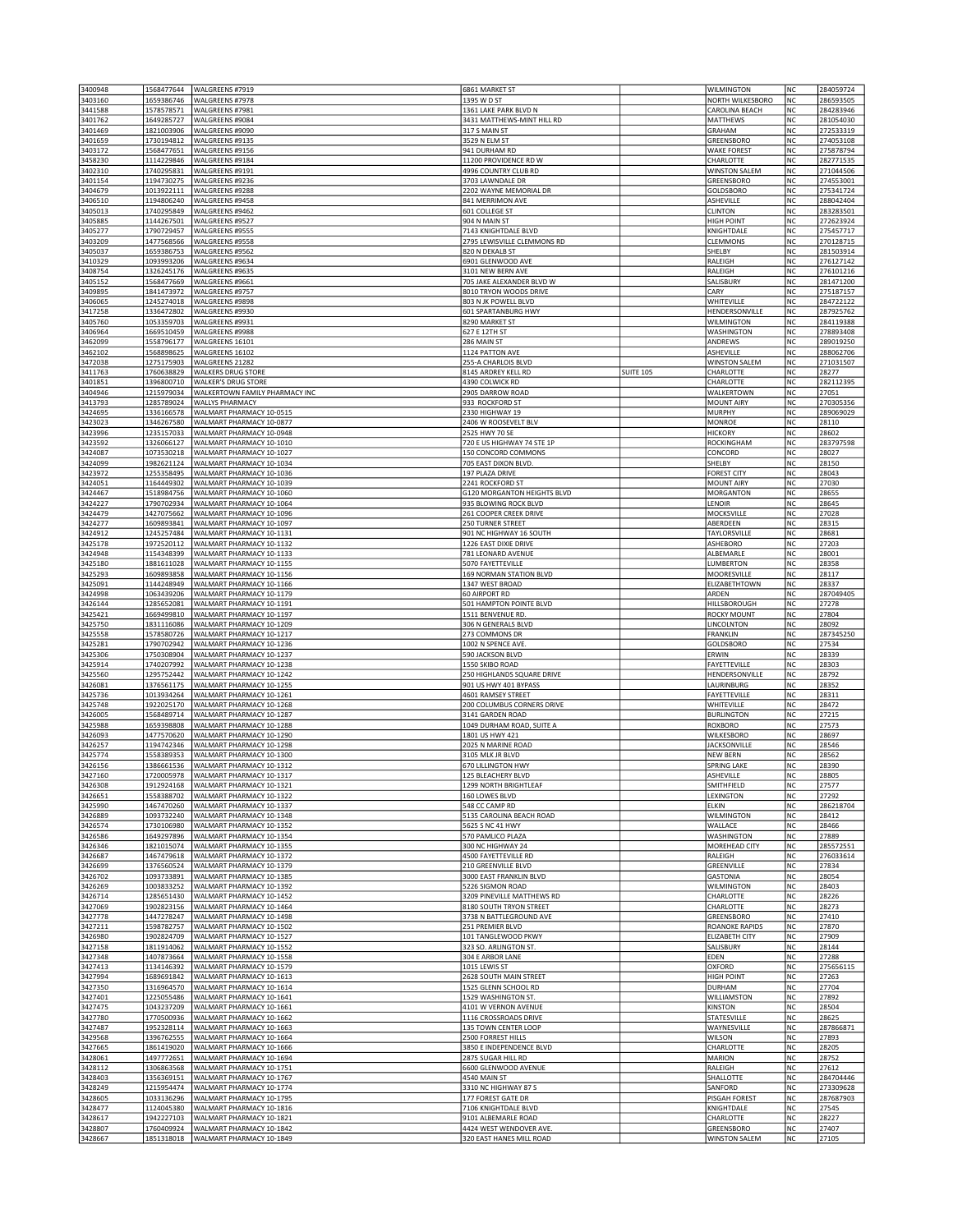| 3400948            | 1568477644               | WALGREENS #7919                                      | 6861 MARKET ST                                      |                  | <b>WILMINGTON</b>                  | NC              | 284059724              |
|--------------------|--------------------------|------------------------------------------------------|-----------------------------------------------------|------------------|------------------------------------|-----------------|------------------------|
| 3403160            | 1659386746               | WALGREENS #7978                                      | 1395 W D ST                                         |                  | NORTH WILKESBORO                   | NC              | 286593505              |
| 3441588            | 1578578571               | WALGREENS #7981                                      | 1361 LAKE PARK BLVD N                               |                  | CAROLINA BEACH                     | NC              | 284283946              |
| 3401762            | 1649285727               | WALGREENS #9084                                      | 3431 MATTHEWS-MINT HILL RD                          |                  | MATTHEWS                           | NC              | 281054030              |
| 3401469            | 1821003906               | WALGREENS #9090                                      | 317 S MAIN ST                                       |                  | GRAHAM                             | <b>NC</b>       | 272533319              |
| 3401659            | 1730194812               | WALGREENS #9135                                      | 3529 N ELM ST                                       |                  | GREENSBORO                         | <b>NC</b>       | 274053108              |
| 3403172            | 1568477651               | WALGREENS #9156                                      | 941 DURHAM RD                                       |                  | <b>WAKE FOREST</b>                 | NC              | 275878794              |
| 3458230            | 1114229846               | WALGREENS #9184                                      | 11200 PROVIDENCE RD W                               |                  | CHARLOTTE                          | <b>NC</b>       | 282771535              |
| 3402310            | 1740295831               | WALGREENS #9191<br>WALGREENS #9236                   | 4996 COUNTRY CLUB RD<br>3703 LAWNDALE DR            |                  | <b>WINSTON SALEM</b>               | NC              | 271044506              |
| 3401154<br>3404679 | 1194730275<br>1013922111 | WALGREENS #9288                                      | 2202 WAYNE MEMORIAL DR                              |                  | GREENSBORO<br>GOLDSBORO            | NC<br><b>NC</b> | 274553001<br>275341724 |
| 3406510            | 1194806240               | WALGREENS #9458                                      | 841 MERRIMON AVE                                    |                  | ASHEVILLE                          | NC              | 288042404              |
| 3405013            | 1740295849               | WALGREENS #9462                                      | 601 COLLEGE ST                                      |                  | <b>CLINTON</b>                     | NC              | 283283501              |
| 3405885            | 1144267501               | WALGREENS #9527                                      | 904 N MAIN ST                                       |                  | <b>HIGH POINT</b>                  | NC              | 272623924              |
| 3405277            | 1790729457               | WALGREENS #9555                                      | 7143 KNIGHTDALE BLVD                                |                  | KNIGHTDALE                         | NC              | 275457717              |
| 3403209            | 1477568566               | WALGREENS #9558                                      | 2795 LEWISVILLE CLEMMONS RD                         |                  | CLEMMONS                           | NC              | 270128715              |
| 3405037            | 1659386753               | WALGREENS #9562                                      | 820 N DEKALB ST                                     |                  | SHELBY                             | <b>NC</b>       | 281503914              |
| 3410329            | 1093993206               | WALGREENS #9634                                      | 6901 GLENWOOD AVE                                   |                  | RALEIGH                            | NC              | 276127142              |
| 3408754            | 1326245176               | WALGREENS #9635                                      | 3101 NEW BERN AVE                                   |                  | RALEIGH                            | NC              | 276101216              |
| 3405152            | 1568477669               | WALGREENS #9661                                      | 705 JAKE ALEXANDER BLVD W                           |                  | SALISBURY                          | NC              | 281471200              |
| 3409895            | 1841473972               | WALGREENS #9757                                      | 8010 TRYON WOODS DRIVE                              |                  | CARY                               | NC              | 275187157              |
| 3406065            | 1245274018               | WALGREENS #9898                                      | 803 N JK POWELL BLVD                                |                  | WHITEVILLE                         | NC              | 284722122              |
| 3417258<br>3405760 | 1336472802<br>1053359703 | WALGREENS #9930<br>WALGREENS #9931                   | 601 SPARTANBURG HWY<br>8290 MARKET ST               |                  | HENDERSONVILLE<br>WILMINGTON       | NC<br><b>NC</b> | 287925762<br>284119388 |
| 3406964            | 1669510459               | WALGREENS #9988                                      | 627 E 12TH ST                                       |                  | <b>WASHINGTON</b>                  | NC              | 278893408              |
| 3462099            | 1558796177               | WALGREENS 16101                                      | 286 MAIN ST                                         |                  | ANDREWS                            | NC              | 289019250              |
| 3462102            | 1568898625               | WALGREENS 16102                                      | 1124 PATTON AVE                                     |                  | ASHEVILLE                          | NC              | 288062706              |
| 3472038            | 1275175903               | WALGREENS 21282                                      | 255-A CHARLOIS BLVD                                 |                  | <b>WINSTON SALEM</b>               | NC              | 271031507              |
| 3411763            | 1760638829               | <b>WALKERS DRUG STORE</b>                            | 8145 ARDREY KELL RD                                 | <b>SUITE 105</b> | CHARLOTTE                          | NC              | 28277                  |
| 3401851            | 1396800710               | <b>WALKER'S DRUG STORE</b>                           | 4390 COLWICK RD                                     |                  | CHARLOTTE                          | <b>NC</b>       | 282112395              |
| 3404946            | 1215979034               | WALKERTOWN FAMILY PHARMACY INC                       | 2905 DARROW ROAD                                    |                  | WALKERTOWN                         | <b>NC</b>       | 27051                  |
| 3413793            | 1285789024               | <b>WALLYS PHARMACY</b>                               | 933 ROCKFORD ST                                     |                  | <b>MOUNT AIRY</b>                  | NC              | 270305356              |
| 3424695            | 1336166578               | WALMART PHARMACY 10-0515                             | 2330 HIGHWAY 19                                     |                  | <b>MURPHY</b>                      | NC              | 289069029              |
| 3423023            | 1346267580               | WALMART PHARMACY 10-0877                             | 2406 W ROOSEVELT BLV                                |                  | MONROE                             | NC              | 28110                  |
| 3423996            | 1235157033               | WALMART PHARMACY 10-0948                             | 2525 HWY 70 SE                                      |                  | <b>HICKORY</b>                     | NC              | 28602                  |
| 3423592            | 1326066127               | WALMART PHARMACY 10-1010                             | 720 E US HIGHWAY 74 STE 1P                          |                  | ROCKINGHAM                         | <b>NC</b>       | 283797598              |
| 3424087<br>3424099 | 1073530218<br>1982621124 | WALMART PHARMACY 10-1027<br>WALMART PHARMACY 10-1034 | 150 CONCORD COMMONS<br>705 EAST DIXON BLVD.         |                  | CONCORD<br>SHELBY                  | NC<br>NC        | 28027<br>28150         |
| 3423972            | 1255358495               | WALMART PHARMACY 10-1036                             | 197 PLAZA DRIVE                                     |                  | <b>FOREST CITY</b>                 | NC              | 28043                  |
| 3424051            | 1164449302               | WALMART PHARMACY 10-1039                             | 2241 ROCKFORD ST                                    |                  | <b>MOUNT AIRY</b>                  | NC              | 27030                  |
| 3424467            | 1518984756               | WALMART PHARMACY 10-1060                             | <b>G120 MORGANTON HEIGHTS BLVD</b>                  |                  | MORGANTON                          | NC              | 28655                  |
| 3424227            | 1790702934               | WALMART PHARMACY 10-1064                             | 935 BLOWING ROCK BLVD                               |                  | LENOIR                             | <b>NC</b>       | 28645                  |
| 3424479            | 1427075662               | WALMART PHARMACY 10-1096                             | 261 COOPER CREEK DRIVE                              |                  | MOCKSVILLE                         | <b>NC</b>       | 27028                  |
| 3424277            | 1609893841               | WALMART PHARMACY 10-1097                             | 250 TURNER STREET                                   |                  | ABERDEEN                           | NC              | 28315                  |
| 3424912            | 1245257484               | WALMART PHARMACY 10-1131                             | 901 NC HIGHWAY 16 SOUTH                             |                  | TAYLORSVILLE                       | NC              | 28681                  |
| 3425178            | 1972520112               | WALMART PHARMACY 10-1132                             | 1226 EAST DIXIE DRIVE                               |                  | ASHEBORO                           | NC              | 27203                  |
| 3424948            | 1154348399               | WALMART PHARMACY 10-1133                             | 781 LEONARD AVENUE                                  |                  | ALBEMARLE                          | NC              | 28001                  |
| 3425180            | 1881611028               | WALMART PHARMACY 10-1155                             | 5070 FAYETTEVILLE                                   |                  | LUMBERTON                          | NC              | 28358                  |
| 3425293            | 1609893858               | WALMART PHARMACY 10-1156                             | 169 NORMAN STATION BLVD                             |                  | MOORESVILLE                        | <b>NC</b>       | 28117                  |
| 3425091            | 1144248949               | WALMART PHARMACY 10-1166                             | 1347 WEST BROAD                                     |                  | ELIZABETHTOWN                      | NC              | 28337                  |
| 3424998            | 1063439206               | WALMART PHARMACY 10-1179<br>WALMART PHARMACY 10-1191 | <b>60 AIRPORT RD</b>                                |                  | ARDEN<br>HILLSBOROUGH              | NC<br>NC        | 287049405<br>27278     |
| 3426144<br>3425421 | 1285652081<br>1669499810 | WALMART PHARMACY 10-1197                             | 501 HAMPTON POINTE BLVD<br>1511 BENVENUE RD         |                  | <b>ROCKY MOUNT</b>                 | NC              | 27804                  |
| 3425750            | 1831116086               | WALMART PHARMACY 10-1209                             | 306 N GENERALS BLVD                                 |                  | LINCOLNTON                         | <b>NC</b>       | 28092                  |
| 3425558            | 1578580726               | WALMART PHARMACY 10-1217                             | 273 COMMONS DR                                      |                  | FRANKLIN                           | <b>NC</b>       | 287345250              |
| 3425281            | 1790702942               | WALMART PHARMACY 10-1236                             | 1002 N SPENCE AVE                                   |                  | GOLDSBORO                          | <b>NC</b>       | 27534                  |
| 3425306            | 1750308904               | WALMART PHARMACY 10-1237                             | 590 JACKSON BLVD                                    |                  | ERWIN                              | NC              | 28339                  |
| 3425914            | 1740207992               | WALMART PHARMACY 10-1238                             | 1550 SKIBO ROAD                                     |                  | FAYETTEVILLE                       | <b>NC</b>       | 28303                  |
| 3425560            | 1295752442               | WALMART PHARMACY 10-1242                             | 250 HIGHLANDS SQUARE DRIVE                          |                  | HENDERSONVILLE                     | NC              | 28792                  |
| 3426081            | 1376561175               | WALMART PHARMACY 10-1255                             | 901 US HWY 401 BYPASS                               |                  | LAURINBURG                         | NC              | 28352                  |
| 3425736            | 1013934264               | WALMART PHARMACY 10-1261                             | 4601 RAMSEY STREET                                  |                  | FAYETTEVILLE                       | NC              | 28311                  |
| 3425748            | 1922025170               | WALMART PHARMACY 10-1268                             | 200 COLUMBUS CORNERS DRIVE                          |                  | WHITEVILLE                         | NC              | 28472                  |
| 3426005            | 1568489714               | WALMART PHARMACY 10-1287                             | 3141 GARDEN ROAD                                    |                  | <b>BURLINGTON</b>                  | NC              | 27215                  |
| 3425988            | 1659398808               |                                                      | 1049 DURHAM ROAD, SUITE A                           |                  |                                    | NC              | 27573                  |
| 3426093<br>3426257 |                          | WALMART PHARMACY 10-1288                             |                                                     |                  | <b>ROXBORO</b>                     |                 |                        |
|                    | 1477570620               | WALMART PHARMACY 10-1290                             | 1801 US HWY 421                                     |                  | WILKESBORO                         | NC              | 28697                  |
|                    | 1194742346               | WALMART PHARMACY 10-1298                             | 2025 N MARINE ROAD                                  |                  | <b>JACKSONVILLE</b>                | NC              | 28546                  |
| 3425774            | 1558389353               | WALMART PHARMACY 10-1300                             | 3105 MLK JR BLVD                                    |                  | NEW BERN<br><b>SPRING LAKE</b>     | <b>NC</b>       | 28562                  |
| 3426156<br>3427160 | 1386661536<br>1720005978 | WALMART PHARMACY 10-1312<br>WALMART PHARMACY 10-1317 | <b>670 LILLINGTON HWY</b><br>125 BLEACHERY BLVD     |                  | ASHEVILLE                          | <b>NC</b><br>NC | 28390<br>28805         |
| 3426308            | 1912924168               | WALMART PHARMACY 10-1321                             | 1299 NORTH BRIGHTLEAF                               |                  | SMITHFIELD                         | NC              | 27577                  |
| 3426651            | 1558388702               | WALMART PHARMACY 10-1322                             | 160 LOWES BLVD                                      |                  | LEXINGTON                          | NC              | 27292                  |
| 3425990            | 1467470260               | WALMART PHARMACY 10-1337                             | 548 CC CAMP RD                                      |                  | ELKIN                              | NC              | 286218704              |
| 3426889            | 1093732240               | WALMART PHARMACY 10-1348                             | 5135 CAROLINA BEACH ROAD                            |                  | <b>WILMINGTON</b>                  | NC              | 28412                  |
| 3426574            | 1730106980               | WALMART PHARMACY 10-1352                             | 5625 S NC 41 HWY                                    |                  | WALLACE                            | <b>NC</b>       | 28466                  |
| 3426586            | 1649297896               | WALMART PHARMACY 10-1354                             | 570 PAMLICO PLAZA                                   |                  | <b>WASHINGTON</b>                  | NC              | 27889                  |
| 3426346            | 1821015074               | WALMART PHARMACY 10-1355                             | 300 NC HIGHWAY 24                                   |                  | MOREHEAD CITY                      | NC              | 285572551              |
| 3426687            | 1467479618               | WALMART PHARMACY 10-1372                             | 4500 FAYETTEVILLE RD                                |                  | RALEIGH                            | NC              | 276033614              |
| 3426699            | 1376560524               | WALMART PHARMACY 10-1379                             | 210 GREENVILLE BLVD                                 |                  | GREENVILLE                         | NC              | 27834                  |
| 3426702            | 1093733891               | WALMART PHARMACY 10-1385<br>WALMART PHARMACY 10-1392 | 3000 EAST FRANKLIN BLVD<br>5226 SIGMON ROAD         |                  | <b>GASTONIA</b>                    | NC<br><b>NC</b> | 28054<br>28403         |
| 3426269<br>3426714 | 1003833252<br>1285651430 | WALMART PHARMACY 10-1452                             | 3209 PINEVILLE MATTHEWS RD                          |                  | <b>WILMINGTON</b><br>CHARLOTTE     | <b>NC</b>       | 28226                  |
| 3427069            | 1902823156               | WALMART PHARMACY 10-1464                             | 8180 SOUTH TRYON STREET                             |                  | CHARLOTTE                          | NC              | 28273                  |
| 3427778            | 1447278247               | WALMART PHARMACY 10-1498                             | 3738 N BATTLEGROUND AVE                             |                  | GREENSBORO                         | NC              | 27410                  |
| 3427211            | 1598782757               | WALMART PHARMACY 10-1502                             | 251 PREMIER BLVD                                    |                  | <b>ROANOKE RAPIDS</b>              | NC              | 27870                  |
| 3426980            | 1902824709               | WALMART PHARMACY 10-1527                             | 101 TANGLEWOOD PKWY                                 |                  | <b>ELIZABETH CITY</b>              | NC              | 27909                  |
| 3427158            | 1811914062               | WALMART PHARMACY 10-1552                             | 323 SO. ARLINGTON ST.                               |                  | SALISBURY                          | NC              | 28144                  |
| 3427348            | 1407873664               | WALMART PHARMACY 10-1558                             | 304 E ARBOR LANE                                    |                  | EDEN                               | NC              | 27288                  |
| 3427413            | 1134146392               | WALMART PHARMACY 10-1579                             | 1015 LEWIS ST                                       |                  | OXFORD                             | NC              | 275656115              |
| 3427994            | 1689691842               | WALMART PHARMACY 10-1613                             | 2628 SOUTH MAIN STREET                              |                  | <b>HIGH POINT</b>                  | NC              | 27263                  |
| 3427350            | 1316964570               | WALMART PHARMACY 10-1614                             | 1525 GLENN SCHOOL RD                                |                  | <b>DURHAM</b>                      | NC              | 27704                  |
| 3427401            | 1225055486               | WALMART PHARMACY 10-1641                             | 1529 WASHINGTON ST.                                 |                  | WILLIAMSTON                        | NC              | 27892                  |
| 3427475            | 1043237209               | WALMART PHARMACY 10-1661                             | 4101 W VERNON AVENUE                                |                  | <b>KINSTON</b>                     | <b>NC</b>       | 28504                  |
| 3427780            | 1770500936               | WALMART PHARMACY 10-1662                             | 1116 CROSSROADS DRIVE                               |                  | STATESVILLE                        | NC              | 28625                  |
| 3427487<br>3429568 | 1952328114<br>1396762555 | WALMART PHARMACY 10-1663<br>WALMART PHARMACY 10-1664 | 135 TOWN CENTER LOOP<br>2500 FORREST HILLS          |                  | WAYNESVILLE<br>WILSON              | NC<br>NC        | 287866871<br>27893     |
| 3427665            | 1861419020               | WALMART PHARMACY 10-1666                             | 3850 E INDEPENDENCE BLVD                            |                  | CHARLOTTE                          | NC              | 28205                  |
| 3428061            | 1497772651               | WALMART PHARMACY 10-1694                             | 2875 SUGAR HILL RD                                  |                  | <b>MARION</b>                      | NC              | 28752                  |
| 3428112            | 1306863568               | WALMART PHARMACY 10-1751                             | 6600 GLENWOOD AVENUE                                |                  | RALEIGH                            | NC              | 27612                  |
| 3428403            | 1356369151               | WALMART PHARMACY 10-1767                             | 4540 MAIN ST                                        |                  | SHALLOTTE                          | <b>NC</b>       | 284704446              |
| 3428249            | 1215954474               | WALMART PHARMACY 10-1774                             | 3310 NC HIGHWAY 87 S                                |                  | SANFORD                            | NC              | 273309628              |
| 3428605            | 1033136296               | WALMART PHARMACY 10-1795                             | 177 FOREST GATE DR                                  |                  | PISGAH FOREST                      | NC              | 287687903              |
| 3428477            | 1124045380               | WALMART PHARMACY 10-1816                             | 7106 KNIGHTDALE BLVD                                |                  | KNIGHTDALE                         | NC              | 27545                  |
| 3428617            | 1942227103               | WALMART PHARMACY 10-1821                             | 9101 ALBEMARLE ROAD                                 |                  | CHARLOTTE                          | NC              | 28227                  |
| 3428807<br>3428667 | 1760409924<br>1851318018 | WALMART PHARMACY 10-1842<br>WALMART PHARMACY 10-1849 | 4424 WEST WENDOVER AVE.<br>320 EAST HANES MILL ROAD |                  | GREENSBORO<br><b>WINSTON SALEM</b> | NC<br>NC        | 27407<br>27105         |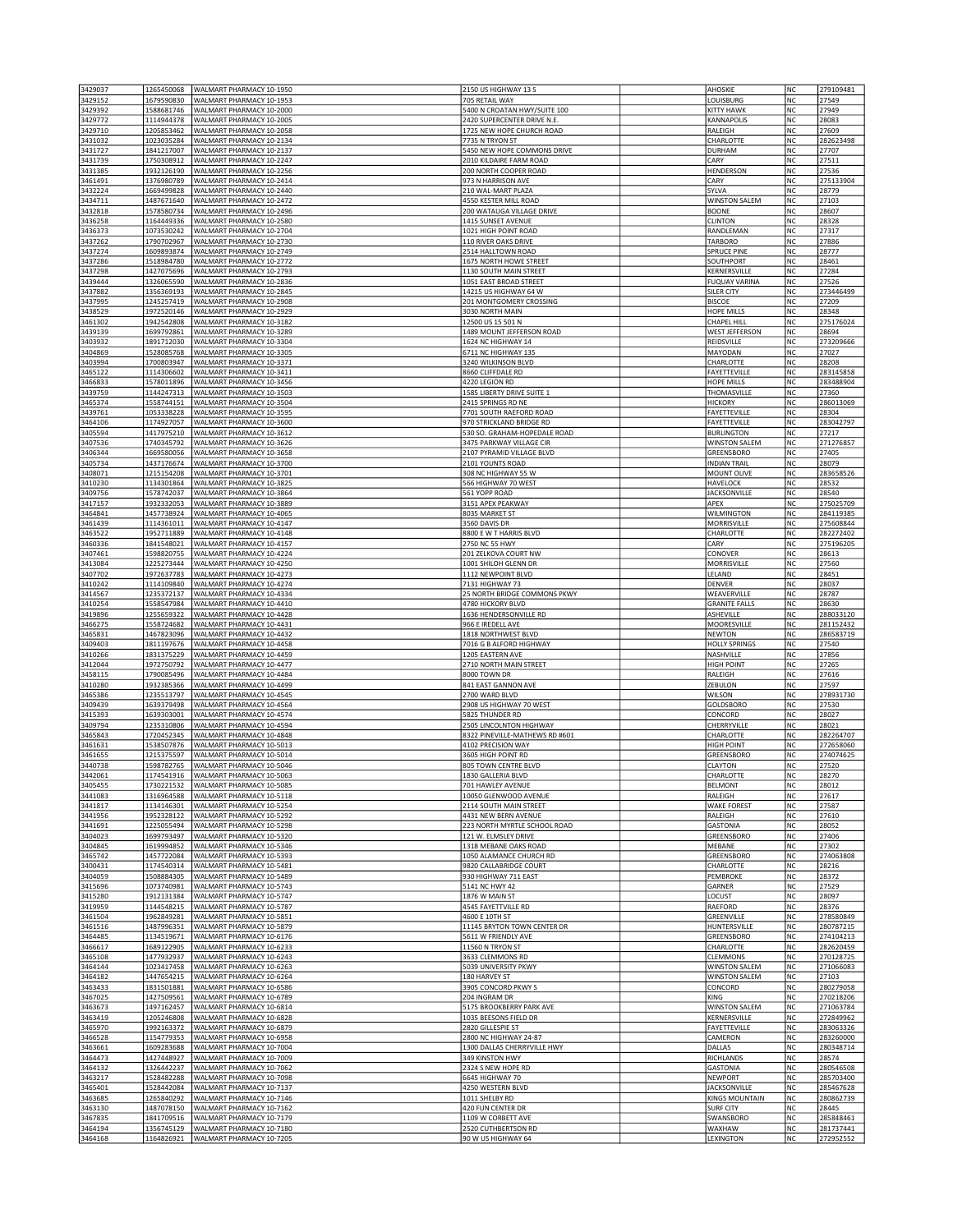| 3429037            | 1265450068               | WALMART PHARMACY 10-1950                             | 2150 US HIGHWAY 13 S                              | <b>AHOSKIE</b>                      | NC              | 279109481              |
|--------------------|--------------------------|------------------------------------------------------|---------------------------------------------------|-------------------------------------|-----------------|------------------------|
| 3429152            | 1679590830               | WALMART PHARMACY 10-1953                             | 705 RETAIL WAY                                    | LOUISBURG                           | NC              | 27549                  |
| 3429392            | 1588681746               | WALMART PHARMACY 10-2000                             | 5400 N CROATAN HWY/SUITE 100                      | KITTY HAWK                          | NC              | 27949                  |
| 3429772            | 1114944378               | WALMART PHARMACY 10-2005                             | 2420 SUPERCENTER DRIVE N.E.                       | KANNAPOLIS                          | <b>NC</b>       | 28083                  |
| 3429710            | 1205853462               | WALMART PHARMACY 10-2058                             | 1725 NEW HOPE CHURCH ROAD                         | RALEIGH                             | <b>NC</b>       | 27609                  |
| 3431032            | 1023035284               | WALMART PHARMACY 10-2134                             | 7735 N TRYON ST                                   | CHARLOTTE                           | NC              | 282623498              |
| 3431727            | 1841217007               | WALMART PHARMACY 10-2137                             | 5450 NEW HOPE COMMONS DRIVE                       | <b>DURHAM</b>                       | NC              | 27707                  |
| 3431739            | 1750308912               | WALMART PHARMACY 10-2247                             | 2010 KILDAIRE FARM ROAD                           | CARY                                | NC              | 27511                  |
| 3431385            | 1932126190               | WALMART PHARMACY 10-2256                             | 200 NORTH COOPER ROAD                             | HENDERSON                           | NC              | 27536                  |
| 3461491            | 1376980789               | WALMART PHARMACY 10-2414                             | 973 N HARRISON AVE                                | CARY                                | lnc             | 275133904              |
| 3432224            | 1669499828               | WALMART PHARMACY 10-2440                             | 210 WAL-MART PLAZA                                | SYLVA                               | NC              | 28779                  |
| 3434711            | 1487671640               | WALMART PHARMACY 10-2472                             | 4550 KESTER MILL ROAD                             | <b>WINSTON SALEM</b>                | NC              | 27103                  |
| 3432818            | 1578580734               | WALMART PHARMACY 10-2496                             | 200 WATAUGA VILLAGE DRIVE                         | <b>BOONE</b>                        | NC              | 28607                  |
| 3436258            | 1164449336               | WALMART PHARMACY 10-2580                             | 1415 SUNSET AVENUE                                | <b>CLINTON</b>                      | NC              | 28328                  |
| 3436373            | 1073530242               | WALMART PHARMACY 10-2704                             | 1021 HIGH POINT ROAD                              | RANDLEMAN                           | NC              | 27317                  |
| 3437262            | 1790702967               | WALMART PHARMACY 10-2730                             | 110 RIVER OAKS DRIVE                              | TARBORO                             | <b>NC</b>       | 27886                  |
| 3437274            | 1609893874               | WALMART PHARMACY 10-2749                             | 2514 HALLTOWN ROAD                                | <b>SPRUCE PINE</b>                  | <b>NC</b>       | 28777                  |
| 3437286            | 1518984780               | WALMART PHARMACY 10-2772                             | 1675 NORTH HOWE STREET                            | SOUTHPORT                           | NC              | 28461                  |
| 3437298            | 1427075696               | WALMART PHARMACY 10-2793                             | 1130 SOUTH MAIN STREET                            | KERNERSVILLE                        | NC              | 27284                  |
| 3439444            | 1326065590               | WALMART PHARMACY 10-2836                             | 1051 EAST BROAD STREET                            | <b>FUQUAY VARINA</b>                | NC              | 27526                  |
| 3437882            | 1356369193               | WALMART PHARMACY 10-2845                             | 14215 US HIGHWAY 64 W                             | SILER CITY                          | NC              | 273446499              |
| 3437995            | 1245257419               | WALMART PHARMACY 10-2908                             | 201 MONTGOMERY CROSSING                           | <b>BISCOE</b>                       | NC              | 27209                  |
| 3438529            | 1972520146               | WALMART PHARMACY 10-2929                             | 3030 NORTH MAIN                                   | HOPE MILLS                          | NC              | 28348                  |
| 3461302            | 1942542808               | WALMART PHARMACY 10-3182                             | 12500 US 15 501 N                                 | <b>CHAPEL HILL</b>                  | NC              | 275176024              |
| 3439139            | 1699792861               | WALMART PHARMACY 10-3289                             | 1489 MOUNT JEFFERSON ROAD                         | <b>WEST JEFFERSON</b>               | NC              | 28694                  |
| 3403932<br>3404869 | 1891712030<br>1528085768 | WALMART PHARMACY 10-3304<br>WALMART PHARMACY 10-3305 | 1624 NC HIGHWAY 14<br>6711 NC HIGHWAY 135         | REIDSVILLE<br>MAYODAN               | NC<br>NC        | 273209666<br>27027     |
| 3403994            | 1700803947               | WALMART PHARMACY 10-3371                             | 3240 WILKINSON BLVD                               | CHARLOTTE                           | NC              | 28208                  |
| 3465122            | 1114306602               | WALMART PHARMACY 10-3411                             | 8660 CLIFFDALE RD                                 | FAYETTEVILLE                        | <b>NC</b>       | 283145858              |
| 3466833            | 1578011896               | WALMART PHARMACY 10-3456                             | 4220 LEGION RD                                    | <b>HOPE MILLS</b>                   | <b>NC</b>       | 283488904              |
| 3439759            | 1144247313               | WALMART PHARMACY 10-3503                             | 1585 LIBERTY DRIVE SUITE 1                        | THOMASVILLE                         | NC              | 27360                  |
| 3465374            | 1558744151               | WALMART PHARMACY 10-3504                             | 2415 SPRINGS RD NE                                | <b>HICKORY</b>                      | NC              | 286013069              |
| 3439761            | 1053338228               | WALMART PHARMACY 10-3595                             | 7701 SOUTH RAEFORD ROAD                           | FAYETTEVILLE                        | NC              | 28304                  |
| 3464106            | 1174927057               | WALMART PHARMACY 10-3600                             | 970 STRICKLAND BRIDGE RD                          | FAYETTEVILLE                        | NC              | 283042797              |
| 3405594            | 1417975210               | WALMART PHARMACY 10-3612                             | 530 SO. GRAHAM-HOPEDALE ROAD                      | <b>BURLINGTON</b>                   | NC              | 27217                  |
| 3407536            | 1740345792               | WALMART PHARMACY 10-3626                             | 3475 PARKWAY VILLAGE CIR                          | <b>WINSTON SALEM</b>                | NC              | 271276857              |
| 3406344            | 1669580056               | WALMART PHARMACY 10-3658                             | 2107 PYRAMID VILLAGE BLVD                         | <b>GREENSBORO</b>                   | NC              | 27405                  |
| 3405734            | 1437176674               | WALMART PHARMACY 10-3700                             | 2101 YOUNTS ROAD                                  | <b>INDIAN TRAIL</b>                 | NC              | 28079                  |
| 3408071            | 1215154208               | WALMART PHARMACY 10-3701                             | 308 NC HIGHWAY 55 W                               | MOUNT OLIVE                         | NC              | 283658526              |
| 3410230            | 1134301864               | WALMART PHARMACY 10-3825                             | 566 HIGHWAY 70 WEST                               | HAVELOCK                            | NC              | 28532                  |
| 3409756            | 1578742037               | WALMART PHARMACY 10-3864                             | 561 YOPP ROAD                                     | <b>JACKSONVILLE</b>                 | <b>NC</b>       | 28540                  |
| 3417157            | 1932332053               | WALMART PHARMACY 10-3889                             | 3151 APEX PEAKWAY                                 | APEX                                | <b>NC</b>       | 275025709              |
| 3464841            | 1457738924               | WALMART PHARMACY 10-4065                             | 8035 MARKET ST                                    | <b>WILMINGTON</b>                   | NC              | 284119385              |
| 3461439            | 1114361011               | WALMART PHARMACY 10-4147                             | 3560 DAVIS DR                                     | MORRISVILLE                         | NC              | 275608844              |
| 3463522            | 1952711889               | WALMART PHARMACY 10-4148                             | 8800 E W T HARRIS BLVD                            | CHARLOTTE                           | NC              | 282272402              |
| 3460336            | 1841548021               | WALMART PHARMACY 10-4157                             | 2750 NC 55 HWY                                    | CARY                                | NC              | 275196205              |
| 3407461            | 1598820755               | WALMART PHARMACY 10-4224                             | 201 ZELKOVA COURT NW                              | CONOVER                             | NC              | 28613                  |
| 3413084            | 1225273444               | WALMART PHARMACY 10-4250                             | 1001 SHILOH GLENN DR                              | MORRISVILLE                         | NC              | 27560                  |
| 3407702            | 1972637783               | WALMART PHARMACY 10-4273                             | 1112 NEWPOINT BLVD                                | LELAND                              | NC              | 28451                  |
| 3410242            | 1114109840               | WALMART PHARMACY 10-4274                             | 7131 HIGHWAY 73                                   | <b>DENVER</b>                       | NC              | 28037<br>28787         |
| 3414567<br>3410254 | 1235372137<br>1558547984 | WALMART PHARMACY 10-4334<br>WALMART PHARMACY 10-4410 | 25 NORTH BRIDGE COMMONS PKWY<br>4780 HICKORY BLVD | WEAVERVILLE<br><b>GRANITE FALLS</b> | NC<br>NC        | 28630                  |
| 3419896            | 1255659322               | WALMART PHARMACY 10-4428                             | 1636 HENDERSONVILLE RD                            | ASHEVILLE                           | NC              | 288033120              |
| 3466275            | 1558724682               | WALMART PHARMACY 10-4431                             | 966 E IREDELL AVE                                 | MOORESVILLE                         | <b>NC</b>       | 281152432              |
| 3465831            | 1467823096               | WALMART PHARMACY 10-4432                             | 1818 NORTHWEST BLVD                               | <b>NEWTON</b>                       | <b>NC</b>       | 286583719              |
| 3409403            | 1811197676               | WALMART PHARMACY 10-4458                             | 7016 G B ALFORD HIGHWAY                           | <b>HOLLY SPRINGS</b>                | NC              | 27540                  |
| 3410266            | 1831375229               | WALMART PHARMACY 10-4459                             | 1205 EASTERN AVE                                  | NASHVILLE                           | NC              | 27856                  |
| 3412044            | 1972750792               | WALMART PHARMACY 10-4477                             | 2710 NORTH MAIN STREET                            | <b>HIGH POINT</b>                   | NC              | 27265                  |
| 3458115            | 1790085496               | WALMART PHARMACY 10-4484                             | 8000 TOWN DR                                      | RALEIGH                             | NC              | 27616                  |
| 3410280            | 1932385366               | WALMART PHARMACY 10-4499                             | 841 EAST GANNON AVE                               | ZEBULON                             | NC              | 27597                  |
| 3465386            | 1235513797               | WALMART PHARMACY 10-4545                             | 2700 WARD BLVD                                    | <b>WILSON</b>                       | NC              | 278931730              |
| 3409439            | 1639379498               | WALMART PHARMACY 10-4564                             | 2908 US HIGHWAY 70 WEST                           | <b>GOLDSBORO</b>                    | NC              | 27530                  |
| 3415393            | 1639303001               | WALMART PHARMACY 10-4574                             | 5825 THUNDER RD                                   | CONCORD                             | NC              | 28027                  |
| 3409794            | 1235310806               | WALMART PHARMACY 10-4594                             | 2505 LINCOLNTON HIGHWAY                           | CHERRYVILLE                         | NC              | 28021                  |
| 3465843            | 1720452345               | WALMART PHARMACY 10-4848                             | 8322 PINEVILLE-MATHEWS RD #601                    | CHARLOTTE                           | NC              | 282264707              |
| 3461631            | 1538507876               | WALMART PHARMACY 10-5013                             | 4102 PRECISION WAY                                | <b>HIGH POINT</b>                   | <b>NC</b>       | 272658060              |
| 3461655            | 1215375597               | WALMART PHARMACY 10-5014                             | 3605 HIGH POINT RD                                | GREENSBORO                          | <b>NC</b>       | 274074625              |
| 3440738            | 1598782765               | WALMART PHARMACY 10-5046                             | 805 TOWN CENTRE BLVD                              | <b>CLAYTON</b>                      | NC              | 27520                  |
| 3442061            | 1174541916               | WALMART PHARMACY 10-5063                             | 1830 GALLERIA BLVD                                | CHARLOTTE                           | NC              | 28270                  |
| 3405455            | 1730221532               | WALMART PHARMACY 10-5085                             | 701 HAWLEY AVENUE                                 | <b>BELMONT</b>                      | NC              | 28012                  |
| 3441083            | 1316964588               | WALMART PHARMACY 10-5118                             | 10050 GLENWOOD AVENUE                             | RALEIGH                             | NC              | 27617                  |
| 3441817            | 1134146301               | WALMART PHARMACY 10-5254<br>WALMART PHARMACY 10-5292 | 2114 SOUTH MAIN STREET<br>4431 NEW BERN AVENUE    | <b>WAKE FOREST</b>                  | NC<br>NC        | 27587                  |
| 3441956<br>3441691 | 1952328122<br>1225055494 | WALMART PHARMACY 10-5298                             | 223 NORTH MYRTLE SCHOOL ROAD                      | RALEIGH<br><b>GASTONIA</b>          | NC              | 27610<br>28052         |
| 3404023            | 1699793497               |                                                      |                                                   |                                     | NC              | 27406                  |
| 3404845            |                          |                                                      |                                                   |                                     |                 |                        |
| 3465742            |                          | WALMART PHARMACY 10-5320<br>WALMART PHARMACY 10-5346 | 121 W. ELMSLEY DRIVE                              | <b>GREENSBORO</b>                   | NC              |                        |
| 3400431            | 1619994852<br>1457722084 | WALMART PHARMACY 10-5393                             | 1318 MEBANE OAKS ROAD<br>1050 ALAMANCE CHURCH RD  | MEBANE<br>GREENSBORO                | NC              | 27302<br>274063808     |
|                    | 1174540314               | WALMART PHARMACY 10-5481                             | 9820 CALLABRIDGE COURT                            | CHARLOTTE                           | NC              | 28216                  |
| 3404059            | 1508884305               | WALMART PHARMACY 10-5489                             | 930 HIGHWAY 711 EAST                              | PEMBROKE                            | lnc             | 28372                  |
| 3415696            | 1073740981               | WALMART PHARMACY 10-5743                             | 5141 NC HWY 42                                    | <b>GARNER</b>                       | NC              | 27529                  |
| 3415280            | 1912131384               | WALMART PHARMACY 10-5747                             | 1876 W MAIN ST                                    | LOCUST                              | NC              | 28097                  |
| 3419959            | 1144548215               | WALMART PHARMACY 10-5787                             | 4545 FAYETTVILLE RD                               | RAEFORD                             | NC              | 28376                  |
| 3461504            | 1962849281               | WALMART PHARMACY 10-5851                             | 4600 E 10TH ST                                    | GREENVILLE                          | NC              | 278580849              |
| 3461516            | 1487996351               | WALMART PHARMACY 10-5879                             | 11145 BRYTON TOWN CENTER DR                       | HUNTERSVILLE                        | NC              | 280787215              |
| 3464485            | 1134519671               | WALMART PHARMACY 10-6176                             | 5611 W FRIENDLY AVE                               | GREENSBORO                          | lnc             | 274104213              |
| 3466617            | 1689122905               | WALMART PHARMACY 10-6233                             | 11560 N TRYON ST                                  | CHARLOTTE                           | NC              | 282620459              |
| 3465108            | 1477932937               | WALMART PHARMACY 10-6243                             | 3633 CLEMMONS RD                                  | <b>CLEMMONS</b>                     | NC              | 270128725              |
| 3464144            | 1023417458               | WALMART PHARMACY 10-6263                             | 5039 UNIVERSITY PKWY                              | <b>WINSTON SALEM</b>                | NC              | 271066083              |
| 3464182            | 1447654215               | WALMART PHARMACY 10-6264                             | 180 HARVEY ST                                     | <b>WINSTON SALEM</b>                | NC              | 27103                  |
| 3463433            | 1831501881               | WALMART PHARMACY 10-6586                             | 3905 CONCORD PKWY S                               | CONCORD                             | NC              | 280279058              |
| 3467025            | 1427509561               | WALMART PHARMACY 10-6789                             | 204 INGRAM DR                                     | KING                                | NC              | 270218206              |
| 3463673            | 1497162457               | WALMART PHARMACY 10-6814                             | 5175 BROOKBERRY PARK AVE                          | <b>WINSTON SALEM</b>                | <b>NC</b>       | 271063784              |
| 3463419            | 1205246808               | WALMART PHARMACY 10-6828<br>WALMART PHARMACY 10-6879 | 1035 BEESONS FIELD DR                             | KERNERSVILLE<br><b>FAYETTEVILLE</b> | NC<br>NC        | 272849962              |
| 3465970<br>3466528 | 1992163372<br>1154779353 | WALMART PHARMACY 10-6958                             | 2820 GILLESPIE ST<br>2800 NC HIGHWAY 24-87        | CAMERON                             | NC              | 283063326<br>283260000 |
| 3463661            | 1609283688               | WALMART PHARMACY 10-7004                             | 1300 DALLAS CHERRYVILLE HWY                       | DALLAS                              | NC              | 280348714              |
| 3464473            | 1427448927               | WALMART PHARMACY 10-7009                             | 349 KINSTON HWY                                   | <b>RICHLANDS</b>                    | NC              | 28574                  |
| 3464132            | 1326442237               | WALMART PHARMACY 10-7062                             | 2324 S NEW HOPE RD                                | <b>GASTONIA</b>                     | NC              | 280546508              |
| 3463217            | 1528482288               | WALMART PHARMACY 10-7098                             | 6645 HIGHWAY 70                                   | <b>NEWPORT</b>                      | NC              | 285703400              |
| 3465401            | 1528442084               | WALMART PHARMACY 10-7137                             | 4250 WESTERN BLVD                                 | <b>JACKSONVILLE</b>                 | NC              | 285467628              |
| 3463685            | 1265840292               | WALMART PHARMACY 10-7146                             | 1011 SHELBY RD                                    | <b>KINGS MOUNTAIN</b>               | NC              | 280862739              |
| 3463130            | 1487078150               | WALMART PHARMACY 10-7162                             | 420 FUN CENTER DR                                 | <b>SURF CITY</b>                    | NC              | 28445                  |
| 3467835            | 1841709516               | WALMART PHARMACY 10-7179                             | 1109 W CORBETT AVE                                | SWANSBORO                           | NC              | 285848461              |
| 3464194<br>3464168 | 1356745129<br>1164826921 | WALMART PHARMACY 10-7180<br>WALMART PHARMACY 10-7205 | 2520 CUTHBERTSON RD<br>90 W US HIGHWAY 64         | WAXHAW<br>LEXINGTON                 | <b>NC</b><br>NC | 281737441<br>272952552 |